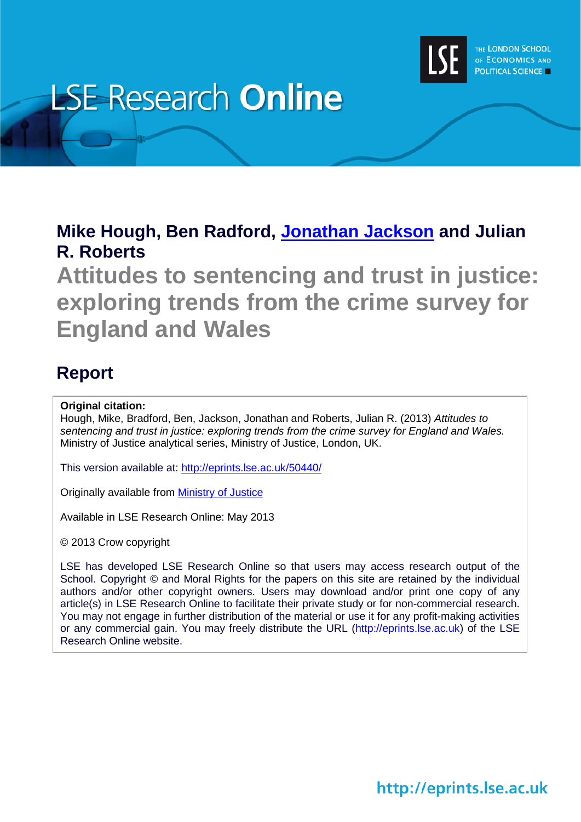

# **LSE Research Online**

# **Mike Hough, Ben Radford, [Jonathan Jackson](http://www2.lse.ac.uk/researchAndExpertise/Experts/profile.aspx?KeyValue=j.p.jackson@lse.ac.uk) and Julian R. Roberts**

**Attitudes to sentencing and trust in justice: exploring trends from the crime survey for England and Wales**

# **Report**

### **Original citation:**

Hough, Mike, Bradford, Ben, Jackson, Jonathan and Roberts, Julian R. (2013) *Attitudes to sentencing and trust in justice: exploring trends from the crime survey for England and Wales.* Ministry of Justice analytical series, Ministry of Justice, London, UK.

This version available at:<http://eprints.lse.ac.uk/50440/>

Originally available from [Ministry of Justice](https://www.gov.uk/government/organisations/ministry-of-justice)

Available in LSE Research Online: May 2013

© 2013 Crow copyright

LSE has developed LSE Research Online so that users may access research output of the School. Copyright © and Moral Rights for the papers on this site are retained by the individual authors and/or other copyright owners. Users may download and/or print one copy of any article(s) in LSE Research Online to facilitate their private study or for non-commercial research. You may not engage in further distribution of the material or use it for any profit-making activities or any commercial gain. You may freely distribute the URL (http://eprints.lse.ac.uk) of the LSE Research Online website.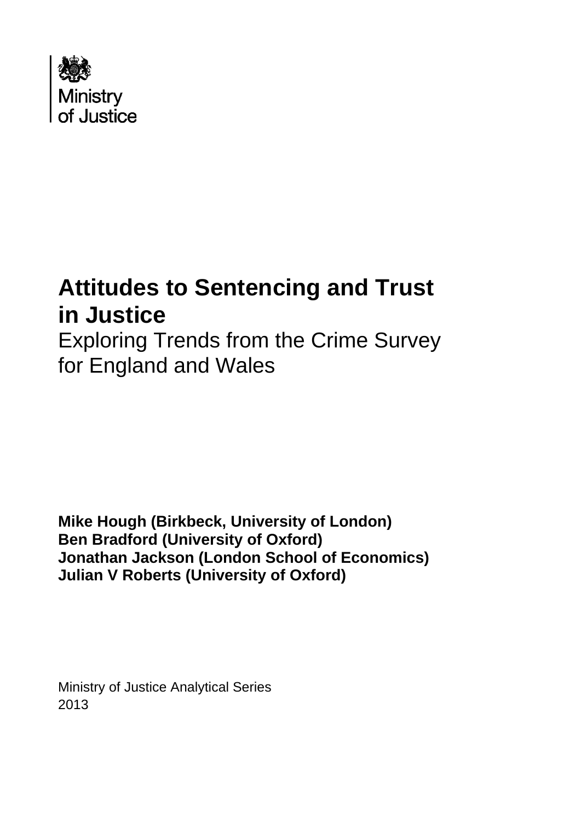

# **Attitudes to Sentencing and Trust in Justice**

Exploring Trends from the Crime Survey for England and Wales

**Mike Hough (Birkbeck, University of London) Ben Bradford (University of Oxford) Jonathan Jackson (London School of Economics) Julian V Roberts (University of Oxford)** 

Ministry of Justice Analytical Series 2013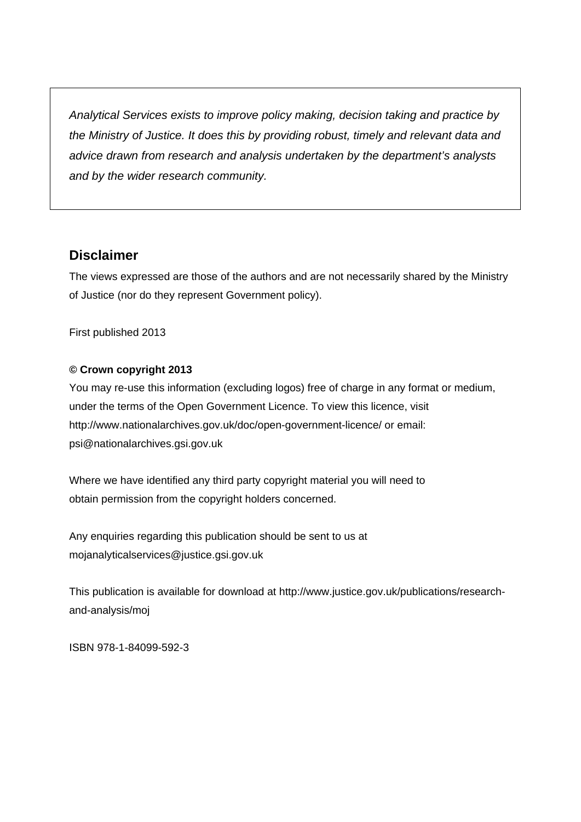*Analytical Services exists to improve policy making, decision taking and practice by the Ministry of Justice. It does this by providing robust, timely and relevant data and advice drawn from research and analysis undertaken by the department's analysts and by the wider research community.* 

# **Disclaimer**

The views expressed are those of the authors and are not necessarily shared by the Ministry of Justice (nor do they represent Government policy).

First published 2013

#### **© Crown copyright 2013**

You may re-use this information (excluding logos) free of charge in any format or medium, under the terms of the Open Government Licence. To view this licence, visit <http://www.nationalarchives.gov.uk/doc/open-government-licence/> or email: [psi@nationalarchives.gsi.gov.uk](mailto:psi@nationalarchives.gsi.gov.uk) 

Where we have identified any third party copyright material you will need to obtain permission from the copyright holders concerned.

Any enquiries regarding this publication should be sent to us at [mojanalyticalservices@justice.gsi.gov.uk](mailto:mojanalyticalservices@justice.gsi.gov.uk) 

This publication is available for download at http://www.justice.gov.uk/publications/researchand-analysis/moj

ISBN 978-1-84099-592-3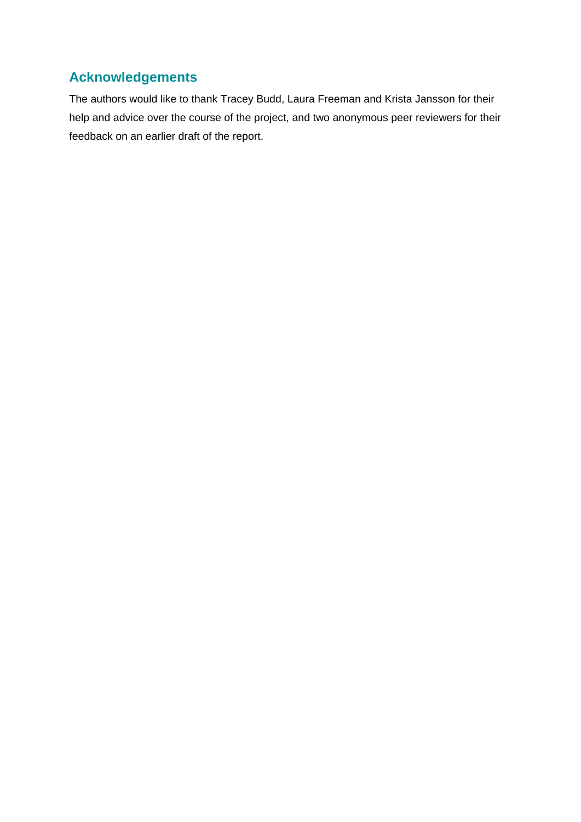# **Acknowledgements**

The authors would like to thank Tracey Budd, Laura Freeman and Krista Jansson for their help and advice over the course of the project, and two anonymous peer reviewers for their feedback on an earlier draft of the report.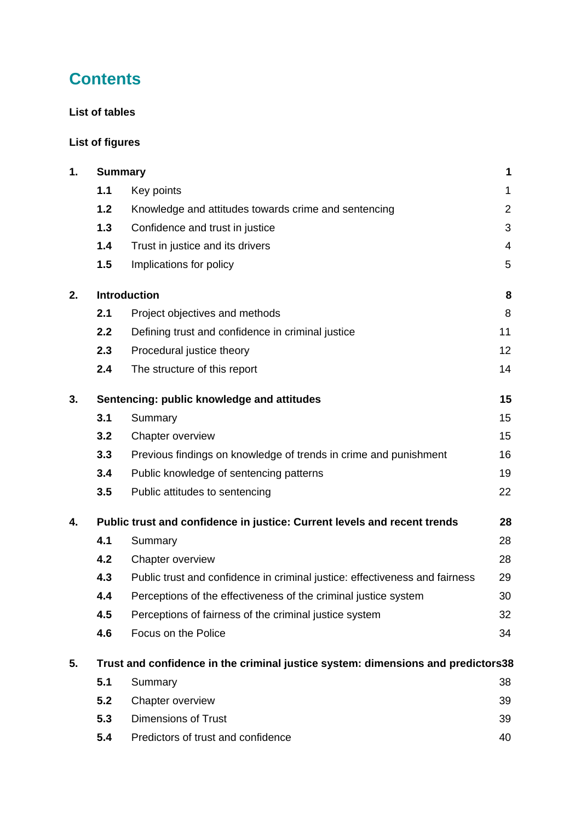# **Contents**

#### **[List of tables](#page-6-0)**

# **[List of figures](#page-6-1)**

| 1. |                                                                                  | <b>Summary</b>                                                              | 1              |  |
|----|----------------------------------------------------------------------------------|-----------------------------------------------------------------------------|----------------|--|
|    | 1.1                                                                              | Key points                                                                  | $\mathbf 1$    |  |
|    | 1.2                                                                              | Knowledge and attitudes towards crime and sentencing                        | $\overline{2}$ |  |
|    | 1.3                                                                              | Confidence and trust in justice                                             | 3              |  |
|    | 1.4                                                                              | Trust in justice and its drivers                                            | $\overline{4}$ |  |
|    | 1.5                                                                              | Implications for policy                                                     | 5              |  |
| 2. |                                                                                  | <b>Introduction</b>                                                         | 8              |  |
|    | 2.1                                                                              | Project objectives and methods                                              | 8              |  |
|    | 2.2                                                                              | Defining trust and confidence in criminal justice                           | 11             |  |
|    | 2.3                                                                              | Procedural justice theory                                                   | 12             |  |
|    | 2.4                                                                              | The structure of this report                                                | 14             |  |
| 3. |                                                                                  | Sentencing: public knowledge and attitudes                                  | 15             |  |
|    | 3.1                                                                              | Summary                                                                     | 15             |  |
|    | 3.2                                                                              | Chapter overview                                                            | 15             |  |
|    | 3.3                                                                              | Previous findings on knowledge of trends in crime and punishment            | 16             |  |
|    | 3.4                                                                              | Public knowledge of sentencing patterns                                     | 19             |  |
|    | 3.5                                                                              | Public attitudes to sentencing                                              | 22             |  |
| 4. |                                                                                  | Public trust and confidence in justice: Current levels and recent trends    | 28             |  |
|    | 4.1                                                                              | Summary                                                                     | 28             |  |
|    | 4.2                                                                              | Chapter overview                                                            | 28             |  |
|    | 4.3                                                                              | Public trust and confidence in criminal justice: effectiveness and fairness | 29             |  |
|    | 4.4                                                                              | Perceptions of the effectiveness of the criminal justice system             | 30             |  |
|    | 4.5                                                                              | Perceptions of fairness of the criminal justice system                      | 32             |  |
|    | 4.6                                                                              | Focus on the Police                                                         | 34             |  |
| 5. | Trust and confidence in the criminal justice system: dimensions and predictors38 |                                                                             |                |  |
|    | 5.1                                                                              | Summary                                                                     | 38             |  |
|    | 5.2                                                                              | Chapter overview                                                            | 39             |  |
|    | 5.3                                                                              | <b>Dimensions of Trust</b>                                                  | 39             |  |
|    | 5.4                                                                              | Predictors of trust and confidence                                          | 40             |  |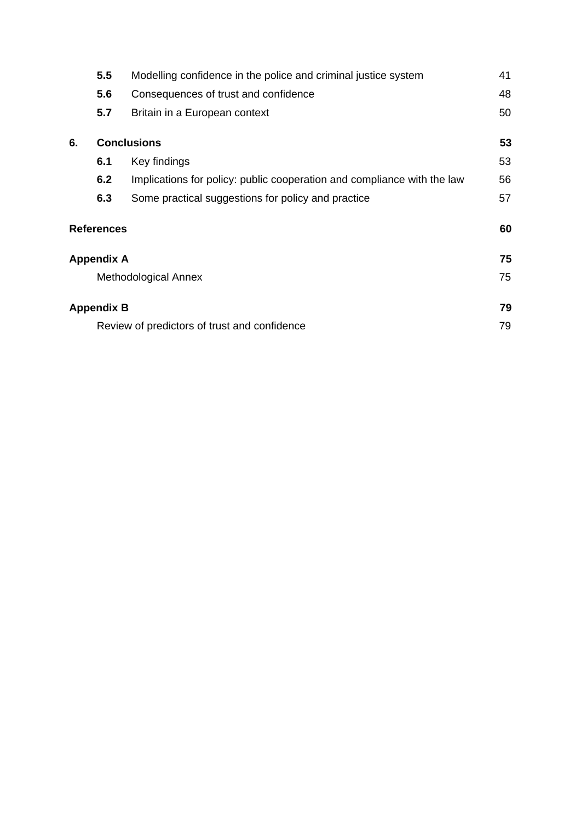| 5.5 | Modelling confidence in the police and criminal justice system          | 41                                                                                                                                          |
|-----|-------------------------------------------------------------------------|---------------------------------------------------------------------------------------------------------------------------------------------|
| 5.6 | Consequences of trust and confidence                                    | 48                                                                                                                                          |
| 5.7 | Britain in a European context                                           | 50                                                                                                                                          |
|     |                                                                         | 53                                                                                                                                          |
| 6.1 | Key findings                                                            | 53                                                                                                                                          |
| 6.2 | Implications for policy: public cooperation and compliance with the law | 56                                                                                                                                          |
| 6.3 | Some practical suggestions for policy and practice                      | 57                                                                                                                                          |
|     |                                                                         | 60                                                                                                                                          |
|     |                                                                         | 75                                                                                                                                          |
|     |                                                                         | 75                                                                                                                                          |
|     |                                                                         | 79                                                                                                                                          |
|     |                                                                         | 79                                                                                                                                          |
|     |                                                                         | <b>Conclusions</b><br><b>References</b><br>Appendix A<br>Methodological Annex<br>Appendix B<br>Review of predictors of trust and confidence |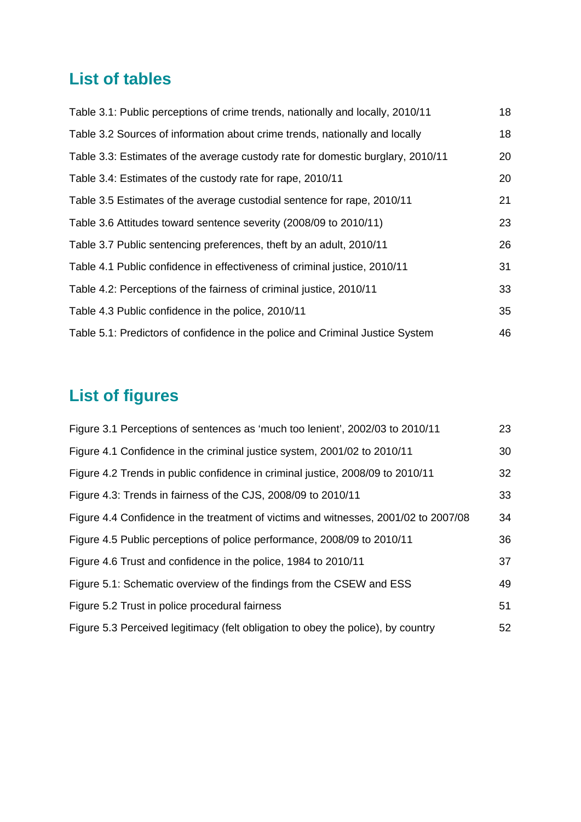# <span id="page-6-0"></span>**List of tables**

| 18 |
|----|
| 18 |
| 20 |
| 20 |
| 21 |
| 23 |
| 26 |
| 31 |
| 33 |
| 35 |
| 46 |
|    |

# <span id="page-6-1"></span>**List of figures**

| Figure 3.1 Perceptions of sentences as 'much too lenient', 2002/03 to 2010/11       | 23 |
|-------------------------------------------------------------------------------------|----|
| Figure 4.1 Confidence in the criminal justice system, 2001/02 to 2010/11            | 30 |
| Figure 4.2 Trends in public confidence in criminal justice, 2008/09 to 2010/11      | 32 |
| Figure 4.3: Trends in fairness of the CJS, 2008/09 to 2010/11                       | 33 |
| Figure 4.4 Confidence in the treatment of victims and witnesses, 2001/02 to 2007/08 | 34 |
| Figure 4.5 Public perceptions of police performance, 2008/09 to 2010/11             | 36 |
| Figure 4.6 Trust and confidence in the police, 1984 to 2010/11                      | 37 |
| Figure 5.1: Schematic overview of the findings from the CSEW and ESS                | 49 |
| Figure 5.2 Trust in police procedural fairness                                      | 51 |
| Figure 5.3 Perceived legitimacy (felt obligation to obey the police), by country    | 52 |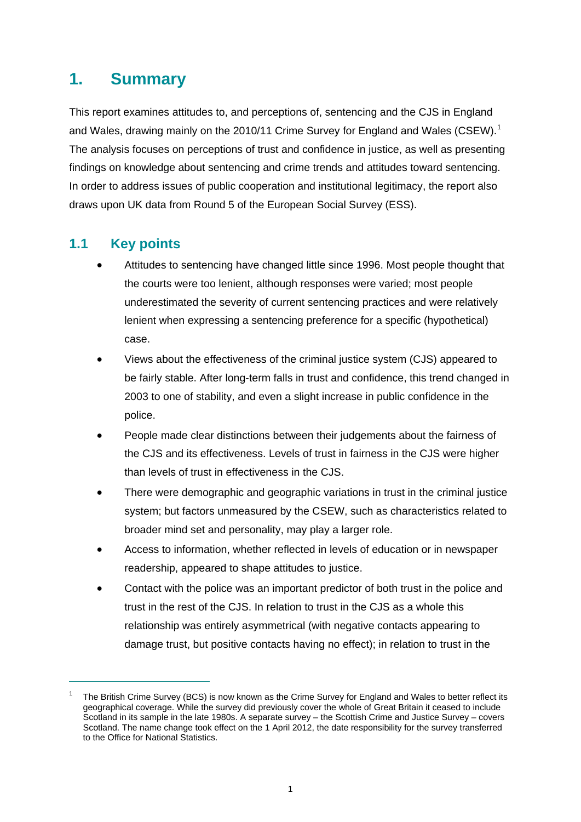# <span id="page-7-0"></span>**1. Summary**

This report examines attitudes to, and perceptions of, sentencing and the CJS in England and Wales, drawing mainly on the 20[1](#page-7-2)0/11 Crime Survey for England and Wales (CSEW).<sup>1</sup> The analysis focuses on perceptions of trust and confidence in justice, as well as presenting findings on knowledge about sentencing and crime trends and attitudes toward sentencing. In order to address issues of public cooperation and institutional legitimacy, the report also draws upon UK data from Round 5 of the European Social Survey (ESS).

# <span id="page-7-1"></span>**1.1 Key points**

- Attitudes to sentencing have changed little since 1996. Most people thought that the courts were too lenient, although responses were varied; most people underestimated the severity of current sentencing practices and were relatively lenient when expressing a sentencing preference for a specific (hypothetical) case.
- Views about the effectiveness of the criminal justice system (CJS) appeared to be fairly stable. After long-term falls in trust and confidence, this trend changed in 2003 to one of stability, and even a slight increase in public confidence in the police.
- People made clear distinctions between their judgements about the fairness of the CJS and its effectiveness. Levels of trust in fairness in the CJS were higher than levels of trust in effectiveness in the CJS.
- There were demographic and geographic variations in trust in the criminal justice system; but factors unmeasured by the CSEW, such as characteristics related to broader mind set and personality, may play a larger role.
- Access to information, whether reflected in levels of education or in newspaper readership, appeared to shape attitudes to justice.
- Contact with the police was an important predictor of both trust in the police and trust in the rest of the CJS. In relation to trust in the CJS as a whole this relationship was entirely asymmetrical (with negative contacts appearing to damage trust, but positive contacts having no effect); in relation to trust in the

<span id="page-7-2"></span><sup>1</sup> The British Crime Survey (BCS) is now known as the Crime Survey for England and Wales to better reflect its geographical coverage. While the survey did previously cover the whole of Great Britain it ceased to include Scotland in its sample in the late 1980s. A separate survey – the Scottish Crime and Justice Survey – covers Scotland. The name change took effect on the 1 April 2012, the date responsibility for the survey transferred to the Office for National Statistics.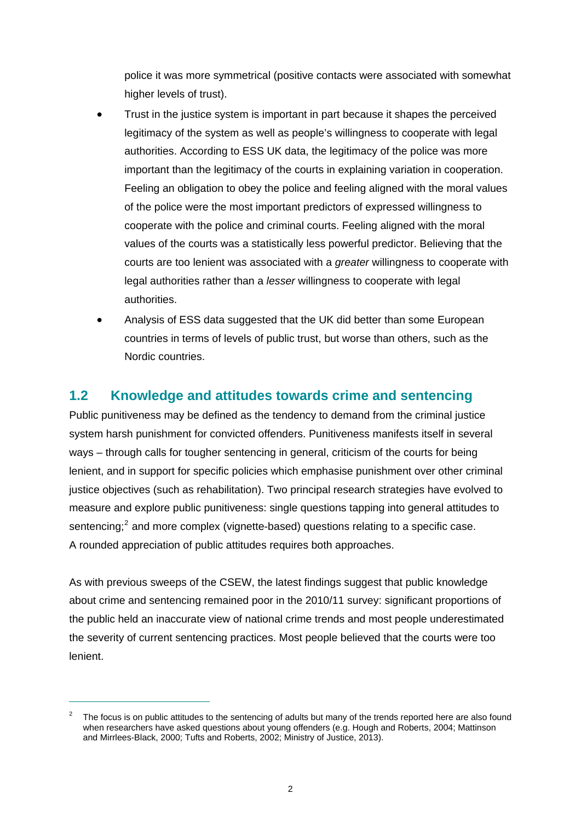police it was more symmetrical (positive contacts were associated with somewhat higher levels of trust).

- Trust in the justice system is important in part because it shapes the perceived legitimacy of the system as well as people's willingness to cooperate with legal authorities. According to ESS UK data, the legitimacy of the police was more important than the legitimacy of the courts in explaining variation in cooperation. Feeling an obligation to obey the police and feeling aligned with the moral values of the police were the most important predictors of expressed willingness to cooperate with the police and criminal courts. Feeling aligned with the moral values of the courts was a statistically less powerful predictor. Believing that the courts are too lenient was associated with a *greater* willingness to cooperate with legal authorities rather than a *lesser* willingness to cooperate with legal authorities.
- Analysis of ESS data suggested that the UK did better than some European countries in terms of levels of public trust, but worse than others, such as the Nordic countries.

# <span id="page-8-0"></span>**1.2 Knowledge and attitudes towards crime and sentencing**

Public punitiveness may be defined as the tendency to demand from the criminal justice system harsh punishment for convicted offenders. Punitiveness manifests itself in several ways – through calls for tougher sentencing in general, criticism of the courts for being lenient, and in support for specific policies which emphasise punishment over other criminal justice objectives (such as rehabilitation). Two principal research strategies have evolved to measure and explore public punitiveness: single questions tapping into general attitudes to sentencing; $2$  and more complex (vignette-based) questions relating to a specific case. A rounded appreciation of public attitudes requires both approaches.

As with previous sweeps of the CSEW, the latest findings suggest that public knowledge about crime and sentencing remained poor in the 2010/11 survey: significant proportions of the public held an inaccurate view of national crime trends and most people underestimated the severity of current sentencing practices. Most people believed that the courts were too lenient.

<span id="page-8-1"></span> $\mathfrak{2}$  The focus is on public attitudes to the sentencing of adults but many of the trends reported here are also found when researchers have asked questions about young offenders (e.g. Hough and Roberts, 2004; Mattinson and Mirrlees-Black, 2000; Tufts and Roberts, 2002; Ministry of Justice, 2013).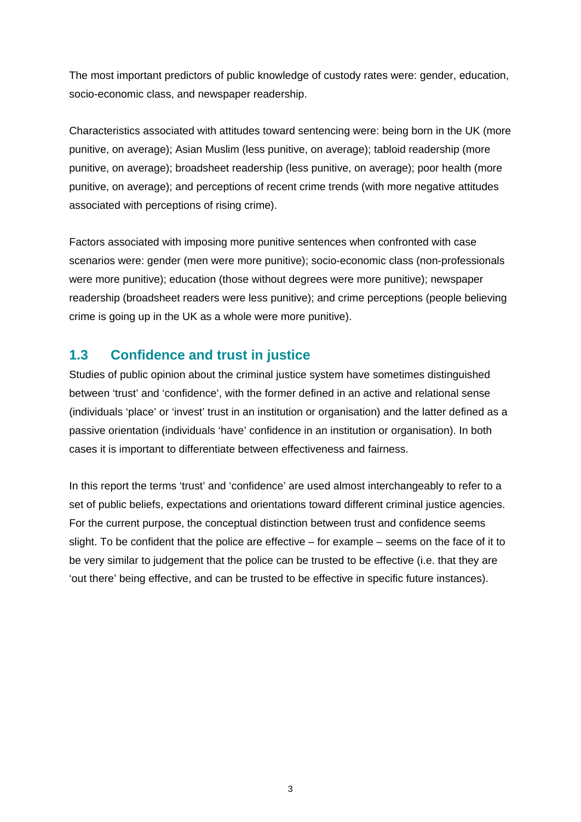The most important predictors of public knowledge of custody rates were: gender, education, socio-economic class, and newspaper readership.

Characteristics associated with attitudes toward sentencing were: being born in the UK (more punitive, on average); Asian Muslim (less punitive, on average); tabloid readership (more punitive, on average); broadsheet readership (less punitive, on average); poor health (more punitive, on average); and perceptions of recent crime trends (with more negative attitudes associated with perceptions of rising crime).

Factors associated with imposing more punitive sentences when confronted with case scenarios were: gender (men were more punitive); socio-economic class (non-professionals were more punitive); education (those without degrees were more punitive); newspaper readership (broadsheet readers were less punitive); and crime perceptions (people believing crime is going up in the UK as a whole were more punitive).

# <span id="page-9-0"></span>**1.3 Confidence and trust in justice**

Studies of public opinion about the criminal justice system have sometimes distinguished between 'trust' and 'confidence', with the former defined in an active and relational sense (individuals 'place' or 'invest' trust in an institution or organisation) and the latter defined as a passive orientation (individuals 'have' confidence in an institution or organisation). In both cases it is important to differentiate between effectiveness and fairness.

In this report the terms 'trust' and 'confidence' are used almost interchangeably to refer to a set of public beliefs, expectations and orientations toward different criminal justice agencies. For the current purpose, the conceptual distinction between trust and confidence seems slight. To be confident that the police are effective – for example – seems on the face of it to be very similar to judgement that the police can be trusted to be effective (i.e. that they are 'out there' being effective, and can be trusted to be effective in specific future instances).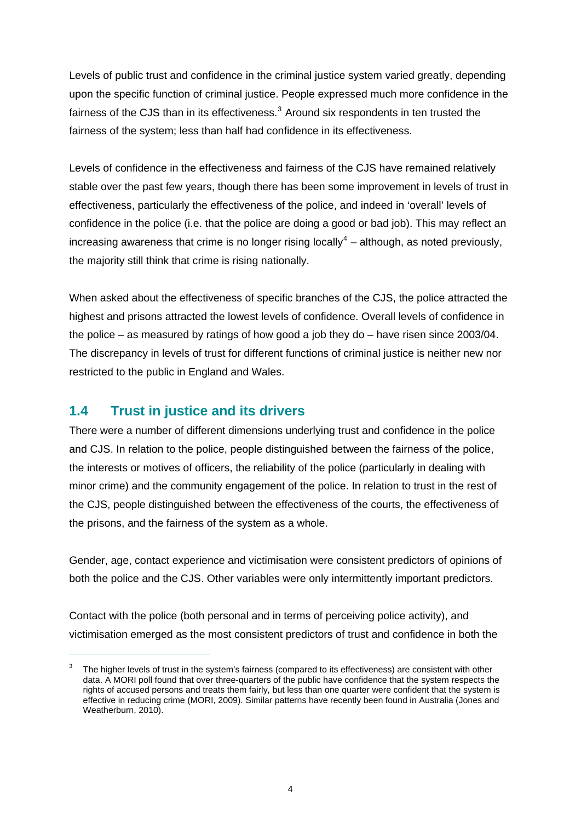Levels of public trust and confidence in the criminal justice system varied greatly, depending upon the specific function of criminal justice. People expressed much more confidence in the fairness of the CJS than in its effectiveness. $3$  Around six respondents in ten trusted the fairness of the system; less than half had confidence in its effectiveness.

Levels of confidence in the effectiveness and fairness of the CJS have remained relatively stable over the past few years, though there has been some improvement in levels of trust in effectiveness, particularly the effectiveness of the police, and indeed in 'overall' levels of confidence in the police (i.e. that the police are doing a good or bad job). This may reflect an increasing awareness that crime is no longer rising locally<sup>[4](#page-10-2)</sup> – although, as noted previously, the majority still think that crime is rising nationally.

When asked about the effectiveness of specific branches of the CJS, the police attracted the highest and prisons attracted the lowest levels of confidence. Overall levels of confidence in the police – as measured by ratings of how good a job they do – have risen since 2003/04. The discrepancy in levels of trust for different functions of criminal justice is neither new nor restricted to the public in England and Wales.

## <span id="page-10-0"></span>**1.4 Trust in justice and its drivers**

 $\overline{a}$ 

There were a number of different dimensions underlying trust and confidence in the police and CJS. In relation to the police, people distinguished between the fairness of the police, the interests or motives of officers, the reliability of the police (particularly in dealing with minor crime) and the community engagement of the police. In relation to trust in the rest of the CJS, people distinguished between the effectiveness of the courts, the effectiveness of the prisons, and the fairness of the system as a whole.

Gender, age, contact experience and victimisation were consistent predictors of opinions of both the police and the CJS. Other variables were only intermittently important predictors.

Contact with the police (both personal and in terms of perceiving police activity), and victimisation emerged as the most consistent predictors of trust and confidence in both the

<span id="page-10-2"></span><span id="page-10-1"></span><sup>3</sup> The higher levels of trust in the system's fairness (compared to its effectiveness) are consistent with other data. A MORI poll found that over three-quarters of the public have confidence that the system respects the rights of accused persons and treats them fairly, but less than one quarter were confident that the system is effective in reducing crime (MORI, 2009). Similar patterns have recently been found in Australia (Jones and Weatherburn, 2010).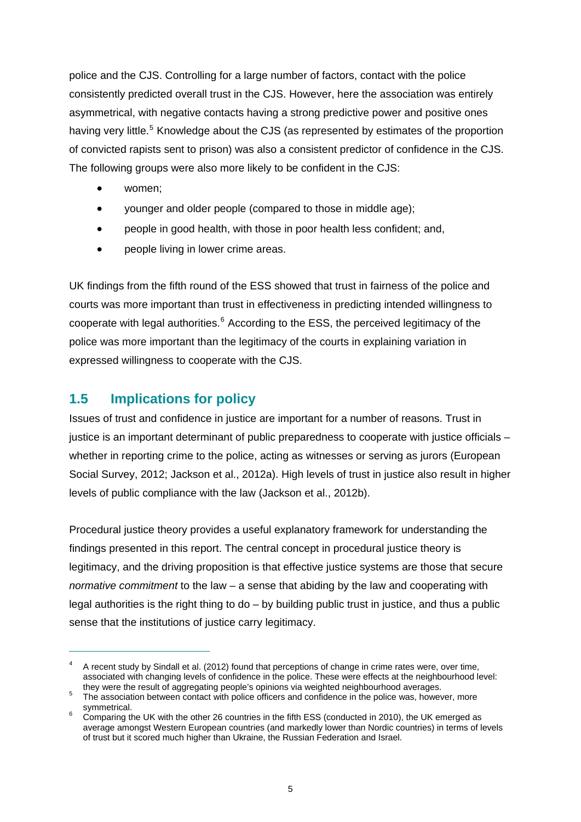police and the CJS. Controlling for a large number of factors, contact with the police consistently predicted overall trust in the CJS. However, here the association was entirely asymmetrical, with negative contacts having a strong predictive power and positive ones having very little.<sup>[5](#page-11-1)</sup> Knowledge about the CJS (as represented by estimates of the proportion of convicted rapists sent to prison) was also a consistent predictor of confidence in the CJS. The following groups were also more likely to be confident in the CJS:

- women;
- younger and older people (compared to those in middle age);
- people in good health, with those in poor health less confident; and,
- people living in lower crime areas.

UK findings from the fifth round of the ESS showed that trust in fairness of the police and courts was more important than trust in effectiveness in predicting intended willingness to cooperate with legal authorities.<sup>[6](#page-11-2)</sup> According to the ESS, the perceived legitimacy of the police was more important than the legitimacy of the courts in explaining variation in expressed willingness to cooperate with the CJS.

# <span id="page-11-0"></span>**1.5 Implications for policy**

 $\overline{a}$ 

Issues of trust and confidence in justice are important for a number of reasons. Trust in justice is an important determinant of public preparedness to cooperate with justice officials – whether in reporting crime to the police, acting as witnesses or serving as jurors (European Social Survey, 2012; Jackson et al., 2012a). High levels of trust in justice also result in higher levels of public compliance with the law (Jackson et al., 2012b).

Procedural justice theory provides a useful explanatory framework for understanding the findings presented in this report. The central concept in procedural justice theory is legitimacy, and the driving proposition is that effective justice systems are those that secure *normative commitment* to the law – a sense that abiding by the law and cooperating with legal authorities is the right thing to  $do - bv$  building public trust in justice, and thus a public sense that the institutions of justice carry legitimacy.

<sup>4</sup> A recent study by Sindall et al. (2012) found that perceptions of change in crime rates were, over time, associated with changing levels of confidence in the police. These were effects at the neighbourhood level: they were the result of aggregating people's opinions via weighted neighbourhood averages. 5

<span id="page-11-1"></span>The association between contact with police officers and confidence in the police was, however, more symmetrical.

<span id="page-11-2"></span>Comparing the UK with the other 26 countries in the fifth ESS (conducted in 2010), the UK emerged as average amongst Western European countries (and markedly lower than Nordic countries) in terms of levels of trust but it scored much higher than Ukraine, the Russian Federation and Israel.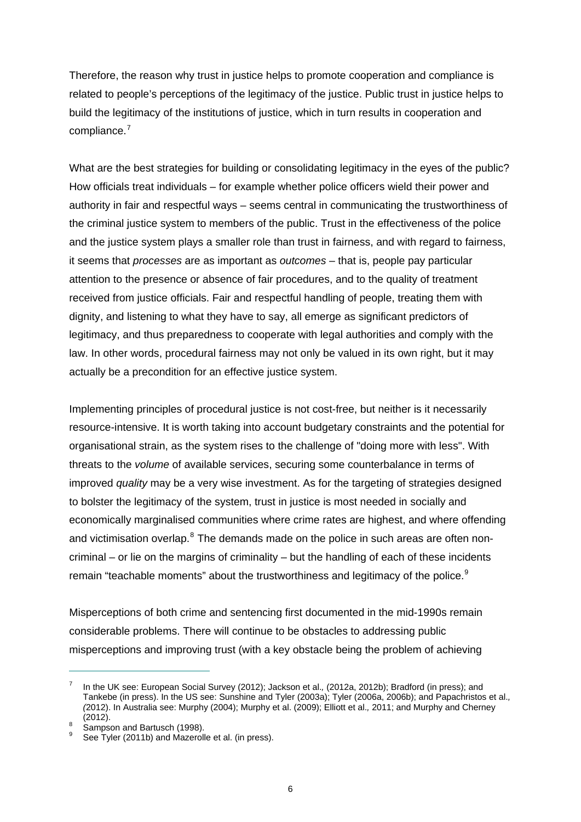Therefore, the reason why trust in justice helps to promote cooperation and compliance is related to people's perceptions of the legitimacy of the justice. Public trust in justice helps to build the legitimacy of the institutions of justice, which in turn results in cooperation and compliance.<sup>[7](#page-12-0)</sup>

What are the best strategies for building or consolidating legitimacy in the eyes of the public? How officials treat individuals – for example whether police officers wield their power and authority in fair and respectful ways – seems central in communicating the trustworthiness of the criminal justice system to members of the public. Trust in the effectiveness of the police and the justice system plays a smaller role than trust in fairness, and with regard to fairness, it seems that *processes* are as important as *outcomes* – that is, people pay particular attention to the presence or absence of fair procedures, and to the quality of treatment received from justice officials. Fair and respectful handling of people, treating them with dignity, and listening to what they have to say, all emerge as significant predictors of legitimacy, and thus preparedness to cooperate with legal authorities and comply with the law. In other words, procedural fairness may not only be valued in its own right, but it may actually be a precondition for an effective justice system.

Implementing principles of procedural justice is not cost-free, but neither is it necessarily resource-intensive. It is worth taking into account budgetary constraints and the potential for organisational strain, as the system rises to the challenge of "doing more with less". With threats to the *volume* of available services, securing some counterbalance in terms of improved *quality* may be a very wise investment. As for the targeting of strategies designed to bolster the legitimacy of the system, trust in justice is most needed in socially and economically marginalised communities where crime rates are highest, and where offending and victimisation overlap.<sup>[8](#page-12-1)</sup> The demands made on the police in such areas are often noncriminal – or lie on the margins of criminality – but the handling of each of these incidents remain "teachable moments" about the trustworthiness and legitimacy of the police.<sup>[9](#page-12-2)</sup>

Misperceptions of both crime and sentencing first documented in the mid-1990s remain considerable problems. There will continue to be obstacles to addressing public misperceptions and improving trust (with a key obstacle being the problem of achieving

<span id="page-12-0"></span><sup>7</sup> In the UK see: European Social Survey (2012); Jackson et al.*,* (2012a, 2012b); Bradford (in press); and Tankebe (in press). In the US see: Sunshine and Tyler (2003a); Tyler (2006a, 2006b); and Papachristos et al.*, (*2012). In Australia see: Murphy (2004); Murphy et al. (2009); Elliott et al.*,* 2011; and Murphy and Cherney  $(2012).$ 

<span id="page-12-1"></span>Sampson and Bartusch (1998).

<span id="page-12-2"></span><sup>9</sup> See Tyler (2011b) and Mazerolle et al. (in press).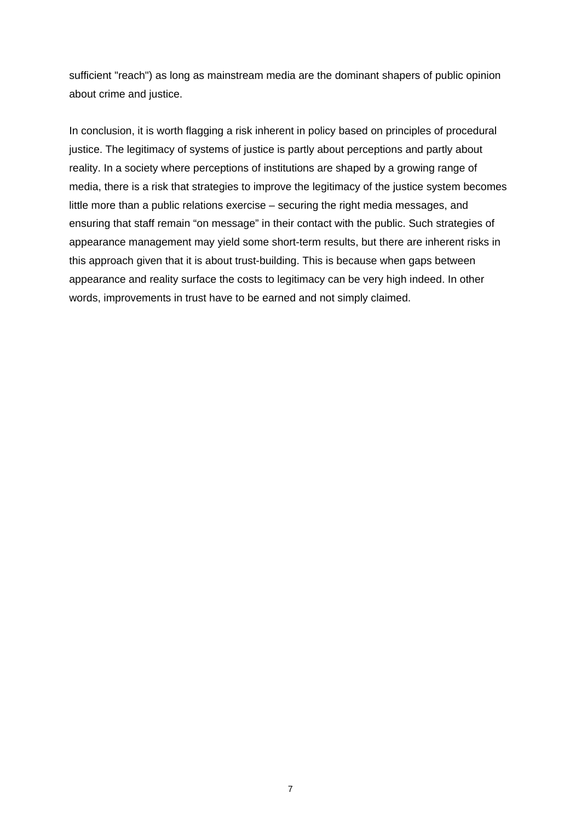sufficient "reach") as long as mainstream media are the dominant shapers of public opinion about crime and justice.

In conclusion, it is worth flagging a risk inherent in policy based on principles of procedural justice. The legitimacy of systems of justice is partly about perceptions and partly about reality. In a society where perceptions of institutions are shaped by a growing range of media, there is a risk that strategies to improve the legitimacy of the justice system becomes little more than a public relations exercise – securing the right media messages, and ensuring that staff remain "on message" in their contact with the public. Such strategies of appearance management may yield some short-term results, but there are inherent risks in this approach given that it is about trust-building. This is because when gaps between appearance and reality surface the costs to legitimacy can be very high indeed. In other words, improvements in trust have to be earned and not simply claimed.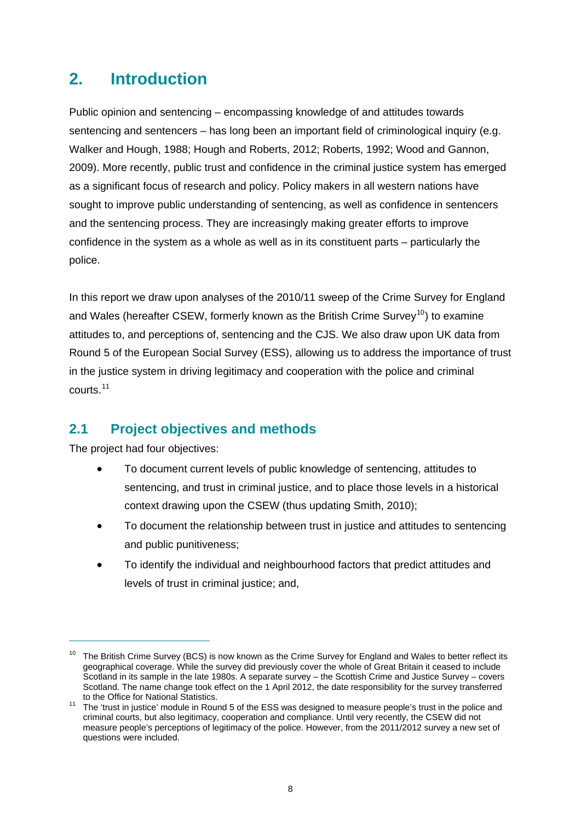# <span id="page-14-0"></span>**2. Introduction**

Public opinion and sentencing – encompassing knowledge of and attitudes towards sentencing and sentencers – has long been an important field of criminological inquiry (e.g. Walker and Hough, 1988; Hough and Roberts, 2012; Roberts, 1992; Wood and Gannon, 2009). More recently, public trust and confidence in the criminal justice system has emerged as a significant focus of research and policy. Policy makers in all western nations have sought to improve public understanding of sentencing, as well as confidence in sentencers and the sentencing process. They are increasingly making greater efforts to improve confidence in the system as a whole as well as in its constituent parts – particularly the police.

In this report we draw upon analyses of the 2010/11 sweep of the Crime Survey for England and Wales (hereafter CSEW, formerly known as the British Crime Survey<sup>[10](#page-14-2)</sup>) to examine attitudes to, and perceptions of, sentencing and the CJS. We also draw upon UK data from Round 5 of the European Social Survey (ESS), allowing us to address the importance of trust in the justice system in driving legitimacy and cooperation with the police and criminal courts.[11](#page-14-3)

# <span id="page-14-1"></span>**2.1 Project objectives and methods**

The project had four objectives:

- To document current levels of public knowledge of sentencing, attitudes to sentencing, and trust in criminal justice, and to place those levels in a historical context drawing upon the CSEW (thus updating Smith, 2010);
- To document the relationship between trust in justice and attitudes to sentencing and public punitiveness;
- To identify the individual and neighbourhood factors that predict attitudes and levels of trust in criminal justice; and,

<span id="page-14-2"></span> $10$  The British Crime Survey (BCS) is now known as the Crime Survey for England and Wales to better reflect its geographical coverage. While the survey did previously cover the whole of Great Britain it ceased to include Scotland in its sample in the late 1980s. A separate survey – the Scottish Crime and Justice Survey – covers Scotland. The name change took effect on the 1 April 2012, the date responsibility for the survey transferred to the Office for National Statistics.

<span id="page-14-3"></span>to the Office for National Statistics.<br><sup>11</sup> The 'trust in justice' module in Round 5 of the ESS was designed to measure people's trust in the police and criminal courts, but also legitimacy, cooperation and compliance. Until very recently, the CSEW did not measure people's perceptions of legitimacy of the police. However, from the 2011/2012 survey a new set of questions were included.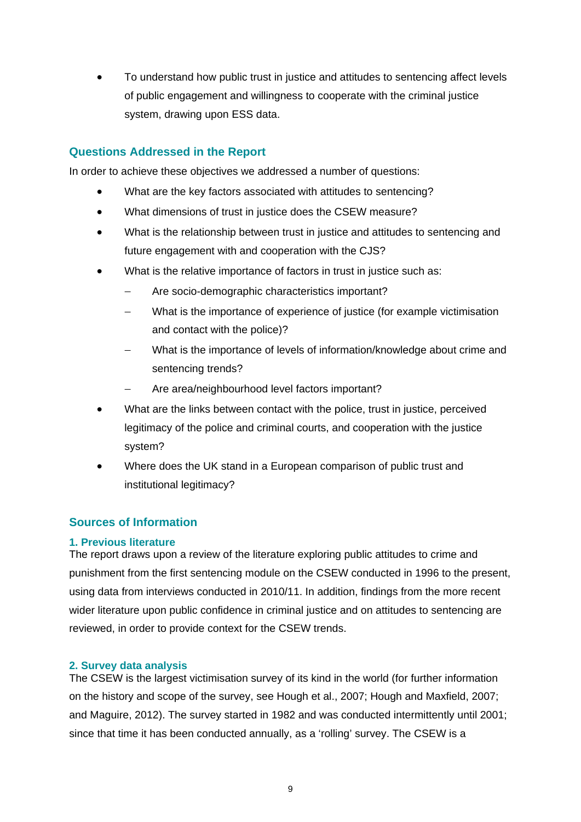To understand how public trust in justice and attitudes to sentencing affect levels of public engagement and willingness to cooperate with the criminal justice system, drawing upon ESS data.

#### **Questions Addressed in the Report**

In order to achieve these objectives we addressed a number of questions:

- What are the key factors associated with attitudes to sentencing?
- What dimensions of trust in justice does the CSEW measure?
- What is the relationship between trust in justice and attitudes to sentencing and future engagement with and cooperation with the CJS?
- What is the relative importance of factors in trust in justice such as:
	- Are socio-demographic characteristics important?
	- What is the importance of experience of justice (for example victimisation and contact with the police)?
	- What is the importance of levels of information/knowledge about crime and sentencing trends?
	- Are area/neighbourhood level factors important?
- What are the links between contact with the police, trust in justice, perceived legitimacy of the police and criminal courts, and cooperation with the justice system?
- Where does the UK stand in a European comparison of public trust and institutional legitimacy?

## **Sources of Information**

#### **1. Previous literature**

The report draws upon a review of the literature exploring public attitudes to crime and punishment from the first sentencing module on the CSEW conducted in 1996 to the present, using data from interviews conducted in 2010/11. In addition, findings from the more recent wider literature upon public confidence in criminal justice and on attitudes to sentencing are reviewed, in order to provide context for the CSEW trends.

#### **2. Survey data analysis**

The CSEW is the largest victimisation survey of its kind in the world (for further information on the history and scope of the survey, see Hough et al., 2007; Hough and Maxfield, 2007; and Maguire, 2012). The survey started in 1982 and was conducted intermittently until 2001; since that time it has been conducted annually, as a 'rolling' survey. The CSEW is a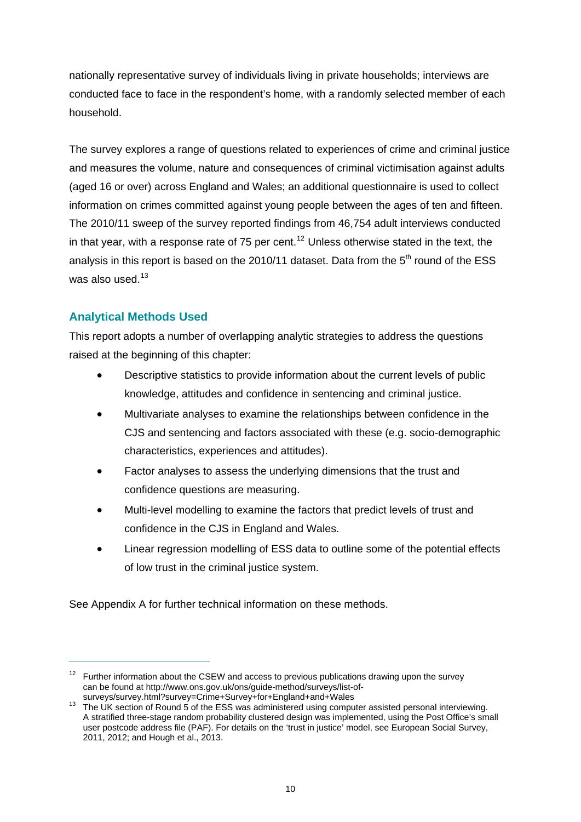nationally representative survey of individuals living in private households; interviews are conducted face to face in the respondent's home, with a randomly selected member of each household.

The survey explores a range of questions related to experiences of crime and criminal justice and measures the volume, nature and consequences of criminal victimisation against adults (aged 16 or over) across England and Wales; an additional questionnaire is used to collect information on crimes committed against young people between the ages of ten and fifteen. The 2010/11 sweep of the survey reported findings from 46,754 adult interviews conducted in that year, with a response rate of 75 per cent.<sup>[12](#page-16-0)</sup> Unless otherwise stated in the text, the analysis in this report is based on the 2010/11 dataset. Data from the  $5<sup>th</sup>$  round of the ESS was also used.<sup>[13](#page-16-1)</sup>

## **Analytical Methods Used**

 $\overline{a}$ 

This report adopts a number of overlapping analytic strategies to address the questions raised at the beginning of this chapter:

- Descriptive statistics to provide information about the current levels of public knowledge, attitudes and confidence in sentencing and criminal justice.
- Multivariate analyses to examine the relationships between confidence in the CJS and sentencing and factors associated with these (e.g. socio-demographic characteristics, experiences and attitudes).
- Factor analyses to assess the underlying dimensions that the trust and confidence questions are measuring.
- Multi-level modelling to examine the factors that predict levels of trust and confidence in the CJS in England and Wales.
- Linear regression modelling of ESS data to outline some of the potential effects of low trust in the criminal justice system.

See [Appendix A](#page-81-0) for further technical information on these methods.

<span id="page-16-0"></span> $12$  Further information about the CSEW and access to previous publications drawing upon the survey can be found at [http://www.ons.gov.uk/ons/guide-method/surveys/list-of-](http://www.ons.gov.uk/ons/guide-method/surveys/list-of-surveys/survey.html?survey=Crime+Survey+for+England+and+Wales)

<span id="page-16-1"></span>surveys/survey.html?survey=Crime+Survey+for+England+and+Wales<br><sup>13</sup> The UK section of Round 5 of the ESS was administered using computer assisted personal interviewing. A stratified three-stage random probability clustered design was implemented, using the Post Office's small user postcode address file (PAF). For details on the 'trust in justice' model, see European Social Survey, 2011, 2012; and Hough et al., 2013.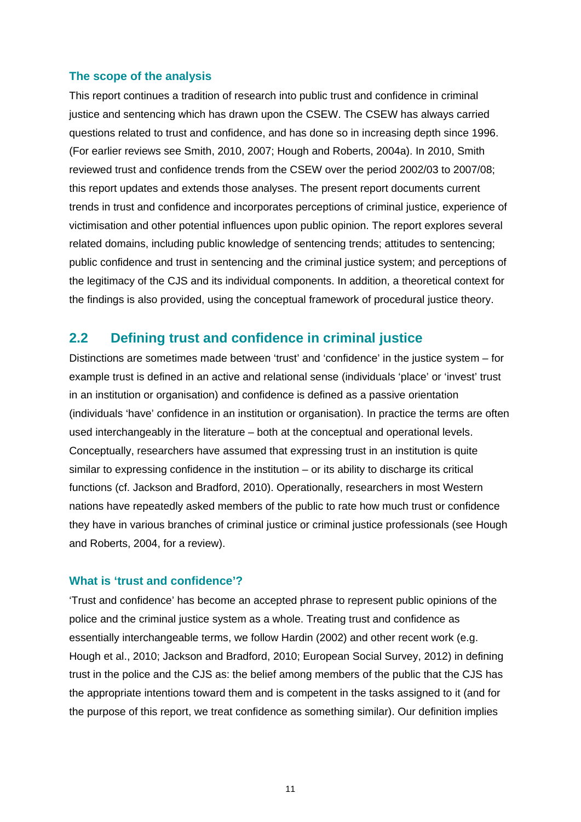#### **The scope of the analysis**

This report continues a tradition of research into public trust and confidence in criminal justice and sentencing which has drawn upon the CSEW. The CSEW has always carried questions related to trust and confidence, and has done so in increasing depth since 1996. (For earlier reviews see Smith, 2010, 2007; Hough and Roberts, 2004a). In 2010, Smith reviewed trust and confidence trends from the CSEW over the period 2002/03 to 2007/08; this report updates and extends those analyses. The present report documents current trends in trust and confidence and incorporates perceptions of criminal justice, experience of victimisation and other potential influences upon public opinion. The report explores several related domains, including public knowledge of sentencing trends; attitudes to sentencing; public confidence and trust in sentencing and the criminal justice system; and perceptions of the legitimacy of the CJS and its individual components. In addition, a theoretical context for the findings is also provided, using the conceptual framework of procedural justice theory.

## <span id="page-17-0"></span>**2.2 Defining trust and confidence in criminal justice**

Distinctions are sometimes made between 'trust' and 'confidence' in the justice system – for example trust is defined in an active and relational sense (individuals 'place' or 'invest' trust in an institution or organisation) and confidence is defined as a passive orientation (individuals 'have' confidence in an institution or organisation). In practice the terms are often used interchangeably in the literature – both at the conceptual and operational levels. Conceptually, researchers have assumed that expressing trust in an institution is quite similar to expressing confidence in the institution – or its ability to discharge its critical functions (cf. Jackson and Bradford, 2010). Operationally, researchers in most Western nations have repeatedly asked members of the public to rate how much trust or confidence they have in various branches of criminal justice or criminal justice professionals (see Hough and Roberts, 2004, for a review).

#### **What is 'trust and confidence'?**

'Trust and confidence' has become an accepted phrase to represent public opinions of the police and the criminal justice system as a whole. Treating trust and confidence as essentially interchangeable terms, we follow Hardin (2002) and other recent work (e.g. Hough et al., 2010; Jackson and Bradford, 2010; European Social Survey, 2012) in defining trust in the police and the CJS as: the belief among members of the public that the CJS has the appropriate intentions toward them and is competent in the tasks assigned to it (and for the purpose of this report, we treat confidence as something similar). Our definition implies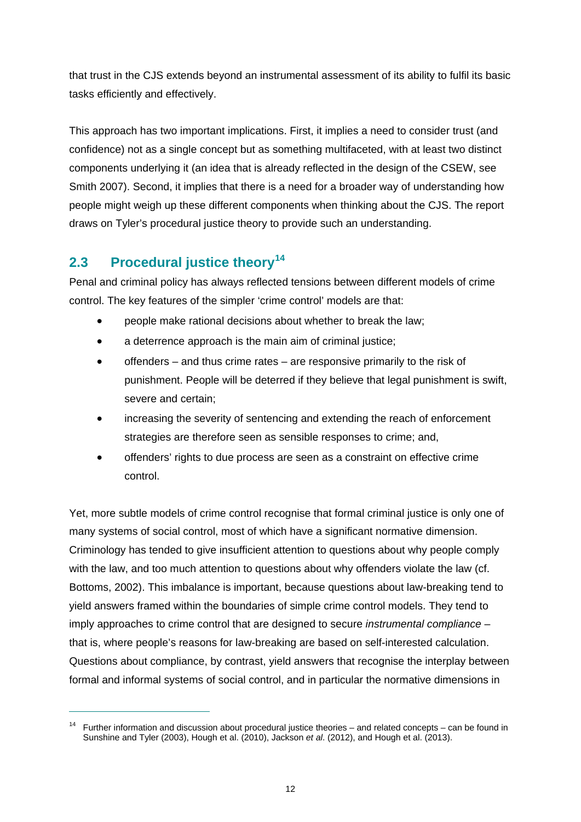that trust in the CJS extends beyond an instrumental assessment of its ability to fulfil its basic tasks efficiently and effectively.

This approach has two important implications. First, it implies a need to consider trust (and confidence) not as a single concept but as something multifaceted, with at least two distinct components underlying it (an idea that is already reflected in the design of the CSEW, see Smith 2007). Second, it implies that there is a need for a broader way of understanding how people might weigh up these different components when thinking about the CJS. The report draws on Tyler's procedural justice theory to provide such an understanding.

# <span id="page-18-0"></span>**2.3 Procedural justice theory[14](#page-18-1)**

 $\overline{a}$ 

Penal and criminal policy has always reflected tensions between different models of crime control. The key features of the simpler 'crime control' models are that:

- people make rational decisions about whether to break the law;
- a deterrence approach is the main aim of criminal justice;
- offenders and thus crime rates are responsive primarily to the risk of punishment. People will be deterred if they believe that legal punishment is swift, severe and certain;
- increasing the severity of sentencing and extending the reach of enforcement strategies are therefore seen as sensible responses to crime; and,
- offenders' rights to due process are seen as a constraint on effective crime control.

Yet, more subtle models of crime control recognise that formal criminal justice is only one of many systems of social control, most of which have a significant normative dimension. Criminology has tended to give insufficient attention to questions about why people comply with the law, and too much attention to questions about why offenders violate the law (cf. Bottoms, 2002). This imbalance is important, because questions about law-breaking tend to yield answers framed within the boundaries of simple crime control models. They tend to imply approaches to crime control that are designed to secure *instrumental compliance* – that is, where people's reasons for law-breaking are based on self-interested calculation. Questions about compliance, by contrast, yield answers that recognise the interplay between formal and informal systems of social control, and in particular the normative dimensions in

<span id="page-18-1"></span> $14$  Further information and discussion about procedural justice theories – and related concepts – can be found in Sunshine and Tyler (2003), Hough et al. (2010), Jackson *et al*. (2012), and Hough et al. (2013).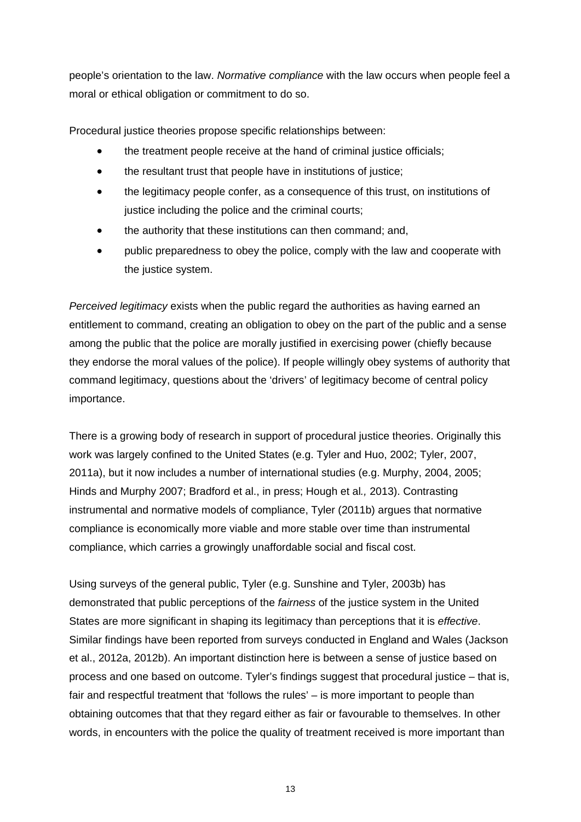people's orientation to the law. *Normative compliance* with the law occurs when people feel a moral or ethical obligation or commitment to do so.

Procedural justice theories propose specific relationships between:

- the treatment people receive at the hand of criminal justice officials;
- the resultant trust that people have in institutions of justice;
- the legitimacy people confer, as a consequence of this trust, on institutions of justice including the police and the criminal courts:
- the authority that these institutions can then command; and,
- public preparedness to obey the police, comply with the law and cooperate with the justice system.

*Perceived legitimacy* exists when the public regard the authorities as having earned an entitlement to command, creating an obligation to obey on the part of the public and a sense among the public that the police are morally justified in exercising power (chiefly because they endorse the moral values of the police). If people willingly obey systems of authority that command legitimacy, questions about the 'drivers' of legitimacy become of central policy importance.

There is a growing body of research in support of procedural justice theories. Originally this work was largely confined to the United States (e.g. Tyler and Huo, 2002; Tyler, 2007, 2011a), but it now includes a number of international studies (e.g. Murphy, 2004, 2005; Hinds and Murphy 2007; Bradford et al., in press; Hough et al*.,* 2013). Contrasting instrumental and normative models of compliance, Tyler (2011b) argues that normative compliance is economically more viable and more stable over time than instrumental compliance, which carries a growingly unaffordable social and fiscal cost.

Using surveys of the general public, Tyler (e.g. Sunshine and Tyler, 2003b) has demonstrated that public perceptions of the *fairness* of the justice system in the United States are more significant in shaping its legitimacy than perceptions that it is *effective*. Similar findings have been reported from surveys conducted in England and Wales (Jackson et al., 2012a, 2012b). An important distinction here is between a sense of justice based on process and one based on outcome. Tyler's findings suggest that procedural justice – that is, fair and respectful treatment that 'follows the rules' – is more important to people than obtaining outcomes that that they regard either as fair or favourable to themselves. In other words, in encounters with the police the quality of treatment received is more important than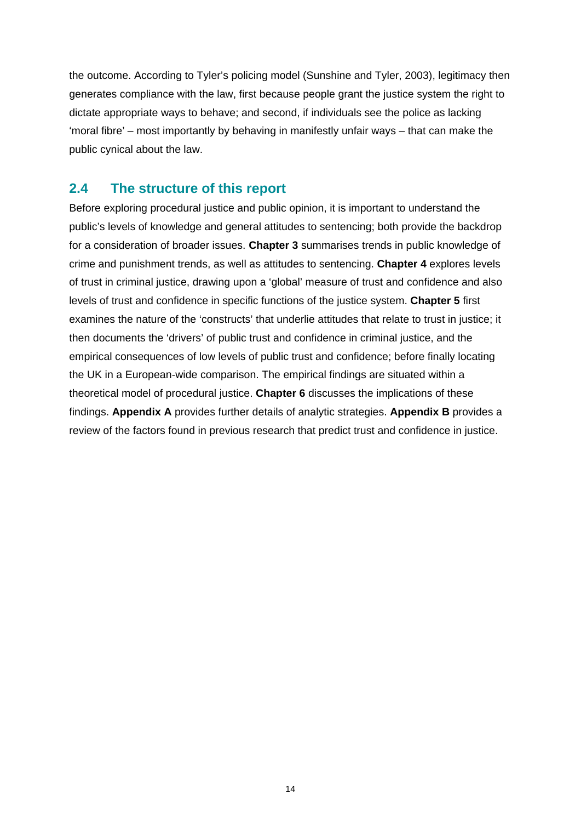the outcome. According to Tyler's policing model (Sunshine and Tyler, 2003), legitimacy then generates compliance with the law, first because people grant the justice system the right to dictate appropriate ways to behave; and second, if individuals see the police as lacking 'moral fibre' – most importantly by behaving in manifestly unfair ways – that can make the public cynical about the law.

## <span id="page-20-0"></span>**2.4 The structure of this report**

Before exploring procedural justice and public opinion, it is important to understand the public's levels of knowledge and general attitudes to sentencing; both provide the backdrop for a consideration of broader issues. **[Chapter 3](#page-21-0)** summarises trends in public knowledge of crime and punishment trends, as well as attitudes to sentencing. **[Chapter 4](#page-34-0)** explores levels of trust in criminal justice, drawing upon a 'global' measure of trust and confidence and also levels of trust and confidence in specific functions of the justice system. **[Chapter 5](#page-44-0)** first examines the nature of the 'constructs' that underlie attitudes that relate to trust in justice; it then documents the 'drivers' of public trust and confidence in criminal justice, and the empirical consequences of low levels of public trust and confidence; before finally locating the UK in a European-wide comparison. The empirical findings are situated within a theoretical model of procedural justice. **[Chapter 6](#page-59-0)** discusses the implications of these findings. **[Appendix A](#page-81-0)** provides further details of analytic strategies. **[Appendix B](#page-85-0)** provides a review of the factors found in previous research that predict trust and confidence in justice.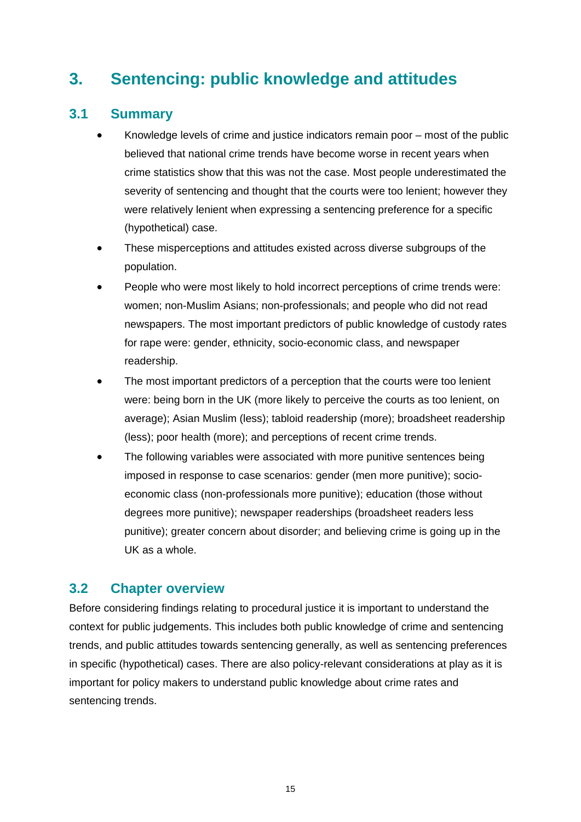# <span id="page-21-0"></span>**3. Sentencing: public knowledge and attitudes**

## <span id="page-21-1"></span>**3.1 Summary**

- Knowledge levels of crime and justice indicators remain poor most of the public believed that national crime trends have become worse in recent years when crime statistics show that this was not the case. Most people underestimated the severity of sentencing and thought that the courts were too lenient; however they were relatively lenient when expressing a sentencing preference for a specific (hypothetical) case.
- These misperceptions and attitudes existed across diverse subgroups of the population.
- People who were most likely to hold incorrect perceptions of crime trends were: women; non-Muslim Asians; non-professionals; and people who did not read newspapers. The most important predictors of public knowledge of custody rates for rape were: gender, ethnicity, socio-economic class, and newspaper readership.
- The most important predictors of a perception that the courts were too lenient were: being born in the UK (more likely to perceive the courts as too lenient, on average); Asian Muslim (less); tabloid readership (more); broadsheet readership (less); poor health (more); and perceptions of recent crime trends.
- The following variables were associated with more punitive sentences being imposed in response to case scenarios: gender (men more punitive); socioeconomic class (non-professionals more punitive); education (those without degrees more punitive); newspaper readerships (broadsheet readers less punitive); greater concern about disorder; and believing crime is going up in the UK as a whole.

# <span id="page-21-2"></span>**3.2 Chapter overview**

Before considering findings relating to procedural justice it is important to understand the context for public judgements. This includes both public knowledge of crime and sentencing trends, and public attitudes towards sentencing generally, as well as sentencing preferences in specific (hypothetical) cases. There are also policy-relevant considerations at play as it is important for policy makers to understand public knowledge about crime rates and sentencing trends.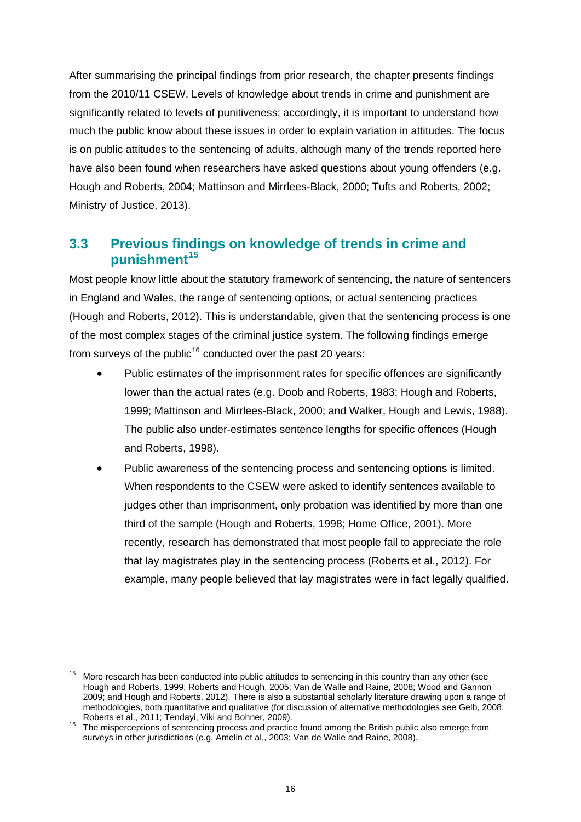After summarising the principal findings from prior research, the chapter presents findings from the 2010/11 CSEW. Levels of knowledge about trends in crime and punishment are significantly related to levels of punitiveness; accordingly, it is important to understand how much the public know about these issues in order to explain variation in attitudes. The focus is on public attitudes to the sentencing of adults, although many of the trends reported here have also been found when researchers have asked questions about young offenders (e.g. Hough and Roberts, 2004; Mattinson and Mirrlees-Black, 2000; Tufts and Roberts, 2002; Ministry of Justice, 2013).

# <span id="page-22-0"></span>**3.3 Previous find[in](#page-22-1)gs on knowledge of trends in crime and punishment[15](#page-22-1)**

Most people know little about the statutory framework of sentencing, the nature of sentencers in England and Wales, the range of sentencing options, or actual sentencing practices (Hough and Roberts, 2012). This is understandable, given that the sentencing process is one of the most complex stages of the criminal justice system. The following findings emerge from surveys of the public<sup>[16](#page-22-2)</sup> conducted over the past 20 years:

- Public estimates of the imprisonment rates for specific offences are significantly lower than the actual rates (e.g. Doob and Roberts, 1983; Hough and Roberts, 1999; Mattinson and Mirrlees-Black, 2000; and Walker, Hough and Lewis, 1988). The public also under-estimates sentence lengths for specific offences (Hough and Roberts, 1998).
- Public awareness of the sentencing process and sentencing options is limited. When respondents to the CSEW were asked to identify sentences available to judges other than imprisonment, only probation was identified by more than one third of the sample (Hough and Roberts, 1998; Home Office, 2001). More recently, research has demonstrated that most people fail to appreciate the role that lay magistrates play in the sentencing process (Roberts et al., 2012). For example, many people believed that lay magistrates were in fact legally qualified.

<span id="page-22-1"></span><sup>&</sup>lt;sup>15</sup> More research has been conducted into public attitudes to sentencing in this country than any other (see Hough and Roberts, 1999; Roberts and Hough, 2005; Van de Walle and Raine, 2008; Wood and Gannon 2009; and Hough and Roberts, 2012). There is also a substantial scholarly literature drawing upon a range of methodologies, both quantitative and qualitative (for discussion of alternative methodologies see Gelb, 2008;

<span id="page-22-2"></span>Roberts et al., 2011; Tendayi, Viki and Bohner, 2009). 16 The misperceptions of sentencing process and practice found among the British public also emerge from surveys in other jurisdictions (e.g. Amelin et al., 2003; Van de Walle and Raine, 2008).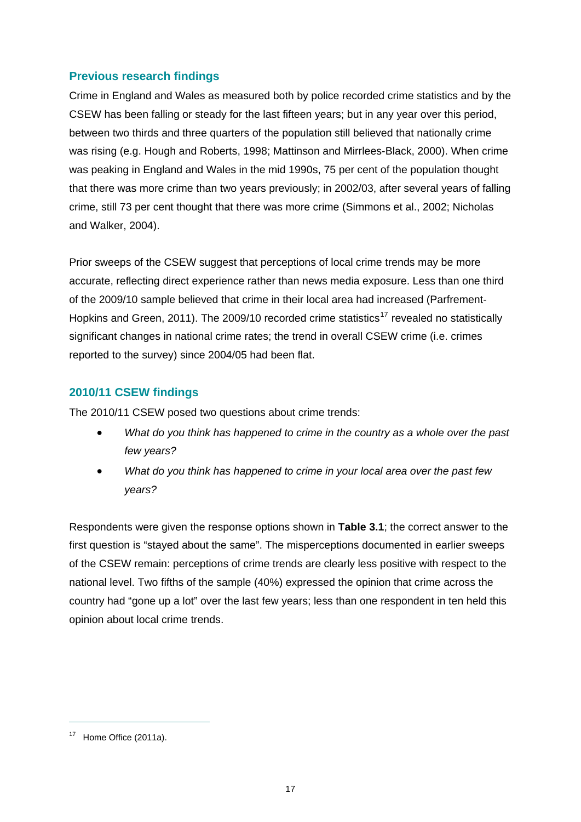## **Previous research findings**

Crime in England and Wales as measured both by police recorded crime statistics and by the CSEW has been falling or steady for the last fifteen years; but in any year over this period, between two thirds and three quarters of the population still believed that nationally crime was rising (e.g. Hough and Roberts, 1998; Mattinson and Mirrlees-Black, 2000). When crime was peaking in England and Wales in the mid 1990s, 75 per cent of the population thought that there was more crime than two years previously; in 2002/03, after several years of falling crime, still 73 per cent thought that there was more crime (Simmons et al., 2002; Nicholas and Walker, 2004).

Prior sweeps of the CSEW suggest that perceptions of local crime trends may be more accurate, reflecting direct experience rather than news media exposure. Less than one third of the 2009/10 sample believed that crime in their local area had increased (Parfrement-Hopkins and Green, 2011). The 2009/10 recorded crime statistics<sup>[17](#page-23-0)</sup> revealed no statistically significant changes in national crime rates; the trend in overall CSEW crime (i.e. crimes reported to the survey) since 2004/05 had been flat.

#### **2010/11 CSEW findings**

The 2010/11 CSEW posed two questions about crime trends:

- *What do you think has happened to crime in the country as a whole over the past few years?*
- *What do you think has happened to crime in your local area over the past few years?*

Respondents were given the response options shown in **[Table 3.1](#page-24-0)**; the correct answer to the first question is "stayed about the same". The misperceptions documented in earlier sweeps of the CSEW remain: perceptions of crime trends are clearly less positive with respect to the national level. Two fifths of the sample (40%) expressed the opinion that crime across the country had "gone up a lot" over the last few years; less than one respondent in ten held this opinion about local crime trends.

<span id="page-23-0"></span><sup>&</sup>lt;sup>17</sup> Home Office (2011a).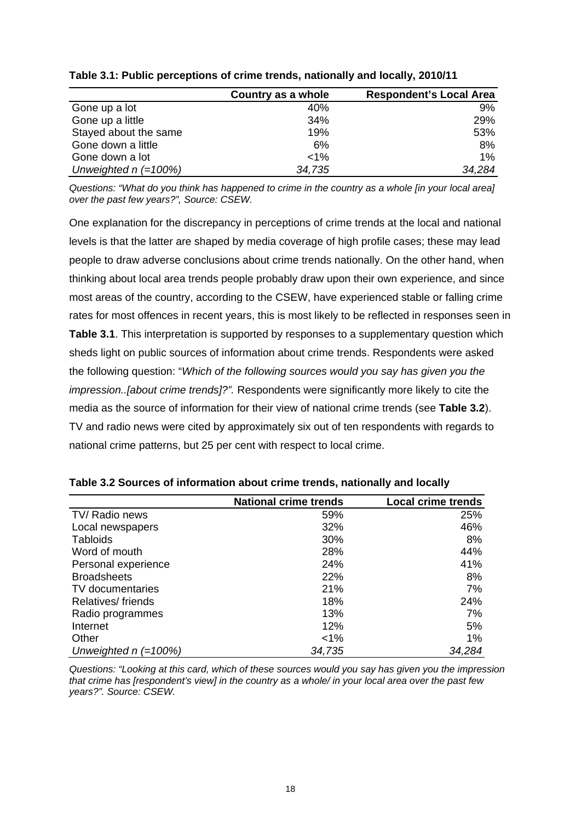|                        | Country as a whole | <b>Respondent's Local Area</b> |
|------------------------|--------------------|--------------------------------|
| Gone up a lot          | 40%                | 9%                             |
| Gone up a little       | 34%                | 29%                            |
| Stayed about the same  | 19%                | 53%                            |
| Gone down a little     | 6%                 | 8%                             |
| Gone down a lot        | $1\%$              | $1\%$                          |
| Unweighted $n (=100%)$ | 34,735             | 34,284                         |

<span id="page-24-0"></span>**Table 3.1: Public perceptions of crime trends, nationally and locally, 2010/11** 

*Questions: "What do you think has happened to crime in the country as a whole [in your local area] over the past few years?", Source: CSEW.* 

One explanation for the discrepancy in perceptions of crime trends at the local and national levels is that the latter are shaped by media coverage of high profile cases; these may lead people to draw adverse conclusions about crime trends nationally. On the other hand, when thinking about local area trends people probably draw upon their own experience, and since most areas of the country, according to the CSEW, have experienced stable or falling crime rates for most offences in recent years, this is most likely to be reflected in responses seen in **[Table 3.1](#page-24-0)**. This interpretation is supported by responses to a supplementary question which sheds light on public sources of information about crime trends. Respondents were asked the following question: "*Which of the following sources would you say has given you the impression..[about crime trends]?".* Respondents were significantly more likely to cite the media as the source of information for their view of national crime trends (see **[Table 3.2](#page-24-1)**). TV and radio news were cited by approximately six out of ten respondents with regards to national crime patterns, but 25 per cent with respect to local crime.

|                        | <b>National crime trends</b> | <b>Local crime trends</b> |
|------------------------|------------------------------|---------------------------|
| TV/ Radio news         | 59%                          | 25%                       |
| Local newspapers       | 32%                          | 46%                       |
| <b>Tabloids</b>        | 30%                          | 8%                        |
| Word of mouth          | 28%                          | 44%                       |
| Personal experience    | 24%                          | 41%                       |
| <b>Broadsheets</b>     | 22%                          | 8%                        |
| TV documentaries       | 21%                          | 7%                        |
| Relatives/ friends     | 18%                          | 24%                       |
| Radio programmes       | 13%                          | 7%                        |
| Internet               | 12%                          | 5%                        |
| Other                  | $< 1\%$                      | 1%                        |
| Unweighted $n (=100%)$ | 34,735                       | 34,284                    |

<span id="page-24-1"></span>

| Table 3.2 Sources of information about crime trends, nationally and locally |  |  |  |
|-----------------------------------------------------------------------------|--|--|--|
|-----------------------------------------------------------------------------|--|--|--|

*Questions: "Looking at this card, which of these sources would you say has given you the impression that crime has [respondent's view] in the country as a whole/ in your local area over the past few years?". Source: CSEW.*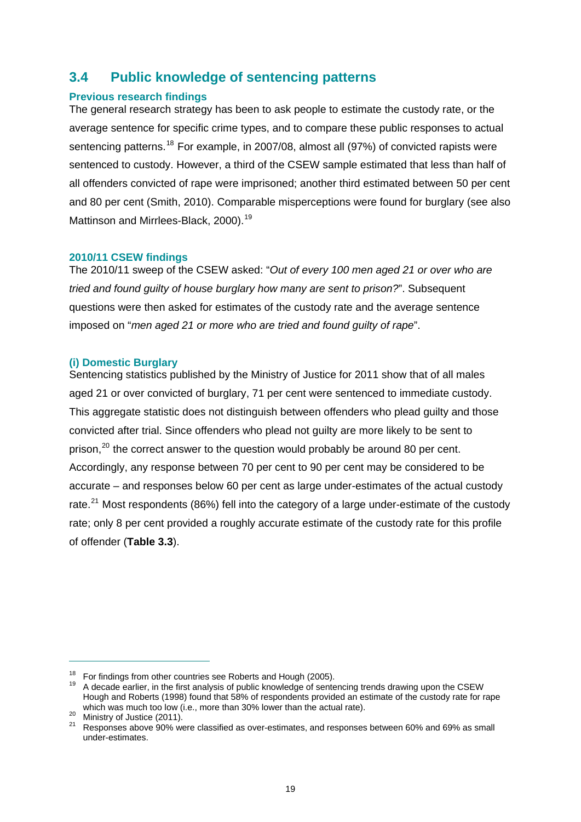# <span id="page-25-0"></span>**3.4 Public knowledge of sentencing patterns**

#### **Previous research findings**

The general research strategy has been to ask people to estimate the custody rate, or the average sentence for specific crime types, and to compare these public responses to actual sentencing patterns.<sup>[18](#page-25-1)</sup> For example, in 2007/08, almost all (97%) of convicted rapists were sentenced to custody. However, a third of the CSEW sample estimated that less than half of all offenders convicted of rape were imprisoned; another third estimated between 50 per cent and 80 per cent (Smith, 2010). Comparable misperceptions were found for burglary (see also Mattinson and Mirrlees-Black, 2000).<sup>[19](#page-25-2)</sup>

#### **2010/11 CSEW findings**

The 2010/11 sweep of the CSEW asked: "*Out of every 100 men aged 21 or over who are tried and found guilty of house burglary how many are sent to prison?*". Subsequent questions were then asked for estimates of the custody rate and the average sentence imposed on "*men aged 21 or more who are tried and found guilty of rape*".

#### **(i) Domestic Burglary**

Sentencing statistics published by the Ministry of Justice for 2011 show that of all males aged 21 or over convicted of burglary, 71 per cent were sentenced to immediate custody. This aggregate statistic does not distinguish between offenders who plead guilty and those convicted after trial. Since offenders who plead not guilty are more likely to be sent to prison,<sup>[20](#page-25-3)</sup> the correct answer to the question would probably be around 80 per cent. Accordingly, any response between 70 per cent to 90 per cent may be considered to be accurate – and responses below 60 per cent as large under-estimates of the actual custody rate. $^{21}$  $^{21}$  $^{21}$  Most respondents (86%) fell into the category of a large under-estimate of the custody rate; only 8 per cent provided a roughly accurate estimate of the custody rate for this profile of offender (**[Table 3.3](#page-26-0)**).

<span id="page-25-2"></span><span id="page-25-1"></span><sup>&</sup>lt;sup>18</sup> For findings from other countries see Roberts and Hough (2005).<br><sup>19</sup> A decade earlier, in the first analysis of public knowledge of sentencing trends drawing upon the CSEW Hough and Roberts (1998) found that 58% of respondents provided an estimate of the custody rate for rape

<span id="page-25-4"></span>

<span id="page-25-3"></span>which was much too low (i.e., more than 30% lower than the actual rate).<br><sup>20</sup> Ministry of Justice (2011).<br><sup>21</sup> Responses above 90% were classified as over-estimates, and responses between 60% and 69% as small under-estimates.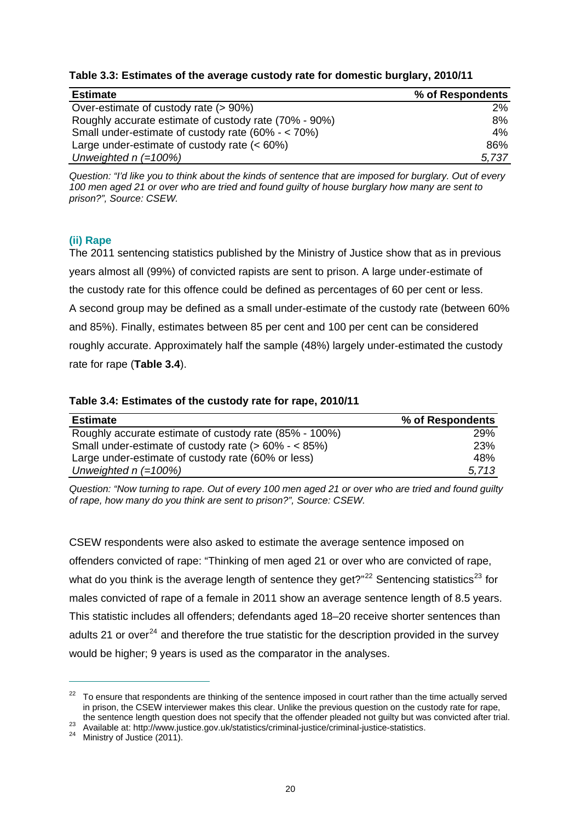| <b>Estimate</b>                                       | % of Respondents |
|-------------------------------------------------------|------------------|
| Over-estimate of custody rate (> 90%)                 | $2\%$            |
| Roughly accurate estimate of custody rate (70% - 90%) | 8%               |
| Small under-estimate of custody rate (60% - < 70%)    | 4%               |
| Large under-estimate of custody rate $(< 60\%)$       | 86%              |
| Unweighted $n (=100%)$                                | 5,737            |

<span id="page-26-0"></span>**Table 3.3: Estimates of the average custody rate for domestic burglary, 2010/11** 

*Question: "I'd like you to think about the kinds of sentence that are imposed for burglary. Out of every 100 men aged 21 or over who are tried and found guilty of house burglary how many are sent to prison?", Source: CSEW.* 

#### **(ii) Rape**

The 2011 sentencing statistics published by the Ministry of Justice show that as in previous years almost all (99%) of convicted rapists are sent to prison. A large under-estimate of the custody rate for this offence could be defined as percentages of 60 per cent or less. A second group may be defined as a small under-estimate of the custody rate (between 60% and 85%). Finally, estimates between 85 per cent and 100 per cent can be considered roughly accurate. Approximately half the sample (48%) largely under-estimated the custody rate for rape (**[Table 3.4](#page-26-1)**).

#### <span id="page-26-1"></span>**Table 3.4: Estimates of the custody rate for rape, 2010/11**

| <b>Estimate</b>                                        | % of Respondents |
|--------------------------------------------------------|------------------|
| Roughly accurate estimate of custody rate (85% - 100%) | 29%              |
| Small under-estimate of custody rate $(>60\% - <85\%)$ | <b>23%</b>       |
| Large under-estimate of custody rate (60% or less)     | 48%              |
| Unweighted $n (=100%)$                                 | 5.713            |

*Question: "Now turning to rape. Out of every 100 men aged 21 or over who are tried and found guilty of rape, how many do you think are sent to prison?", Source: CSEW.*

CSEW respondents were also asked to estimate the average sentence imposed on offenders convicted of rape: "Thinking of men aged 21 or over who are convicted of rape, what do you think is the average length of sentence they get? $n^{22}$  $n^{22}$  $n^{22}$  Sentencing statistics<sup>[23](#page-26-3)</sup> for males convicted of rape of a female in 2011 show an average sentence length of 8.5 years. This statistic includes all offenders; defendants aged 18–20 receive shorter sentences than adults 21 or over<sup>[24](#page-26-4)</sup> and therefore the true statistic for the description provided in the survey would be higher; 9 years is used as the comparator in the analyses.

<span id="page-26-2"></span><sup>&</sup>lt;sup>22</sup> To ensure that respondents are thinking of the sentence imposed in court rather than the time actually served in prison, the CSEW interviewer makes this clear. Unlike the previous question on the custody rate for rape,

<span id="page-26-3"></span>the sentence [length question does not specify that the offender pleaded not guilty but wa](http://www.justice.gov.uk/statistics/criminal-justice/criminal-justice-statistics)s convicted after trial.<br><sup>23</sup> Available at: <http://www.justice.gov.uk/statistics/criminal-justice/criminal-justice-statistics>.<br><sup>24</sup> M

<span id="page-26-4"></span>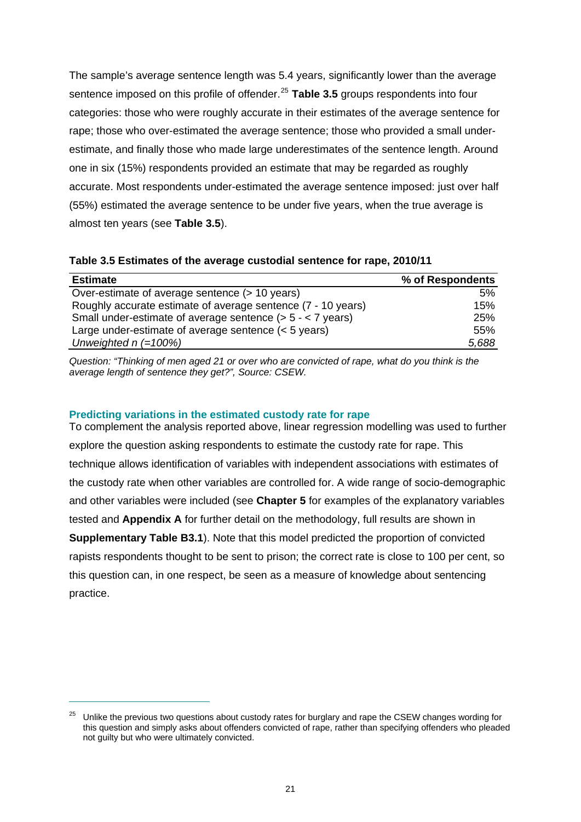The sample's average sentence length was 5.4 years, significantly lower than the average sentence imposed on this profile of offender.<sup>[25](#page-27-1)</sup> [Table 3.5](#page-27-0) groups respondents into four categories: those who were roughly accurate in their estimates of the average sentence for rape; those who over-estimated the average sentence; those who provided a small underestimate, and finally those who made large underestimates of the sentence length. Around one in six (15%) respondents provided an estimate that may be regarded as roughly accurate. Most respondents under-estimated the average sentence imposed: just over half (55%) estimated the average sentence to be under five years, when the true average is almost ten years (see **[Table 3.5](#page-27-0)**).

| <b>Estimate</b>                                                 | % of Respondents |
|-----------------------------------------------------------------|------------------|
| Over-estimate of average sentence (> 10 years)                  | 5%               |
| Roughly accurate estimate of average sentence (7 - 10 years)    | 15%              |
| Small under-estimate of average sentence $($ > 5 - $<$ 7 years) | 25%              |
| Large under-estimate of average sentence $(< 5$ years)          | 55%              |
| Unweighted $n (=100%)$                                          | 5.688            |

<span id="page-27-0"></span>**Table 3.5 Estimates of the average custodial sentence for rape, 2010/11** 

*Question: "Thinking of men aged 21 or over who are convicted of rape, what do you think is the average length of sentence they get?", Source: CSEW.* 

#### **Predicting variations in the estimated custody rate for rape**

 $\overline{a}$ 

To complement the analysis reported above, linear regression modelling was used to further explore the question asking respondents to estimate the custody rate for rape. This technique allows identification of variables with independent associations with estimates of the custody rate when other variables are controlled for. A wide range of socio-demographic and other variables were included (see **[Chapter 5](#page-44-0)** for examples of the explanatory variables tested and **[Appendix A](#page-81-0)** for further detail on the methodology, full results are shown in **Supplementary Table B3.1**). Note that this model predicted the proportion of convicted rapists respondents thought to be sent to prison; the correct rate is close to 100 per cent, so this question can, in one respect, be seen as a measure of knowledge about sentencing practice.

<span id="page-27-1"></span><sup>&</sup>lt;sup>25</sup> Unlike the previous two questions about custody rates for burglary and rape the CSEW changes wording for this question and simply asks about offenders convicted of rape, rather than specifying offenders who pleaded not guilty but who were ultimately convicted.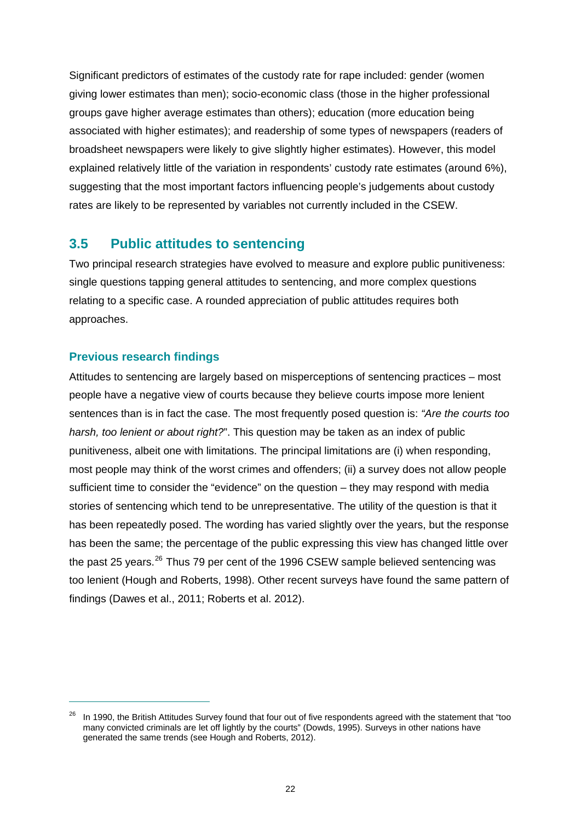Significant predictors of estimates of the custody rate for rape included: gender (women giving lower estimates than men); socio-economic class (those in the higher professional groups gave higher average estimates than others); education (more education being associated with higher estimates); and readership of some types of newspapers (readers of broadsheet newspapers were likely to give slightly higher estimates). However, this model explained relatively little of the variation in respondents' custody rate estimates (around 6%), suggesting that the most important factors influencing people's judgements about custody rates are likely to be represented by variables not currently included in the CSEW.

## <span id="page-28-0"></span>**3.5 Public attitudes to sentencing**

Two principal research strategies have evolved to measure and explore public punitiveness: single questions tapping general attitudes to sentencing, and more complex questions relating to a specific case. A rounded appreciation of public attitudes requires both approaches.

#### **Previous research findings**

 $\overline{a}$ 

Attitudes to sentencing are largely based on misperceptions of sentencing practices – most people have a negative view of courts because they believe courts impose more lenient sentences than is in fact the case. The most frequently posed question is: *"Are the courts too harsh, too lenient or about right?*". This question may be taken as an index of public punitiveness, albeit one with limitations. The principal limitations are (i) when responding, most people may think of the worst crimes and offenders; (ii) a survey does not allow people sufficient time to consider the "evidence" on the question – they may respond with media stories of sentencing which tend to be unrepresentative. The utility of the question is that it has been repeatedly posed. The wording has varied slightly over the years, but the response has been the same; the percentage of the public expressing this view has changed little over the past 25 years.<sup>[26](#page-28-1)</sup> Thus 79 per cent of the 1996 CSEW sample believed sentencing was too lenient (Hough and Roberts, 1998). Other recent surveys have found the same pattern of findings (Dawes et al., 2011; Roberts et al. 2012).

<span id="page-28-1"></span><sup>&</sup>lt;sup>26</sup> In 1990, the British Attitudes Survey found that four out of five respondents agreed with the statement that "too many convicted criminals are let off lightly by the courts" (Dowds, 1995). Surveys in other nations have generated the same trends (see Hough and Roberts, 2012).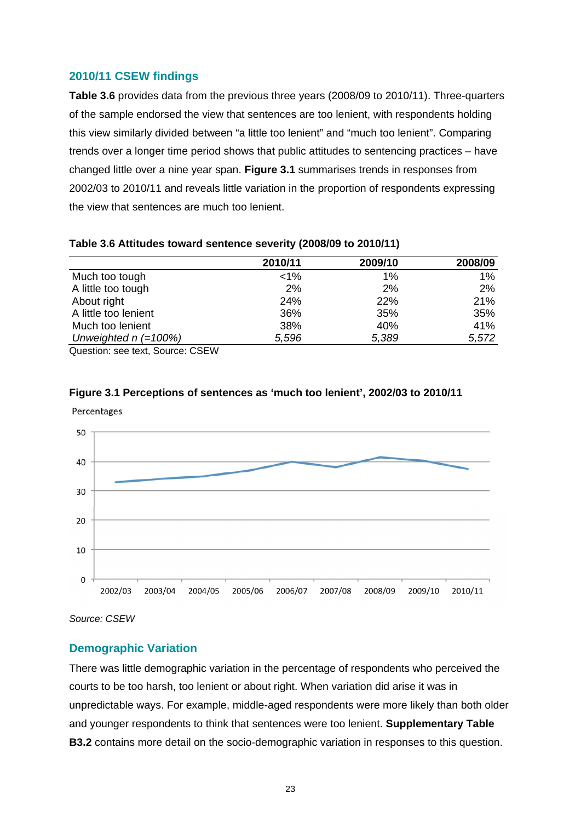#### **2010/11 CSEW findings**

**[Table 3.6](#page-29-0)** provides data from the previous three years (2008/09 to 2010/11). Three-quarters of the sample endorsed the view that sentences are too lenient, with respondents holding this view similarly divided between "a little too lenient" and "much too lenient". Comparing trends over a longer time period shows that public attitudes to sentencing practices – have changed little over a nine year span. **Figure 3.1** summarises trends in responses from 2002/03 to 2010/11 and reveals little variation in the proportion of respondents expressing the view that sentences are much too lenient.

|                        | 2010/11 | 2009/10 | 2008/09 |
|------------------------|---------|---------|---------|
| Much too tough         | $1\%$   | 1%      | $1\%$   |
| A little too tough     | 2%      | 2%      | 2%      |
| About right            | 24%     | 22%     | 21%     |
| A little too lenient   | 36%     | 35%     | 35%     |
| Much too lenient       | 38%     | 40%     | 41%     |
| Unweighted $n (=100%)$ | 5,596   | 5,389   | 5,572   |
| $Q_{\text{t}}$         |         |         |         |

#### <span id="page-29-0"></span>**Table 3.6 Attitudes toward sentence severity (2008/09 to 2010/11)**

Question: see text, Source: CSEW

<span id="page-29-1"></span>

#### **Figure 3.1 Perceptions of sentences as 'much too lenient', 2002/03 to 2010/11**

*Source: CSEW* 

#### **Demographic Variation**

There was little demographic variation in the percentage of respondents who perceived the courts to be too harsh, too lenient or about right. When variation did arise it was in unpredictable ways. For example, middle-aged respondents were more likely than both older and younger respondents to think that sentences were too lenient. **Supplementary Table B3.2** contains more detail on the socio-demographic variation in responses to this question.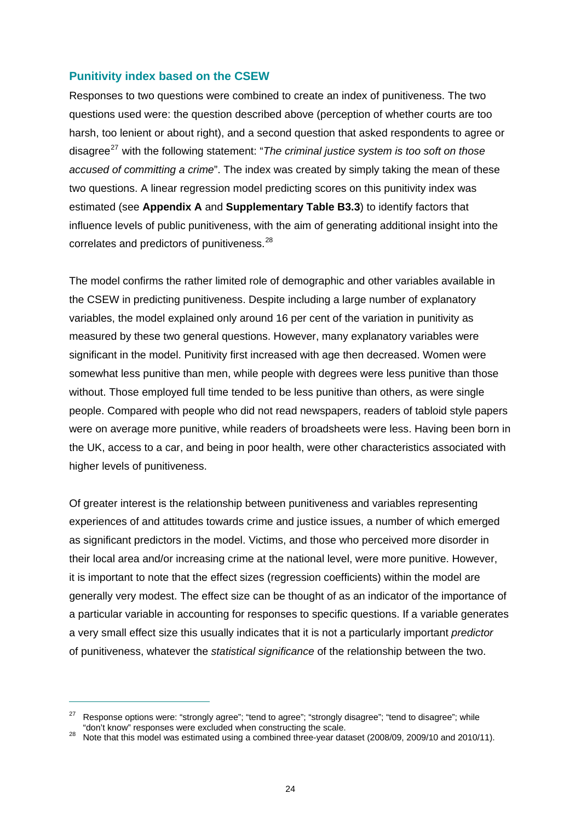#### **Punitivity index based on the CSEW**

Responses to two questions were combined to create an index of punitiveness. The two questions used were: the question described above (perception of whether courts are too harsh, too lenient or about right), and a second question that asked respondents to agree or disagree<sup>[27](#page-30-0)</sup> with the following statement: "*The criminal justice system is too soft on those accused of committing a crime*". The index was created by simply taking the mean of these two questions. A linear regression model predicting scores on this punitivity index was estimated (see **[Appendix A](#page-81-0)** and **Supplementary Table B3.3**) to identify factors that influence levels of public punitiveness, with the aim of generating additional insight into the correlates and predictors of punitiveness.<sup>[28](#page-30-1)</sup>

The model confirms the rather limited role of demographic and other variables available in the CSEW in predicting punitiveness. Despite including a large number of explanatory variables, the model explained only around 16 per cent of the variation in punitivity as measured by these two general questions. However, many explanatory variables were significant in the model. Punitivity first increased with age then decreased. Women were somewhat less punitive than men, while people with degrees were less punitive than those without. Those employed full time tended to be less punitive than others, as were single people. Compared with people who did not read newspapers, readers of tabloid style papers were on average more punitive, while readers of broadsheets were less. Having been born in the UK, access to a car, and being in poor health, were other characteristics associated with higher levels of punitiveness.

Of greater interest is the relationship between punitiveness and variables representing experiences of and attitudes towards crime and justice issues, a number of which emerged as significant predictors in the model. Victims, and those who perceived more disorder in their local area and/or increasing crime at the national level, were more punitive. However, it is important to note that the effect sizes (regression coefficients) within the model are generally very modest. The effect size can be thought of as an indicator of the importance of a particular variable in accounting for responses to specific questions. If a variable generates a very small effect size this usually indicates that it is not a particularly important *predictor* of punitiveness, whatever the *statistical significance* of the relationship between the two.

<span id="page-30-0"></span><sup>&</sup>lt;sup>27</sup> Response options were: "strongly agree"; "tend to agree"; "strongly disagree"; "tend to disagree"; while "don't know" responses were excluded when constructing the scale.

<span id="page-30-1"></span>Note that this model was estimated using a combined three-year dataset (2008/09, 2009/10 and 2010/11).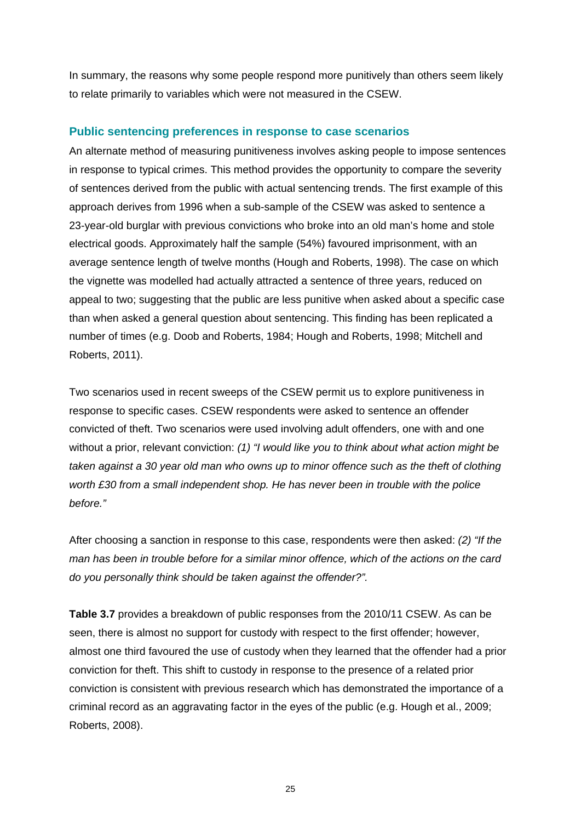In summary, the reasons why some people respond more punitively than others seem likely to relate primarily to variables which were not measured in the CSEW.

#### **Public sentencing preferences in response to case scenarios**

An alternate method of measuring punitiveness involves asking people to impose sentences in response to typical crimes. This method provides the opportunity to compare the severity of sentences derived from the public with actual sentencing trends. The first example of this approach derives from 1996 when a sub-sample of the CSEW was asked to sentence a 23-year-old burglar with previous convictions who broke into an old man's home and stole electrical goods. Approximately half the sample (54%) favoured imprisonment, with an average sentence length of twelve months (Hough and Roberts, 1998). The case on which the vignette was modelled had actually attracted a sentence of three years, reduced on appeal to two; suggesting that the public are less punitive when asked about a specific case than when asked a general question about sentencing. This finding has been replicated a number of times (e.g. Doob and Roberts, 1984; Hough and Roberts, 1998; Mitchell and Roberts, 2011).

Two scenarios used in recent sweeps of the CSEW permit us to explore punitiveness in response to specific cases. CSEW respondents were asked to sentence an offender convicted of theft. Two scenarios were used involving adult offenders, one with and one without a prior, relevant conviction: *(1) "I would like you to think about what action might be taken against a 30 year old man who owns up to minor offence such as the theft of clothing worth £30 from a small independent shop. He has never been in trouble with the police before."* 

After choosing a sanction in response to this case, respondents were then asked: *(2) "If the man has been in trouble before for a similar minor offence, which of the actions on the card do you personally think should be taken against the offender?".* 

**[Table 3.7](#page-32-0)** provides a breakdown of public responses from the 2010/11 CSEW. As can be seen, there is almost no support for custody with respect to the first offender; however, almost one third favoured the use of custody when they learned that the offender had a prior conviction for theft. This shift to custody in response to the presence of a related prior conviction is consistent with previous research which has demonstrated the importance of a criminal record as an aggravating factor in the eyes of the public (e.g. Hough et al., 2009; Roberts, 2008).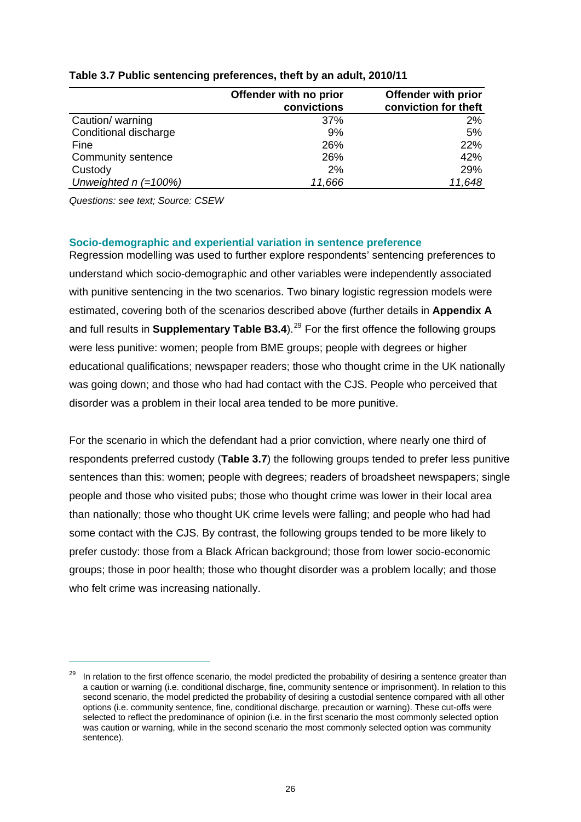|                        | Offender with no prior | <b>Offender with prior</b> |
|------------------------|------------------------|----------------------------|
|                        | convictions            | conviction for theft       |
| Caution/ warning       | 37%                    | $2\%$                      |
| Conditional discharge  | 9%                     | 5%                         |
| Fine                   | 26%                    | 22%                        |
| Community sentence     | 26%                    | 42%                        |
| Custody                | 2%                     | 29%                        |
| Unweighted $n (=100%)$ | 11,666                 | 11,648                     |

#### <span id="page-32-0"></span>**Table 3.7 Public sentencing preferences, theft by an adult, 2010/11**

*Questions: see text; Source: CSEW* 

 $\overline{a}$ 

#### **Socio-demographic and experiential variation in sentence preference**

Regression modelling was used to further explore respondents' sentencing preferences to understand which socio-demographic and other variables were independently associated with punitive sentencing in the two scenarios. Two binary logistic regression models were estimated, covering both of the scenarios described above (further details in **[Appendix A](#page-81-0)** and full results in **Supplementary Table B3.4**).<sup>[29](#page-32-1)</sup> For the first offence the following groups were less punitive: women; people from BME groups; people with degrees or higher educational qualifications; newspaper readers; those who thought crime in the UK nationally was going down; and those who had had contact with the CJS. People who perceived that disorder was a problem in their local area tended to be more punitive.

For the scenario in which the defendant had a prior conviction, where nearly one third of respondents preferred custody (**[Table 3.7](#page-32-0)**) the following groups tended to prefer less punitive sentences than this: women; people with degrees; readers of broadsheet newspapers; single people and those who visited pubs; those who thought crime was lower in their local area than nationally; those who thought UK crime levels were falling; and people who had had some contact with the CJS. By contrast, the following groups tended to be more likely to prefer custody: those from a Black African background; those from lower socio-economic groups; those in poor health; those who thought disorder was a problem locally; and those who felt crime was increasing nationally.

<span id="page-32-1"></span><sup>&</sup>lt;sup>29</sup> In relation to the first offence scenario, the model predicted the probability of desiring a sentence greater than a caution or warning (i.e. conditional discharge, fine, community sentence or imprisonment). In relation to this second scenario, the model predicted the probability of desiring a custodial sentence compared with all other options (i.e. community sentence, fine, conditional discharge, precaution or warning). These cut-offs were selected to reflect the predominance of opinion (i.e. in the first scenario the most commonly selected option was caution or warning, while in the second scenario the most commonly selected option was community sentence).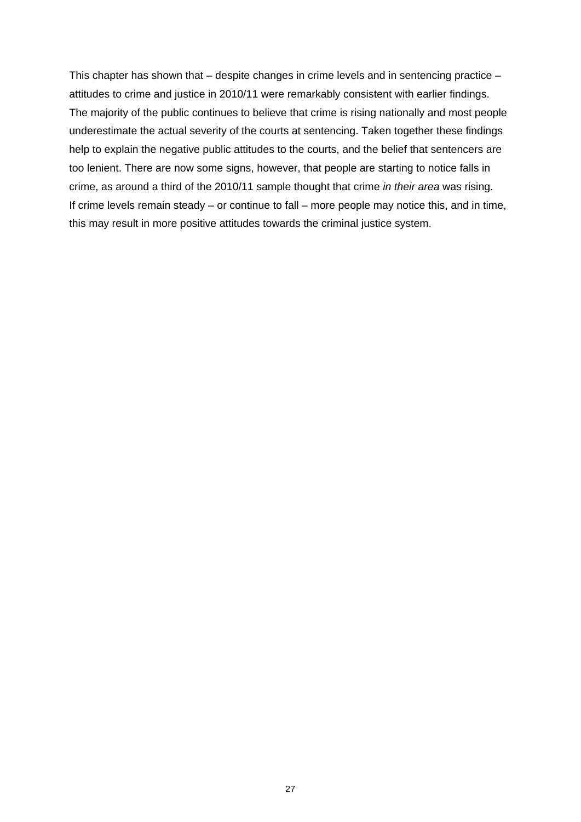This chapter has shown that – despite changes in crime levels and in sentencing practice – attitudes to crime and justice in 2010/11 were remarkably consistent with earlier findings. The majority of the public continues to believe that crime is rising nationally and most people underestimate the actual severity of the courts at sentencing. Taken together these findings help to explain the negative public attitudes to the courts, and the belief that sentencers are too lenient. There are now some signs, however, that people are starting to notice falls in crime, as around a third of the 2010/11 sample thought that crime *in their area* was rising. If crime levels remain steady – or continue to fall – more people may notice this, and in time, this may result in more positive attitudes towards the criminal justice system.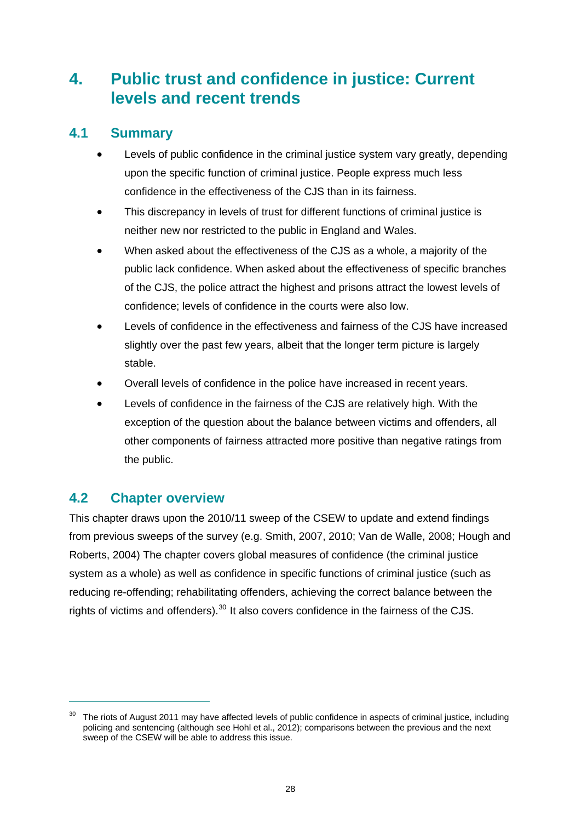# <span id="page-34-0"></span>**4. Public trust and confidence in justice: Current levels and recent trends**

# <span id="page-34-1"></span>**4.1 Summary**

- Levels of public confidence in the criminal justice system vary greatly, depending upon the specific function of criminal justice. People express much less confidence in the effectiveness of the CJS than in its fairness.
- This discrepancy in levels of trust for different functions of criminal justice is neither new nor restricted to the public in England and Wales.
- When asked about the effectiveness of the CJS as a whole, a majority of the public lack confidence. When asked about the effectiveness of specific branches of the CJS, the police attract the highest and prisons attract the lowest levels of confidence; levels of confidence in the courts were also low.
- Levels of confidence in the effectiveness and fairness of the CJS have increased slightly over the past few years, albeit that the longer term picture is largely stable.
- Overall levels of confidence in the police have increased in recent years.
- Levels of confidence in the fairness of the CJS are relatively high. With the exception of the question about the balance between victims and offenders, all other components of fairness attracted more positive than negative ratings from the public.

# <span id="page-34-2"></span>**4.2 Chapter overview**

 $\overline{a}$ 

This chapter draws upon the 2010/11 sweep of the CSEW to update and extend findings from previous sweeps of the survey (e.g. Smith, 2007, 2010; Van de Walle, 2008; Hough and Roberts, 2004) The chapter covers global measures of confidence (the criminal justice system as a whole) as well as confidence in specific functions of criminal justice (such as reducing re-offending; rehabilitating offenders, achieving the correct balance between the rights of victims and offenders).<sup>[30](#page-34-3)</sup> It also covers confidence in the fairness of the CJS.

<span id="page-34-3"></span><sup>&</sup>lt;sup>30</sup> The riots of August 2011 may have affected levels of public confidence in aspects of criminal justice, including policing and sentencing (although see Hohl et al., 2012); comparisons between the previous and the next sweep of the CSEW will be able to address this issue.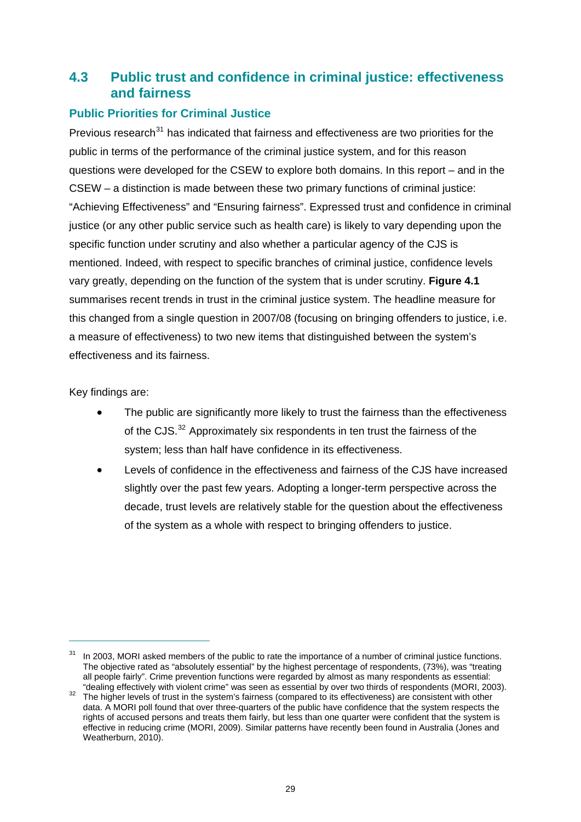# <span id="page-35-0"></span>**4.3 Public trust and confidence in criminal justice: effectiveness and fairness**

## **Public Priorities for Criminal Justice**

Previous research $31$  has indicated that fairness and effectiveness are two priorities for the public in terms of the performance of the criminal justice system, and for this reason questions were developed for the CSEW to explore both domains. In this report – and in the CSEW – a distinction is made between these two primary functions of criminal justice: "Achieving Effectiveness" and "Ensuring fairness". Expressed trust and confidence in criminal justice (or any other public service such as health care) is likely to vary depending upon the specific function under scrutiny and also whether a particular agency of the CJS is mentioned. Indeed, with respect to specific branches of criminal justice, confidence levels vary greatly, depending on the function of the system that is under scrutiny. **[Figure 4.1](#page-36-1)** summarises recent trends in trust in the criminal justice system. The headline measure for this changed from a single question in 2007/08 (focusing on bringing offenders to justice, i.e. a measure of effectiveness) to two new items that distinguished between the system's effectiveness and its fairness.

Key findings are:

- The public are significantly more likely to trust the fairness than the effectiveness of the CJS.[32](#page-35-2) Approximately six respondents in ten trust the fairness of the system; less than half have confidence in its effectiveness.
- Levels of confidence in the effectiveness and fairness of the CJS have increased slightly over the past few years. Adopting a longer-term perspective across the decade, trust levels are relatively stable for the question about the effectiveness of the system as a whole with respect to bringing offenders to justice.

<span id="page-35-1"></span><sup>&</sup>lt;sup>31</sup> In 2003, MORI asked members of the public to rate the importance of a number of criminal justice functions. The objective rated as "absolutely essential" by the highest percentage of respondents, (73%), was "treating all people fairly". Crime prevention functions were regarded by almost as many respondents as essential: "dealing effectively with violent crime" was seen as essential by over two thirds of respondents (MORI, 2003).

<span id="page-35-2"></span>dealing effectively with violent crime" was seen as essential by over two thirds of responsents (MORI, 2003). data. A MORI poll found that over three-quarters of the public have confidence that the system respects the rights of accused persons and treats them fairly, but less than one quarter were confident that the system is effective in reducing crime (MORI, 2009). Similar patterns have recently been found in Australia (Jones and Weatherburn, 2010).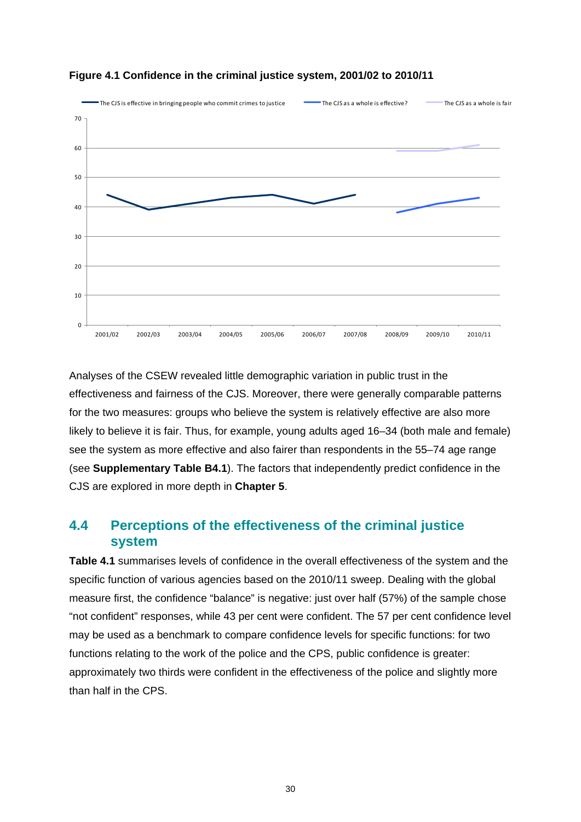

#### **Figure 4.1 Confidence in the criminal justice system, 2001/02 to 2010/11**

Analyses of the CSEW revealed little demographic variation in public trust in the effectiveness and fairness of the CJS. Moreover, there were generally comparable patterns for the two measures: groups who believe the system is relatively effective are also more likely to believe it is fair. Thus, for example, young adults aged 16–34 (both male and female) see the system as more effective and also fairer than respondents in the 55–74 age range (see **Supplementary Table B4.1**). The factors that independently predict confidence in the CJS are explored in more depth in **[Chapter 5](#page-44-0)**.

### **4.4 Perceptions of the effectiveness of the criminal justice system**

**[Table 4.1](#page-37-0)** summarises levels of confidence in the overall effectiveness of the system and the specific function of various agencies based on the 2010/11 sweep. Dealing with the global measure first, the confidence "balance" is negative: just over half (57%) of the sample chose "not confident" responses, while 43 per cent were confident. The 57 per cent confidence level may be used as a benchmark to compare confidence levels for specific functions: for two functions relating to the work of the police and the CPS, public confidence is greater: approximately two thirds were confident in the effectiveness of the police and slightly more than half in the CPS.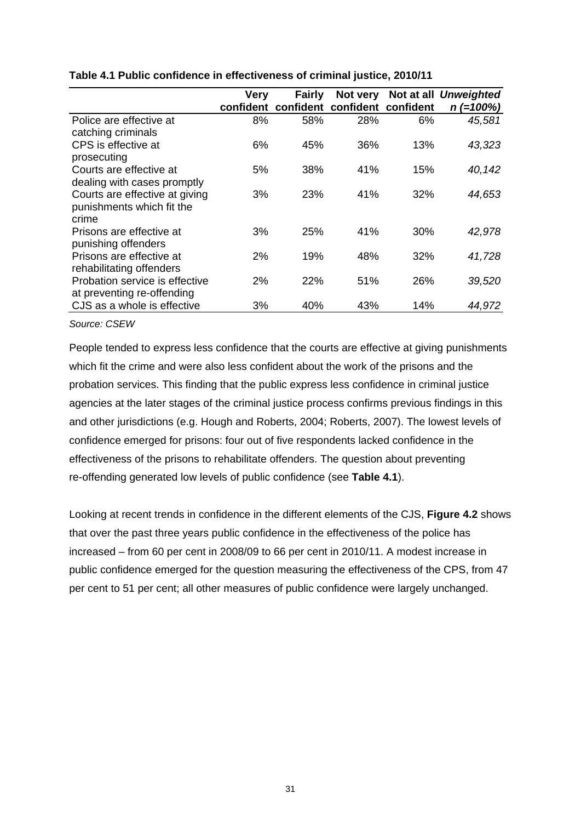|                                                               | Very      | <b>Fairly</b> | Not very            |     | Not at all Unweighted |
|---------------------------------------------------------------|-----------|---------------|---------------------|-----|-----------------------|
|                                                               | confident | confident     | confident confident |     | $n (=100%)$           |
| Police are effective at<br>catching criminals                 | 8%        | 58%           | 28%                 | 6%  | 45,581                |
| CPS is effective at                                           | 6%        | 45%           | 36%                 | 13% | 43,323                |
| prosecuting<br>Courts are effective at                        | 5%        | 38%           | 41%                 | 15% | 40,142                |
| dealing with cases promptly<br>Courts are effective at giving | 3%        | 23%           | 41%                 | 32% | 44,653                |
| punishments which fit the<br>crime                            |           |               |                     |     |                       |
| Prisons are effective at<br>punishing offenders               | 3%        | 25%           | 41%                 | 30% | 42,978                |
| Prisons are effective at                                      | 2%        | 19%           | 48%                 | 32% | 41,728                |
| rehabilitating offenders<br>Probation service is effective    | 2%        | 22%           | 51%                 | 26% | 39,520                |
| at preventing re-offending<br>CJS as a whole is effective     | 3%        | 40%           | 43%                 | 14% | 44,972                |

#### <span id="page-37-0"></span>**Table 4.1 Public confidence in effectiveness of criminal justice, 2010/11**

*Source: CSEW* 

People tended to express less confidence that the courts are effective at giving punishments which fit the crime and were also less confident about the work of the prisons and the probation services. This finding that the public express less confidence in criminal justice agencies at the later stages of the criminal justice process confirms previous findings in this and other jurisdictions (e.g. Hough and Roberts, 2004; Roberts, 2007). The lowest levels of confidence emerged for prisons: four out of five respondents lacked confidence in the effectiveness of the prisons to rehabilitate offenders. The question about preventing re-offending generated low levels of public confidence (see **[Table 4.1](#page-37-0)**).

Looking at recent trends in confidence in the different elements of the CJS, **[Figure 4.2](#page-38-0)** shows that over the past three years public confidence in the effectiveness of the police has increased – from 60 per cent in 2008/09 to 66 per cent in 2010/11. A modest increase in public confidence emerged for the question measuring the effectiveness of the CPS, from 47 per cent to 51 per cent; all other measures of public confidence were largely unchanged.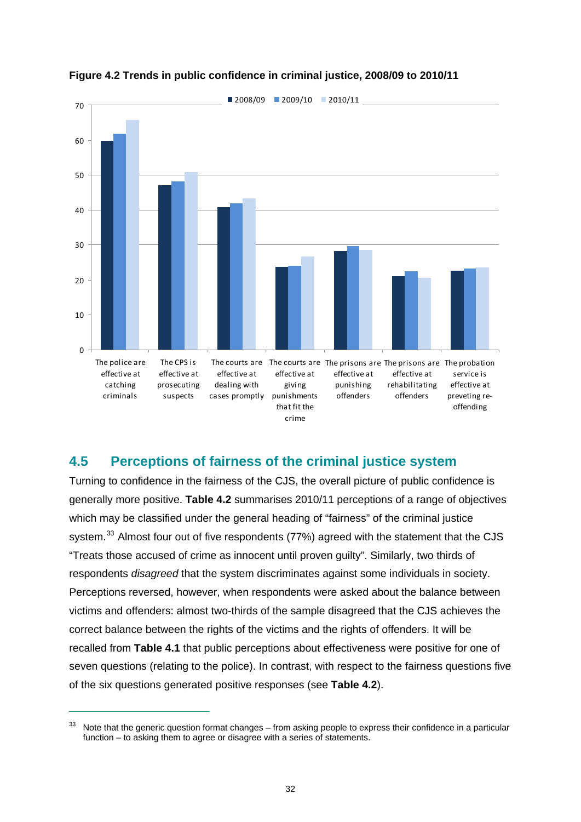<span id="page-38-0"></span>



## **4.5 Perceptions of fairness of the criminal justice system**

Turning to confidence in the fairness of the CJS, the overall picture of public confidence is generally more positive. **[Table 4.2](#page-39-0)** summarises 2010/11 perceptions of a range of objectives which may be classified under the general heading of "fairness" of the criminal justice system.<sup>[33](#page-38-1)</sup> Almost four out of five respondents (77%) agreed with the statement that the CJS "Treats those accused of crime as innocent until proven guilty". Similarly, two thirds of respondents *disagreed* that the system discriminates against some individuals in society. Perceptions reversed, however, when respondents were asked about the balance between victims and offenders: almost two-thirds of the sample disagreed that the CJS achieves the correct balance between the rights of the victims and the rights of offenders. It will be recalled from **[Table 4.1](#page-37-0)** that public perceptions about effectiveness were positive for one of seven questions (relating to the police). In contrast, with respect to the fairness questions five of the six questions generated positive responses (see **[Table 4.2](#page-39-0)**).

<span id="page-38-1"></span><sup>&</sup>lt;sup>33</sup> Note that the generic question format changes – from asking people to express their confidence in a particular function – to asking them to agree or disagree with a series of statements.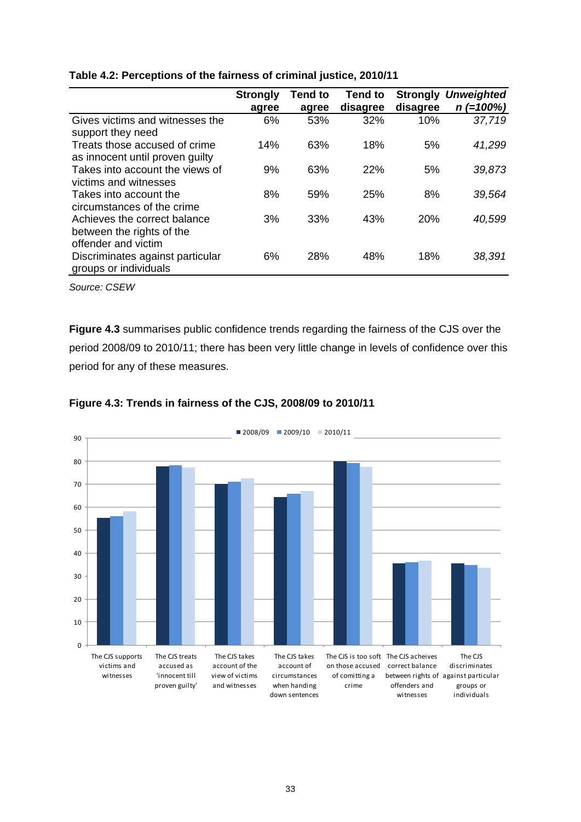|                                                                                  | <b>Strongly</b><br>agree | <b>Tend to</b><br>agree | Tend to<br>disagree | <b>Strongly</b><br>disagree | <b>Unweighted</b><br>$n (=100%)$ |
|----------------------------------------------------------------------------------|--------------------------|-------------------------|---------------------|-----------------------------|----------------------------------|
| Gives victims and witnesses the<br>support they need                             | 6%                       | 53%                     | 32%                 | 10%                         | 37,719                           |
| Treats those accused of crime<br>as innocent until proven guilty                 | 14%                      | 63%                     | 18%                 | 5%                          | 41,299                           |
| Takes into account the views of<br>victims and witnesses                         | 9%                       | 63%                     | 22%                 | 5%                          | 39,873                           |
| Takes into account the<br>circumstances of the crime                             | 8%                       | 59%                     | 25%                 | 8%                          | 39,564                           |
| Achieves the correct balance<br>between the rights of the<br>offender and victim | 3%                       | 33%                     | 43%                 | 20%                         | 40,599                           |
| Discriminates against particular<br>groups or individuals                        | 6%                       | 28%                     | 48%                 | 18%                         | 38,391                           |

<span id="page-39-0"></span>

| Table 4.2: Perceptions of the fairness of criminal justice, 2010/11 |  |  |
|---------------------------------------------------------------------|--|--|
|                                                                     |  |  |

*Source: CSEW* 

**[Figure 4.3](#page-39-1)** summarises public confidence trends regarding the fairness of the CJS over the period 2008/09 to 2010/11; there has been very little change in levels of confidence over this period for any of these measures.

<span id="page-39-1"></span>

### **Figure 4.3: Trends in fairness of the CJS, 2008/09 to 2010/11**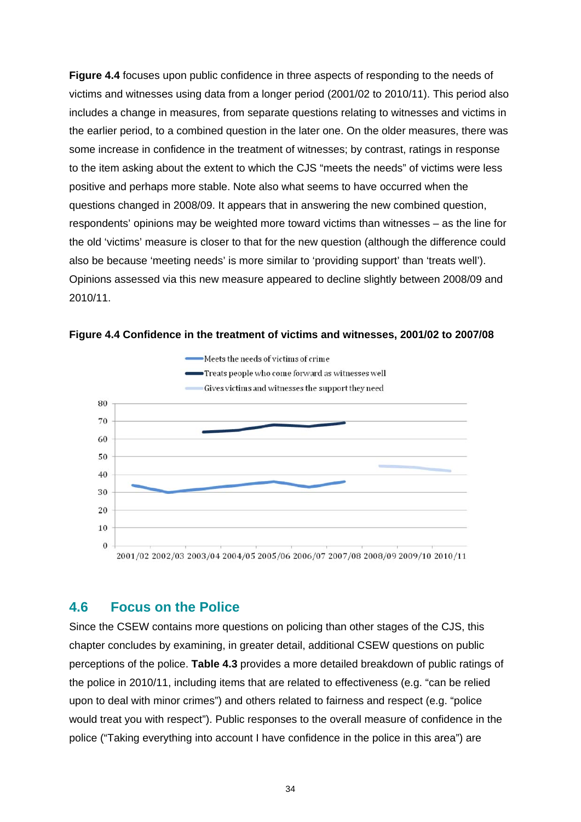**[Figure 4.4](#page-40-0)** focuses upon public confidence in three aspects of responding to the needs of victims and witnesses using data from a longer period (2001/02 to 2010/11). This period also includes a change in measures, from separate questions relating to witnesses and victims in the earlier period, to a combined question in the later one. On the older measures, there was some increase in confidence in the treatment of witnesses; by contrast, ratings in response to the item asking about the extent to which the CJS "meets the needs" of victims were less positive and perhaps more stable. Note also what seems to have occurred when the questions changed in 2008/09. It appears that in answering the new combined question, respondents' opinions may be weighted more toward victims than witnesses – as the line for the old 'victims' measure is closer to that for the new question (although the difference could also be because 'meeting needs' is more similar to 'providing support' than 'treats well'). Opinions assessed via this new measure appeared to decline slightly between 2008/09 and 2010/11.



<span id="page-40-0"></span>

### **4.6 Focus on the Police**

Since the CSEW contains more questions on policing than other stages of the CJS, this chapter concludes by examining, in greater detail, additional CSEW questions on public perceptions of the police. **Table 4.3** provides a more detailed breakdown of public ratings of the police in 2010/11, including items that are related to effectiveness (e.g. "can be relied upon to deal with minor crimes") and others related to fairness and respect (e.g. "police would treat you with respect"). Public responses to the overall measure of confidence in the police ("Taking everything into account I have confidence in the police in this area") are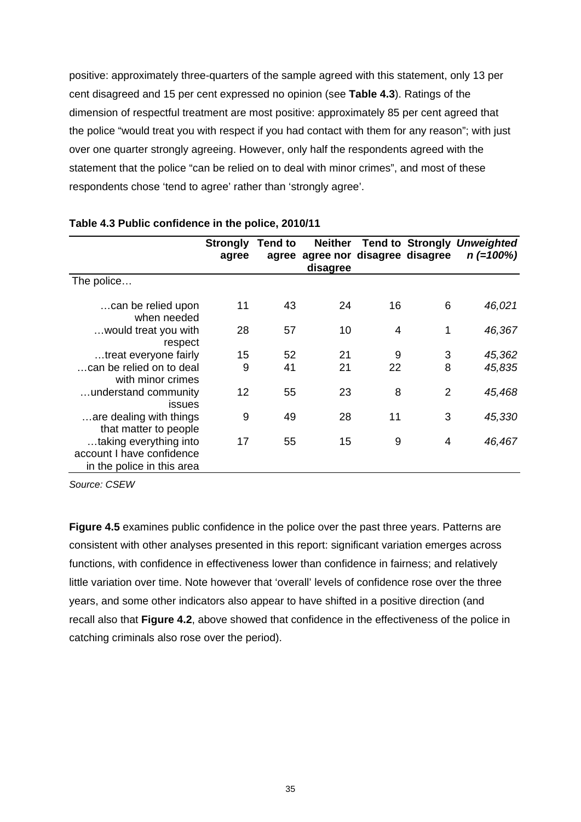positive: approximately three-quarters of the sample agreed with this statement, only 13 per cent disagreed and 15 per cent expressed no opinion (see **[Table 4.3](#page-41-0)**). Ratings of the dimension of respectful treatment are most positive: approximately 85 per cent agreed that the police "would treat you with respect if you had contact with them for any reason"; with just over one quarter strongly agreeing. However, only half the respondents agreed with the statement that the police "can be relied on to deal with minor crimes", and most of these respondents chose 'tend to agree' rather than 'strongly agree'.

|                                                                                   | <b>Strongly</b> | <b>Tend to</b> | <b>Neither</b>                          |    |   | <b>Tend to Strongly Unweighted</b> |
|-----------------------------------------------------------------------------------|-----------------|----------------|-----------------------------------------|----|---|------------------------------------|
|                                                                                   | agree           | agree          | agree nor disagree disagree<br>disagree |    |   | $n (=100%)$                        |
| The police                                                                        |                 |                |                                         |    |   |                                    |
| can be relied upon<br>when needed                                                 | 11              | 43             | 24                                      | 16 | 6 | 46,021                             |
| would treat you with<br>respect                                                   | 28              | 57             | 10                                      | 4  | 1 | 46,367                             |
| treat everyone fairly                                                             | 15              | 52             | 21                                      | 9  | 3 | 45,362                             |
| can be relied on to deal<br>with minor crimes                                     | 9               | 41             | 21                                      | 22 | 8 | 45,835                             |
| understand community<br>issues                                                    | 12              | 55             | 23                                      | 8  | 2 | 45,468                             |
| are dealing with things<br>that matter to people                                  | 9               | 49             | 28                                      | 11 | 3 | 45,330                             |
| taking everything into<br>account I have confidence<br>in the police in this area | 17              | 55             | 15                                      | 9  | 4 | 46,467                             |

#### <span id="page-41-0"></span>**Table 4.3 Public confidence in the police, 2010/11**

*Source: CSEW* 

**[Figure 4.5](#page-42-0)** examines public confidence in the police over the past three years. Patterns are consistent with other analyses presented in this report: significant variation emerges across functions, with confidence in effectiveness lower than confidence in fairness; and relatively little variation over time. Note however that 'overall' levels of confidence rose over the three years, and some other indicators also appear to have shifted in a positive direction (and recall also that **[Figure 4.2](#page-38-0)**, above showed that confidence in the effectiveness of the police in catching criminals also rose over the period).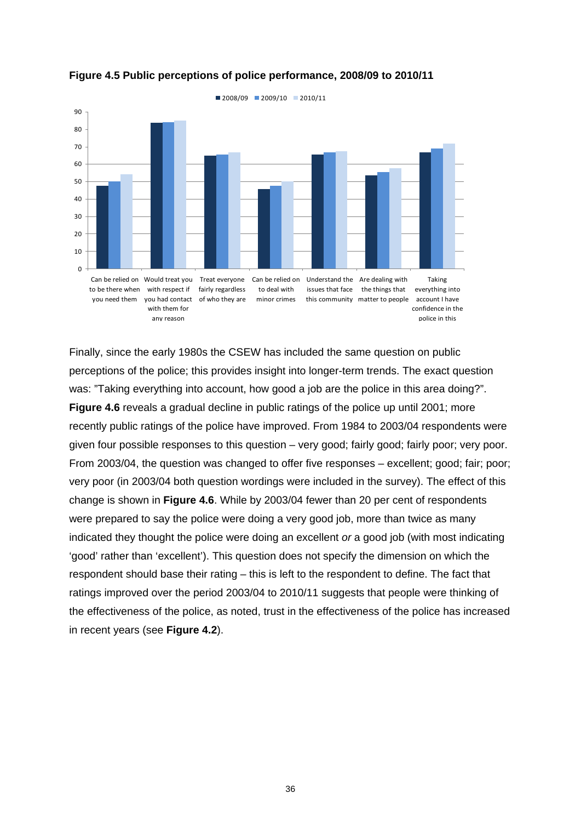<span id="page-42-0"></span>

#### **Figure 4.5 Public perceptions of police performance, 2008/09 to 2010/11**

Finally, since the early 1980s the CSEW has included the same question on public perceptions of the police; this provides insight into longer-term trends. The exact question was: "Taking everything into account, how good a job are the police in this area doing?". **[Figure 4.6](#page-43-0)** reveals a gradual decline in public ratings of the police up until 2001; more recently public ratings of the police have improved. From 1984 to 2003/04 respondents were given four possible responses to this question – very good; fairly good; fairly poor; very poor. From 2003/04, the question was changed to offer five responses – excellent; good; fair; poor; very poor (in 2003/04 both question wordings were included in the survey). The effect of this change is shown in **[Figure 4.6](#page-43-0)**. While by 2003/04 fewer than 20 per cent of respondents were prepared to say the police were doing a very good job, more than twice as many indicated they thought the police were doing an excellent *or* a good job (with most indicating 'good' rather than 'excellent'). This question does not specify the dimension on which the respondent should base their rating – this is left to the respondent to define. The fact that ratings improved over the period 2003/04 to 2010/11 suggests that people were thinking of the effectiveness of the police, as noted, trust in the effectiveness of the police has increased in recent years (see **[Figure 4.2](#page-38-0)**).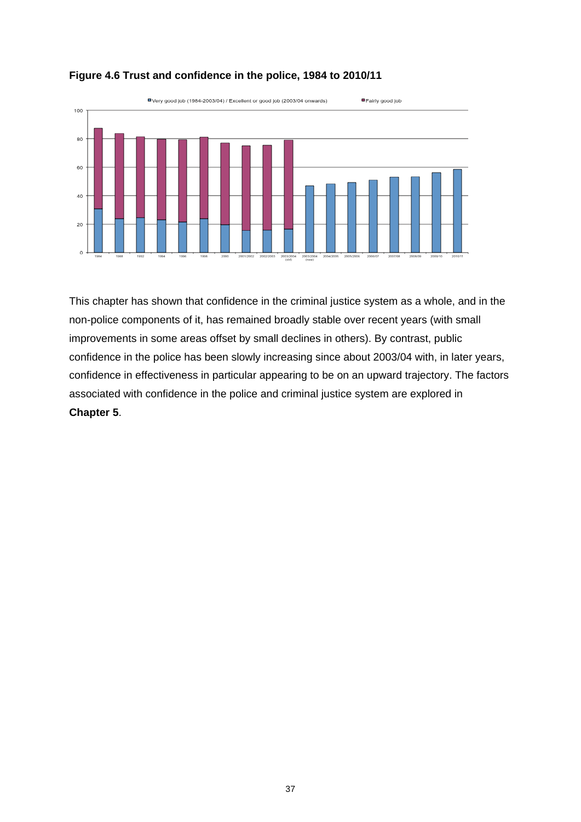<span id="page-43-0"></span>

#### **Figure 4.6 Trust and confidence in the police, 1984 to 2010/11**

This chapter has shown that confidence in the criminal justice system as a whole, and in the non-police components of it, has remained broadly stable over recent years (with small improvements in some areas offset by small declines in others). By contrast, public confidence in the police has been slowly increasing since about 2003/04 with, in later years, confidence in effectiveness in particular appearing to be on an upward trajectory. The factors associated with confidence in the police and criminal justice system are explored in **[Chapter 5](#page-44-0)**.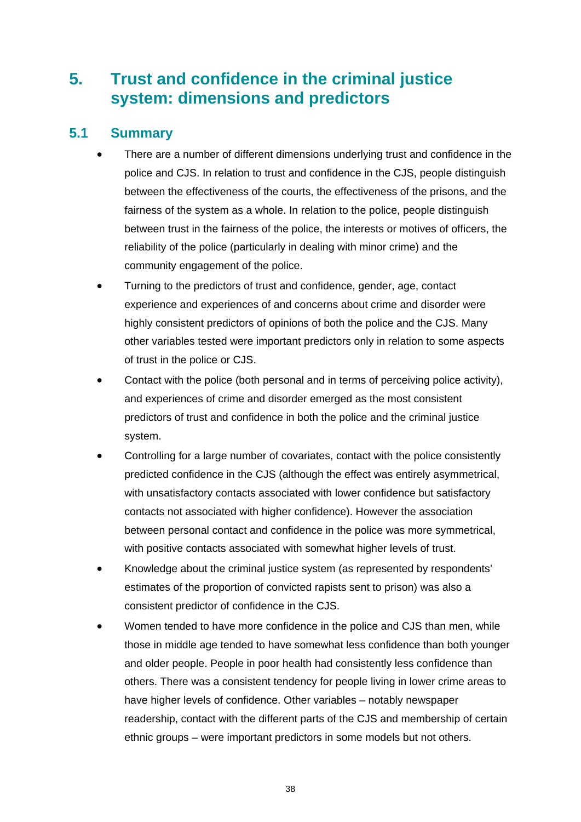# <span id="page-44-0"></span>**5. Trust and confidence in the criminal justice system: dimensions and predictors**

## **5.1 Summary**

- There are a number of different dimensions underlying trust and confidence in the police and CJS. In relation to trust and confidence in the CJS, people distinguish between the effectiveness of the courts, the effectiveness of the prisons, and the fairness of the system as a whole. In relation to the police, people distinguish between trust in the fairness of the police, the interests or motives of officers, the reliability of the police (particularly in dealing with minor crime) and the community engagement of the police.
- Turning to the predictors of trust and confidence, gender, age, contact experience and experiences of and concerns about crime and disorder were highly consistent predictors of opinions of both the police and the CJS. Many other variables tested were important predictors only in relation to some aspects of trust in the police or CJS.
- Contact with the police (both personal and in terms of perceiving police activity), and experiences of crime and disorder emerged as the most consistent predictors of trust and confidence in both the police and the criminal justice system.
- Controlling for a large number of covariates, contact with the police consistently predicted confidence in the CJS (although the effect was entirely asymmetrical, with unsatisfactory contacts associated with lower confidence but satisfactory contacts not associated with higher confidence). However the association between personal contact and confidence in the police was more symmetrical, with positive contacts associated with somewhat higher levels of trust.
- Knowledge about the criminal justice system (as represented by respondents' estimates of the proportion of convicted rapists sent to prison) was also a consistent predictor of confidence in the CJS.
- Women tended to have more confidence in the police and CJS than men, while those in middle age tended to have somewhat less confidence than both younger and older people. People in poor health had consistently less confidence than others. There was a consistent tendency for people living in lower crime areas to have higher levels of confidence. Other variables – notably newspaper readership, contact with the different parts of the CJS and membership of certain ethnic groups – were important predictors in some models but not others.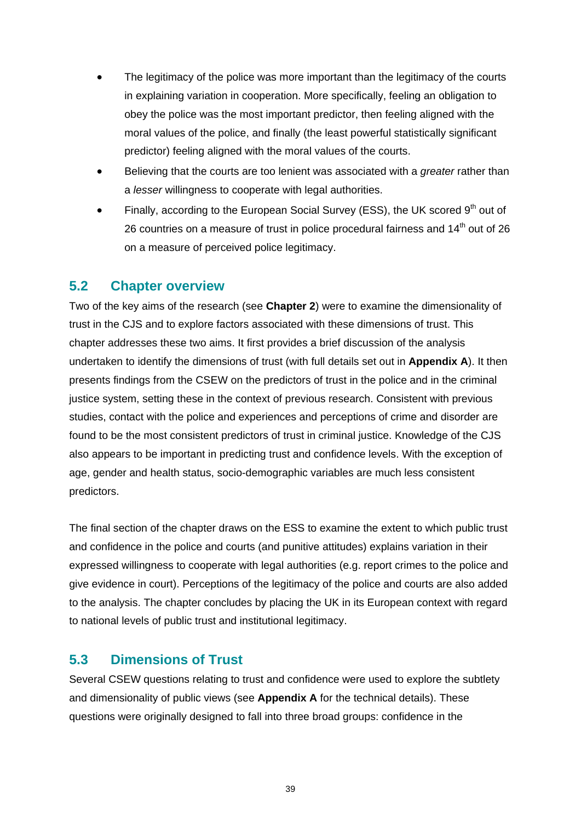- The legitimacy of the police was more important than the legitimacy of the courts in explaining variation in cooperation. More specifically, feeling an obligation to obey the police was the most important predictor, then feeling aligned with the moral values of the police, and finally (the least powerful statistically significant predictor) feeling aligned with the moral values of the courts.
- Believing that the courts are too lenient was associated with a *greater* rather than a *lesser* willingness to cooperate with legal authorities.
- Finally, according to the European Social Survey (ESS), the UK scored 9<sup>th</sup> out of 26 countries on a measure of trust in police procedural fairness and  $14<sup>th</sup>$  out of 26 on a measure of perceived police legitimacy.

### **5.2 Chapter overview**

Two of the key aims of the research (see **[Chapter 2](#page-14-0)**) were to examine the dimensionality of trust in the CJS and to explore factors associated with these dimensions of trust. This chapter addresses these two aims. It first provides a brief discussion of the analysis undertaken to identify the dimensions of trust (with full details set out in **[Appendix A](#page-81-0)**). It then presents findings from the CSEW on the predictors of trust in the police and in the criminal justice system, setting these in the context of previous research. Consistent with previous studies, contact with the police and experiences and perceptions of crime and disorder are found to be the most consistent predictors of trust in criminal justice. Knowledge of the CJS also appears to be important in predicting trust and confidence levels. With the exception of age, gender and health status, socio-demographic variables are much less consistent predictors.

The final section of the chapter draws on the ESS to examine the extent to which public trust and confidence in the police and courts (and punitive attitudes) explains variation in their expressed willingness to cooperate with legal authorities (e.g. report crimes to the police and give evidence in court). Perceptions of the legitimacy of the police and courts are also added to the analysis. The chapter concludes by placing the UK in its European context with regard to national levels of public trust and institutional legitimacy.

### **5.3 Dimensions of Trust**

Several CSEW questions relating to trust and confidence were used to explore the subtlety and dimensionality of public views (see **[Appendix A](#page-81-0)** for the technical details). These questions were originally designed to fall into three broad groups: confidence in the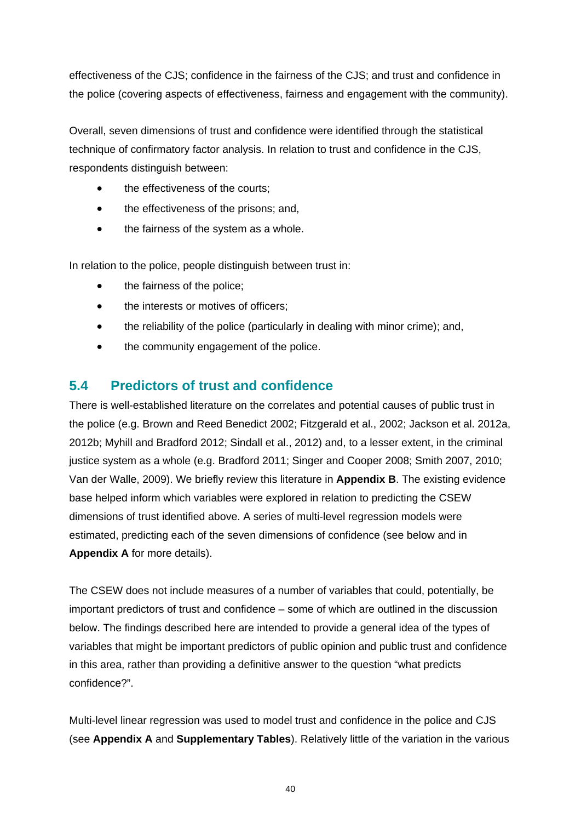effectiveness of the CJS; confidence in the fairness of the CJS; and trust and confidence in the police (covering aspects of effectiveness, fairness and engagement with the community).

Overall, seven dimensions of trust and confidence were identified through the statistical technique of confirmatory factor analysis. In relation to trust and confidence in the CJS, respondents distinguish between:

- the effectiveness of the courts;
- the effectiveness of the prisons; and,
- the fairness of the system as a whole.

In relation to the police, people distinguish between trust in:

- the fairness of the police;
- the interests or motives of officers;
- the reliability of the police (particularly in dealing with minor crime); and,
- the community engagement of the police.

### **5.4 Predictors of trust and confidence**

There is well-established literature on the correlates and potential causes of public trust in the police (e.g. Brown and Reed Benedict 2002; Fitzgerald et al., 2002; Jackson et al. 2012a, 2012b; Myhill and Bradford 2012; Sindall et al., 2012) and, to a lesser extent, in the criminal justice system as a whole (e.g. Bradford 2011; Singer and Cooper 2008; Smith 2007, 2010; Van der Walle, 2009). We briefly review this literature in **[Appendix B](#page-85-0)**. The existing evidence base helped inform which variables were explored in relation to predicting the CSEW dimensions of trust identified above. A series of multi-level regression models were estimated, predicting each of the seven dimensions of confidence (see below and in **[Appendix A](#page-81-0)** for more details).

The CSEW does not include measures of a number of variables that could, potentially, be important predictors of trust and confidence – some of which are outlined in the discussion below. The findings described here are intended to provide a general idea of the types of variables that might be important predictors of public opinion and public trust and confidence in this area, rather than providing a definitive answer to the question "what predicts confidence?".

Multi-level linear regression was used to model trust and confidence in the police and CJS (see **[Appendix A](#page-81-0)** and **Supplementary Tables**). Relatively little of the variation in the various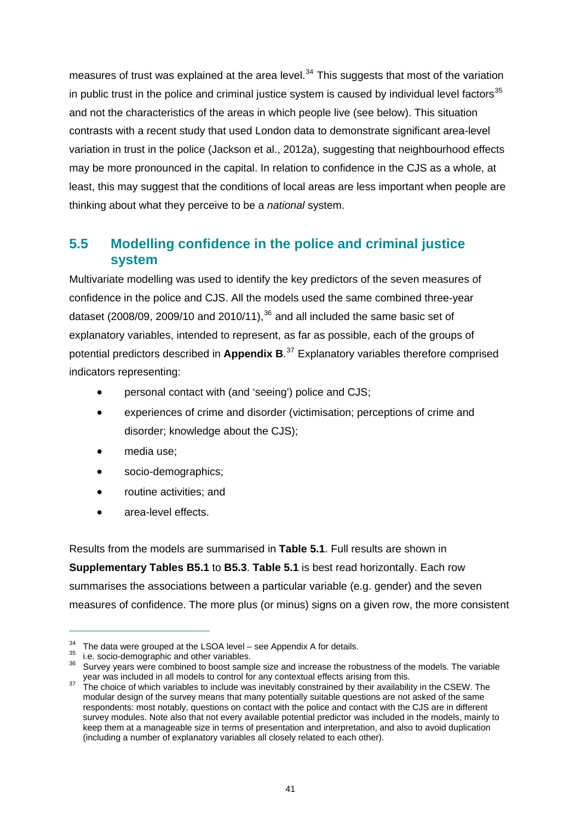measures of trust was explained at the area level. $34$  This suggests that most of the variation in public trust in the police and criminal justice system is caused by individual level factors $35$ and not the characteristics of the areas in which people live (see below). This situation contrasts with a recent study that used London data to demonstrate significant area-level variation in trust in the police (Jackson et al., 2012a), suggesting that neighbourhood effects may be more pronounced in the capital. In relation to confidence in the CJS as a whole, at least, this may suggest that the conditions of local areas are less important when people are thinking about what they perceive to be a *national* system.

### **5.5 Modelling confidence in the police and criminal justice system**

Multivariate modelling was used to identify the key predictors of the seven measures of confidence in the police and CJS. All the models used the same combined three-year dataset (2008/09, 2009/10 and 2010/11), $36$  and all included the same basic set of explanatory variables, intended to represent, as far as possible, each of the groups of potential predictors described in **[Appendix B](#page-85-0)**. [37](#page-47-3) Explanatory variables therefore comprised indicators representing:

- personal contact with (and 'seeing') police and CJS;
- experiences of crime and disorder (victimisation; perceptions of crime and disorder; knowledge about the CJS);
- media use;
- socio-demographics;
- routine activities; and
- area-level effects.

Results from the models are summarised in **[Table 5.1](#page-52-0)**. Full results are shown in **Supplementary Tables B5.1** to **B5.3**. **[Table 5.1](#page-52-0)** is best read horizontally. Each row summarises the associations between a particular variable (e.g. gender) and the seven measures of confidence. The more plus (or minus) signs on a given row, the more consistent

<span id="page-47-1"></span><span id="page-47-0"></span><sup>&</sup>lt;sup>34</sup> The data were grouped at the LSOA level – see Appendix A for details.<br><sup>35</sup> i.e. socio-demographic and other variables.<br><sup>36</sup> Survev vears were combined to boost sample size and increase the robustness of the models. T

<span id="page-47-3"></span><span id="page-47-2"></span>year was included in all models to control for any contextual effects arising from this.<br><sup>37</sup> The choice of which variables to include was inevitably constrained by their availability in the CSEW. The modular design of the survey means that many potentially suitable questions are not asked of the same respondents: most notably, questions on contact with the police and contact with the CJS are in different survey modules. Note also that not every available potential predictor was included in the models, mainly to keep them at a manageable size in terms of presentation and interpretation, and also to avoid duplication (including a number of explanatory variables all closely related to each other).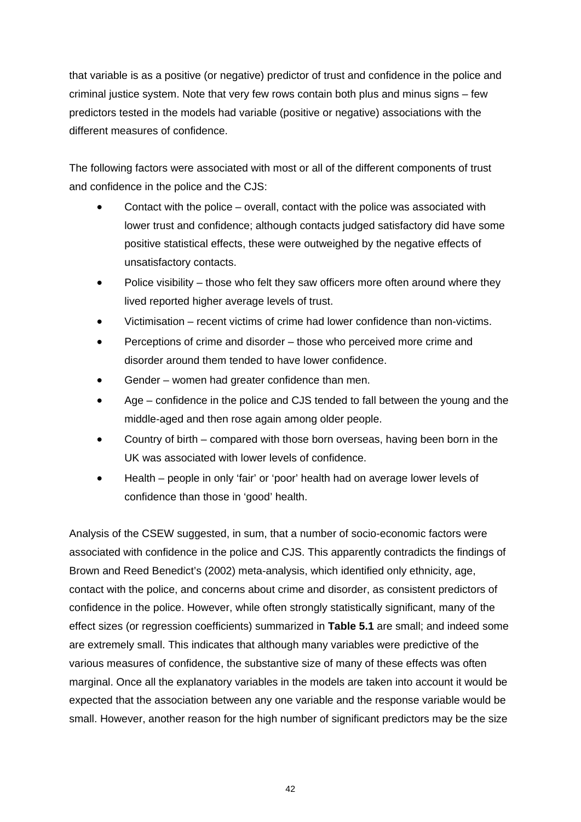that variable is as a positive (or negative) predictor of trust and confidence in the police and criminal justice system. Note that very few rows contain both plus and minus signs – few predictors tested in the models had variable (positive or negative) associations with the different measures of confidence.

The following factors were associated with most or all of the different components of trust and confidence in the police and the CJS:

- Contact with the police overall, contact with the police was associated with lower trust and confidence; although contacts judged satisfactory did have some positive statistical effects, these were outweighed by the negative effects of unsatisfactory contacts.
- Police visibility those who felt they saw officers more often around where they lived reported higher average levels of trust.
- Victimisation recent victims of crime had lower confidence than non-victims.
- Perceptions of crime and disorder those who perceived more crime and disorder around them tended to have lower confidence.
- Gender women had greater confidence than men.
- Age confidence in the police and CJS tended to fall between the young and the middle-aged and then rose again among older people.
- Country of birth compared with those born overseas, having been born in the UK was associated with lower levels of confidence.
- Health people in only 'fair' or 'poor' health had on average lower levels of confidence than those in 'good' health.

Analysis of the CSEW suggested, in sum, that a number of socio-economic factors were associated with confidence in the police and CJS. This apparently contradicts the findings of Brown and Reed Benedict's (2002) meta-analysis, which identified only ethnicity, age, contact with the police, and concerns about crime and disorder, as consistent predictors of confidence in the police. However, while often strongly statistically significant, many of the effect sizes (or regression coefficients) summarized in **[Table 5.1](#page-52-0)** are small; and indeed some are extremely small. This indicates that although many variables were predictive of the various measures of confidence, the substantive size of many of these effects was often marginal. Once all the explanatory variables in the models are taken into account it would be expected that the association between any one variable and the response variable would be small. However, another reason for the high number of significant predictors may be the size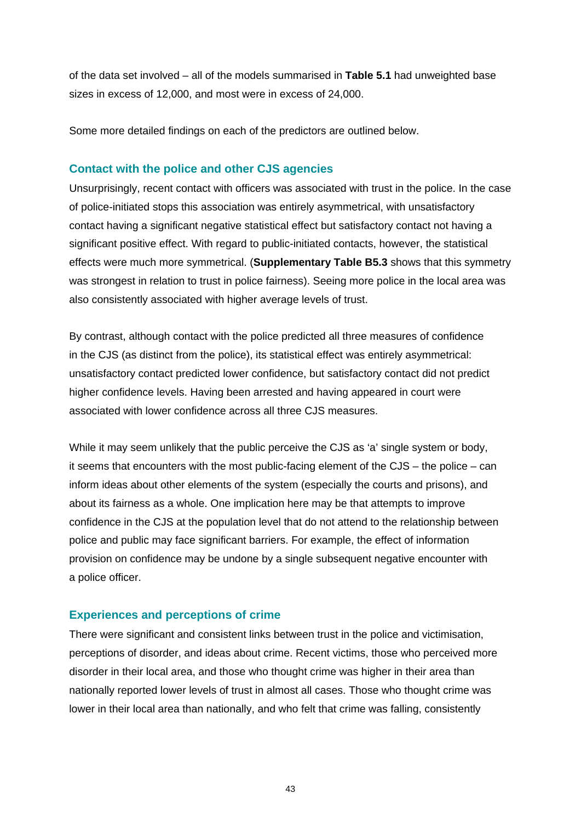of the data set involved – all of the models summarised in **[Table 5.1](#page-52-0)** had unweighted base sizes in excess of 12,000, and most were in excess of 24,000.

Some more detailed findings on each of the predictors are outlined below.

#### **Contact with the police and other CJS agencies**

Unsurprisingly, recent contact with officers was associated with trust in the police. In the case of police-initiated stops this association was entirely asymmetrical, with unsatisfactory contact having a significant negative statistical effect but satisfactory contact not having a significant positive effect. With regard to public-initiated contacts, however, the statistical effects were much more symmetrical. (**Supplementary Table B5.3** shows that this symmetry was strongest in relation to trust in police fairness). Seeing more police in the local area was also consistently associated with higher average levels of trust.

By contrast, although contact with the police predicted all three measures of confidence in the CJS (as distinct from the police), its statistical effect was entirely asymmetrical: unsatisfactory contact predicted lower confidence, but satisfactory contact did not predict higher confidence levels. Having been arrested and having appeared in court were associated with lower confidence across all three CJS measures.

While it may seem unlikely that the public perceive the CJS as 'a' single system or body, it seems that encounters with the most public-facing element of the CJS – the police – can inform ideas about other elements of the system (especially the courts and prisons), and about its fairness as a whole. One implication here may be that attempts to improve confidence in the CJS at the population level that do not attend to the relationship between police and public may face significant barriers. For example, the effect of information provision on confidence may be undone by a single subsequent negative encounter with a police officer.

### **Experiences and perceptions of crime**

There were significant and consistent links between trust in the police and victimisation, perceptions of disorder, and ideas about crime. Recent victims, those who perceived more disorder in their local area, and those who thought crime was higher in their area than nationally reported lower levels of trust in almost all cases. Those who thought crime was lower in their local area than nationally, and who felt that crime was falling, consistently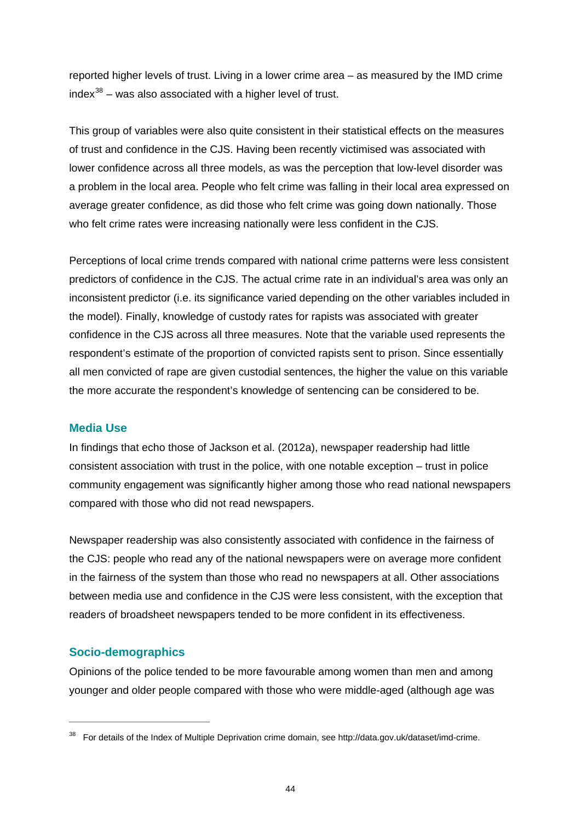reported higher levels of trust. Living in a lower crime area – as measured by the IMD crime  $index^{38}$  $index^{38}$  $index^{38}$  – was also associated with a higher level of trust.

This group of variables were also quite consistent in their statistical effects on the measures of trust and confidence in the CJS. Having been recently victimised was associated with lower confidence across all three models, as was the perception that low-level disorder was a problem in the local area. People who felt crime was falling in their local area expressed on average greater confidence, as did those who felt crime was going down nationally. Those who felt crime rates were increasing nationally were less confident in the CJS.

Perceptions of local crime trends compared with national crime patterns were less consistent predictors of confidence in the CJS. The actual crime rate in an individual's area was only an inconsistent predictor (i.e. its significance varied depending on the other variables included in the model). Finally, knowledge of custody rates for rapists was associated with greater confidence in the CJS across all three measures. Note that the variable used represents the respondent's estimate of the proportion of convicted rapists sent to prison. Since essentially all men convicted of rape are given custodial sentences, the higher the value on this variable the more accurate the respondent's knowledge of sentencing can be considered to be.

#### **Media Use**

In findings that echo those of Jackson et al. (2012a), newspaper readership had little consistent association with trust in the police, with one notable exception – trust in police community engagement was significantly higher among those who read national newspapers compared with those who did not read newspapers.

Newspaper readership was also consistently associated with confidence in the fairness of the CJS: people who read any of the national newspapers were on average more confident in the fairness of the system than those who read no newspapers at all. Other associations between media use and confidence in the CJS were less consistent, with the exception that readers of broadsheet newspapers tended to be more confident in its effectiveness.

#### **Socio-demographics**

 $\overline{a}$ 

Opinions of the police tended to be more favourable among women than men and among younger and older people compared with those who were middle-aged (although age was

<span id="page-50-0"></span><sup>38</sup> For details of the Index of Multiple Deprivation crime domain, see [http://data.gov.uk/dataset/imd-crime.](http://data.gov.uk/dataset/imd-crime)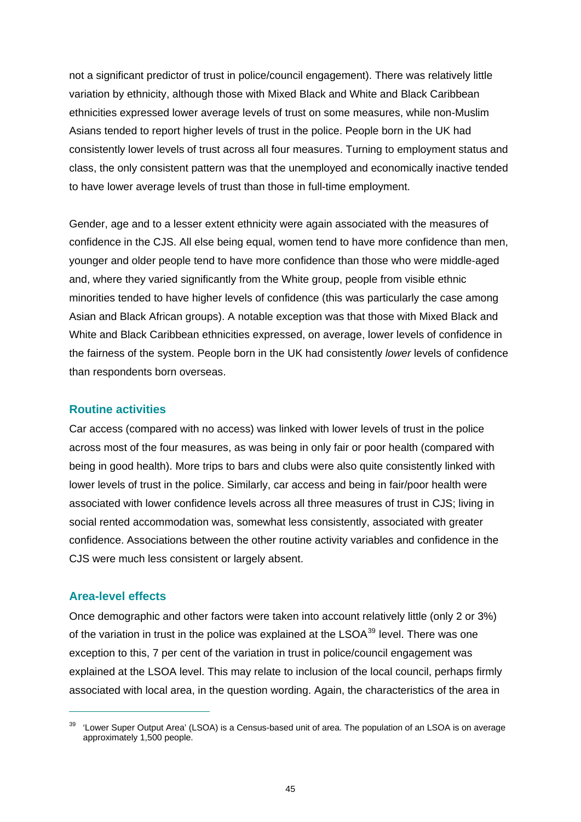not a significant predictor of trust in police/council engagement). There was relatively little variation by ethnicity, although those with Mixed Black and White and Black Caribbean ethnicities expressed lower average levels of trust on some measures, while non-Muslim Asians tended to report higher levels of trust in the police. People born in the UK had consistently lower levels of trust across all four measures. Turning to employment status and class, the only consistent pattern was that the unemployed and economically inactive tended to have lower average levels of trust than those in full-time employment.

Gender, age and to a lesser extent ethnicity were again associated with the measures of confidence in the CJS. All else being equal, women tend to have more confidence than men, younger and older people tend to have more confidence than those who were middle-aged and, where they varied significantly from the White group, people from visible ethnic minorities tended to have higher levels of confidence (this was particularly the case among Asian and Black African groups). A notable exception was that those with Mixed Black and White and Black Caribbean ethnicities expressed, on average, lower levels of confidence in the fairness of the system. People born in the UK had consistently *lower* levels of confidence than respondents born overseas.

#### **Routine activities**

Car access (compared with no access) was linked with lower levels of trust in the police across most of the four measures, as was being in only fair or poor health (compared with being in good health). More trips to bars and clubs were also quite consistently linked with lower levels of trust in the police. Similarly, car access and being in fair/poor health were associated with lower confidence levels across all three measures of trust in CJS; living in social rented accommodation was, somewhat less consistently, associated with greater confidence. Associations between the other routine activity variables and confidence in the CJS were much less consistent or largely absent.

#### **Area-level effects**

 $\overline{a}$ 

Once demographic and other factors were taken into account relatively little (only 2 or 3%) of the variation in trust in the police was explained at the LSOA<sup>[39](#page-51-0)</sup> level. There was one exception to this, 7 per cent of the variation in trust in police/council engagement was explained at the LSOA level. This may relate to inclusion of the local council, perhaps firmly associated with local area, in the question wording. Again, the characteristics of the area in

<span id="page-51-0"></span><sup>&#</sup>x27;Lower Super Output Area' (LSOA) is a Census-based unit of area. The population of an LSOA is on average approximately 1,500 people.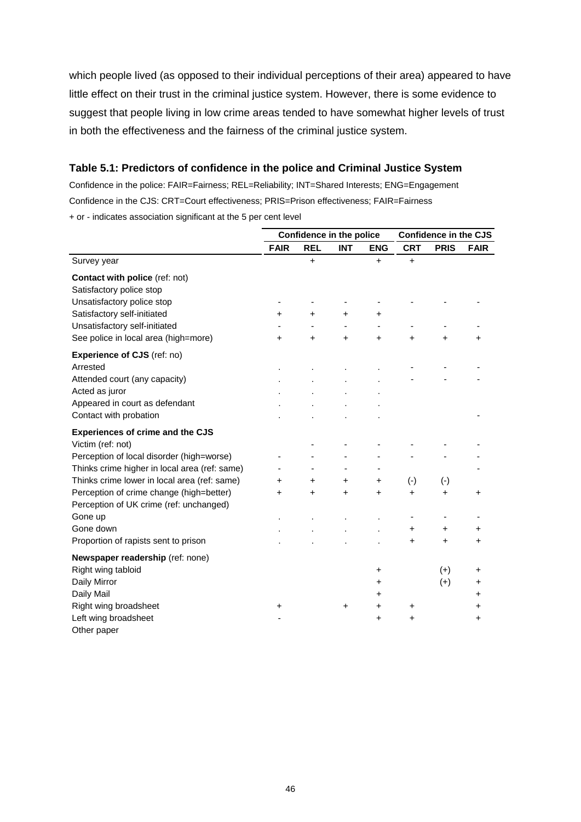which people lived (as opposed to their individual perceptions of their area) appeared to have little effect on their trust in the criminal justice system. However, there is some evidence to suggest that people living in low crime areas tended to have somewhat higher levels of trust in both the effectiveness and the fairness of the criminal justice system.

#### <span id="page-52-0"></span>**Table 5.1: Predictors of confidence in the police and Criminal Justice System**

Confidence in the police: FAIR=Fairness; REL=Reliability; INT=Shared Interests; ENG=Engagement Confidence in the CJS: CRT=Court effectiveness; PRIS=Prison effectiveness; FAIR=Fairness + or - indicates association significant at the 5 per cent level

|                                               | Confidence in the police |            |            | <b>Confidence in the CJS</b> |            |             |             |
|-----------------------------------------------|--------------------------|------------|------------|------------------------------|------------|-------------|-------------|
|                                               | <b>FAIR</b>              | <b>REL</b> | <b>INT</b> | <b>ENG</b>                   | <b>CRT</b> | <b>PRIS</b> | <b>FAIR</b> |
| Survey year                                   |                          | $\ddot{}$  |            | $\ddot{}$                    | $\ddot{}$  |             |             |
| <b>Contact with police (ref: not)</b>         |                          |            |            |                              |            |             |             |
| Satisfactory police stop                      |                          |            |            |                              |            |             |             |
| Unsatisfactory police stop                    |                          |            |            |                              |            |             |             |
| Satisfactory self-initiated                   | $\ddot{}$                | $\ddot{}$  | $\ddot{}$  | $\ddot{}$                    |            |             |             |
| Unsatisfactory self-initiated                 |                          |            |            |                              |            |             |             |
| See police in local area (high=more)          | $\ddot{}$                | $\ddot{}$  | $\ddot{}$  | +                            | $\ddot{}$  | $\ddot{}$   | +           |
| Experience of CJS (ref: no)                   |                          |            |            |                              |            |             |             |
| Arrested                                      |                          |            |            |                              |            |             |             |
| Attended court (any capacity)                 |                          |            |            |                              |            |             |             |
| Acted as juror                                |                          |            |            |                              |            |             |             |
| Appeared in court as defendant                |                          |            |            |                              |            |             |             |
| Contact with probation                        |                          |            |            |                              |            |             |             |
| <b>Experiences of crime and the CJS</b>       |                          |            |            |                              |            |             |             |
| Victim (ref: not)                             |                          |            |            |                              |            |             |             |
| Perception of local disorder (high=worse)     |                          |            |            |                              |            |             |             |
| Thinks crime higher in local area (ref: same) |                          |            |            | ٠                            |            |             |             |
| Thinks crime lower in local area (ref: same)  | +                        | +          | +          | +                            | $(-)$      | $(-)$       |             |
| Perception of crime change (high=better)      | ÷                        | $\ddot{}$  | $\ddot{}$  | $\ddot{}$                    | +          | $\ddot{}$   | $\pm$       |
| Perception of UK crime (ref: unchanged)       |                          |            |            |                              |            |             |             |
| Gone up                                       |                          |            |            |                              |            |             |             |
| Gone down                                     |                          |            |            |                              | +          | +           | +           |
| Proportion of rapists sent to prison          |                          |            |            |                              | +          | $\ddot{}$   | $\ddot{}$   |
| Newspaper readership (ref: none)              |                          |            |            |                              |            |             |             |
| Right wing tabloid                            |                          |            |            | +                            |            | $(+)$       | +           |
| Daily Mirror                                  |                          |            |            | +                            |            | $(+)$       | +           |
| Daily Mail                                    |                          |            |            | +                            |            |             | +           |
| Right wing broadsheet                         | +                        |            | +          | +                            | +          |             | +           |
| Left wing broadsheet                          |                          |            |            | +                            | +          |             | +           |
| Other paper                                   |                          |            |            |                              |            |             |             |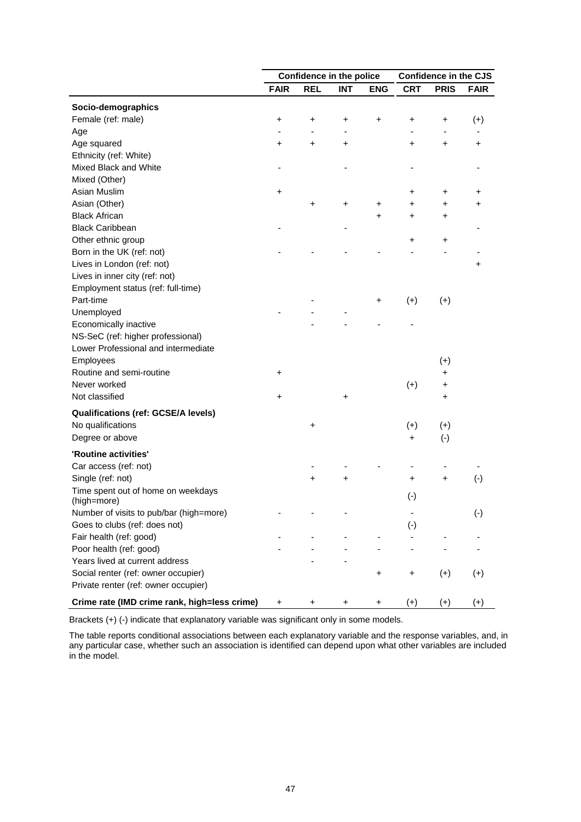|                                                   | Confidence in the police |                          |            | <b>Confidence in the CJS</b> |              |             |             |
|---------------------------------------------------|--------------------------|--------------------------|------------|------------------------------|--------------|-------------|-------------|
|                                                   | <b>FAIR</b>              | <b>REL</b>               | <b>INT</b> | <b>ENG</b>                   | <b>CRT</b>   | <b>PRIS</b> | <b>FAIR</b> |
| Socio-demographics                                |                          |                          |            |                              |              |             |             |
| Female (ref: male)                                | +                        | +                        | +          | +                            | $\ddot{}$    | +           | $(+)$       |
| Age                                               |                          | $\overline{\phantom{a}}$ |            |                              |              |             |             |
| Age squared                                       | +                        | +                        | +          |                              | +            | +           | +           |
| Ethnicity (ref: White)                            |                          |                          |            |                              |              |             |             |
| Mixed Black and White                             |                          |                          |            |                              |              |             |             |
| Mixed (Other)                                     |                          |                          |            |                              |              |             |             |
| Asian Muslim                                      | +                        |                          |            |                              | +            | +           | +           |
| Asian (Other)                                     |                          | +                        | +          | +                            | $\ddot{}$    | +           | +           |
| <b>Black African</b>                              |                          |                          |            | +                            | $\ddot{}$    | +           |             |
| <b>Black Caribbean</b>                            |                          |                          |            |                              |              |             |             |
| Other ethnic group                                |                          |                          |            |                              | +            | +           |             |
| Born in the UK (ref: not)                         |                          |                          |            |                              |              |             |             |
| Lives in London (ref: not)                        |                          |                          |            |                              |              |             | +           |
| Lives in inner city (ref: not)                    |                          |                          |            |                              |              |             |             |
| Employment status (ref: full-time)                |                          |                          |            |                              |              |             |             |
| Part-time                                         |                          |                          |            | +                            | $(+)$        | $(+)$       |             |
| Unemployed                                        |                          |                          |            |                              |              |             |             |
| Economically inactive                             |                          |                          |            |                              |              |             |             |
| NS-SeC (ref: higher professional)                 |                          |                          |            |                              |              |             |             |
| Lower Professional and intermediate               |                          |                          |            |                              |              |             |             |
| Employees                                         |                          |                          |            |                              |              | $(+)$       |             |
| Routine and semi-routine                          | +                        |                          |            |                              |              | +           |             |
| Never worked                                      |                          |                          |            |                              | $(+)$        | +           |             |
| Not classified                                    | +                        |                          | +          |                              |              | +           |             |
| <b>Qualifications (ref: GCSE/A levels)</b>        |                          |                          |            |                              |              |             |             |
| No qualifications                                 |                          | +                        |            |                              | $(+)$        | $(+)$       |             |
| Degree or above                                   |                          |                          |            |                              | +            | $(-)$       |             |
|                                                   |                          |                          |            |                              |              |             |             |
| 'Routine activities'                              |                          |                          |            |                              |              |             |             |
| Car access (ref: not)                             |                          |                          |            |                              |              |             |             |
| Single (ref: not)                                 |                          | +                        | +          |                              | +            | +           | $(-)$       |
| Time spent out of home on weekdays<br>(high=more) |                          |                          |            |                              | $(\cdot)$    |             |             |
| Number of visits to pub/bar (high=more)           |                          |                          |            |                              |              |             | $(\cdot)$   |
| Goes to clubs (ref: does not)                     |                          |                          |            |                              | $(\text{-})$ |             |             |
| Fair health (ref: good)                           |                          |                          |            |                              |              |             |             |
| Poor health (ref: good)                           |                          |                          |            |                              |              |             |             |
| Years lived at current address                    |                          |                          |            |                              |              |             |             |
| Social renter (ref: owner occupier)               |                          |                          |            | +                            | +            | $(+)$       | $(+)$       |
| Private renter (ref: owner occupier)              |                          |                          |            |                              |              |             |             |
| Crime rate (IMD crime rank, high=less crime)      | +                        | +                        | +          | +                            | $(+)$        | $(+)$       | $(+)$       |

Brackets (+) (-) indicate that explanatory variable was significant only in some models.

The table reports conditional associations between each explanatory variable and the response variables, and, in any particular case, whether such an association is identified can depend upon what other variables are included in the model.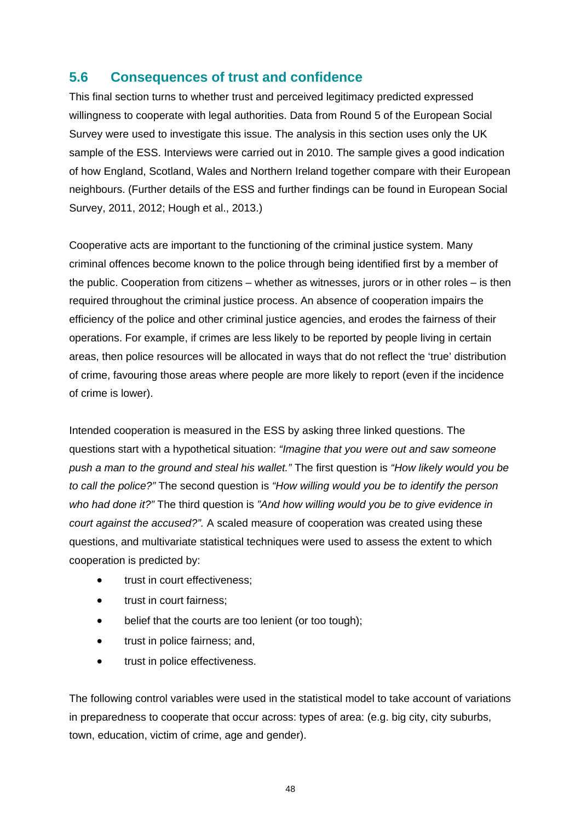## **5.6 Consequences of trust and confidence**

This final section turns to whether trust and perceived legitimacy predicted expressed willingness to cooperate with legal authorities. Data from Round 5 of the European Social Survey were used to investigate this issue. The analysis in this section uses only the UK sample of the ESS. Interviews were carried out in 2010. The sample gives a good indication of how England, Scotland, Wales and Northern Ireland together compare with their European neighbours. (Further details of the ESS and further findings can be found in European Social Survey, 2011, 2012; Hough et al., 2013.)

Cooperative acts are important to the functioning of the criminal justice system. Many criminal offences become known to the police through being identified first by a member of the public. Cooperation from citizens – whether as witnesses, jurors or in other roles – is then required throughout the criminal justice process. An absence of cooperation impairs the efficiency of the police and other criminal justice agencies, and erodes the fairness of their operations. For example, if crimes are less likely to be reported by people living in certain areas, then police resources will be allocated in ways that do not reflect the 'true' distribution of crime, favouring those areas where people are more likely to report (even if the incidence of crime is lower).

Intended cooperation is measured in the ESS by asking three linked questions. The questions start with a hypothetical situation: *"Imagine that you were out and saw someone push a man to the ground and steal his wallet."* The first question is *"How likely would you be to call the police?"* The second question is *"How willing would you be to identify the person who had done it?"* The third question is *"And how willing would you be to give evidence in court against the accused?".* A scaled measure of cooperation was created using these questions, and multivariate statistical techniques were used to assess the extent to which cooperation is predicted by:

- trust in court effectiveness;
- trust in court fairness;
- belief that the courts are too lenient (or too tough);
- trust in police fairness; and,
- trust in police effectiveness.

The following control variables were used in the statistical model to take account of variations in preparedness to cooperate that occur across: types of area: (e.g. big city, city suburbs, town, education, victim of crime, age and gender).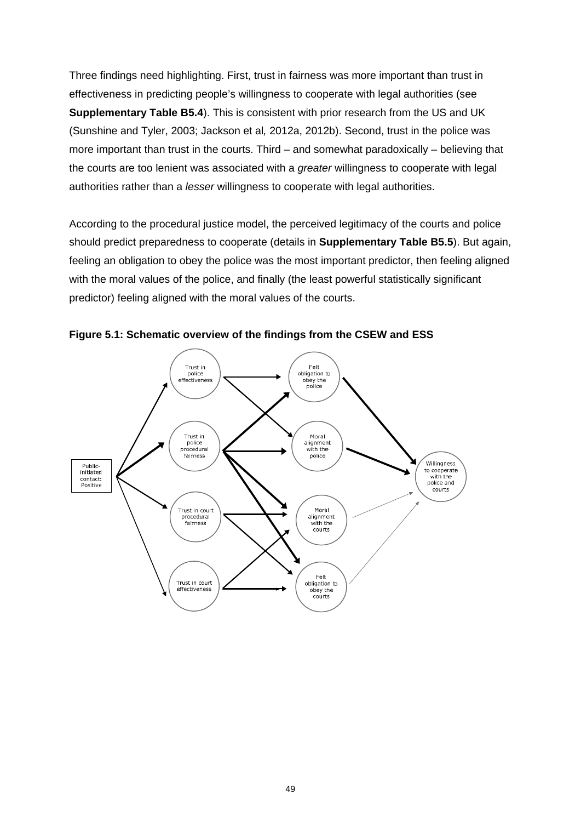Three findings need highlighting. First, trust in fairness was more important than trust in effectiveness in predicting people's willingness to cooperate with legal authorities (see **Supplementary Table B5.4**). This is consistent with prior research from the US and UK (Sunshine and Tyler, 2003; Jackson et al*,* 2012a, 2012b). Second, trust in the police was more important than trust in the courts. Third – and somewhat paradoxically – believing that the courts are too lenient was associated with a *greater* willingness to cooperate with legal authorities rather than a *lesser* willingness to cooperate with legal authorities.

According to the procedural justice model, the perceived legitimacy of the courts and police should predict preparedness to cooperate (details in **Supplementary Table B5.5**). But again, feeling an obligation to obey the police was the most important predictor, then feeling aligned with the moral values of the police, and finally (the least powerful statistically significant predictor) feeling aligned with the moral values of the courts.

<span id="page-55-0"></span>

**Figure 5.1: Schematic overview of the findings from the CSEW and ESS**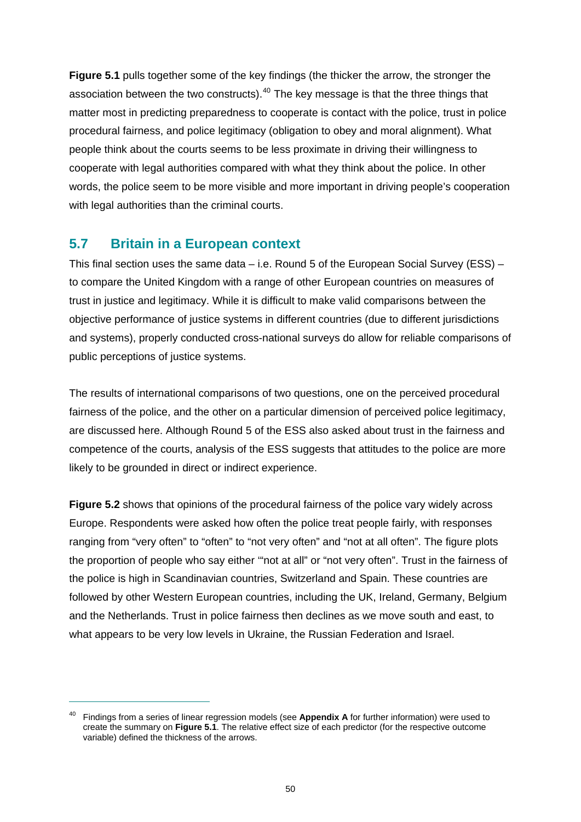**[Figure 5.1](#page-55-0)** pulls together some of the key findings (the thicker the arrow, the stronger the association between the two constructs). $40$  The key message is that the three things that matter most in predicting preparedness to cooperate is contact with the police, trust in police procedural fairness, and police legitimacy (obligation to obey and moral alignment). What people think about the courts seems to be less proximate in driving their willingness to cooperate with legal authorities compared with what they think about the police. In other words, the police seem to be more visible and more important in driving people's cooperation with legal authorities than the criminal courts.

### **5.7 Britain in a European context**

 $\overline{a}$ 

This final section uses the same data – i.e. Round 5 of the European Social Survey (ESS) – to compare the United Kingdom with a range of other European countries on measures of trust in justice and legitimacy. While it is difficult to make valid comparisons between the objective performance of justice systems in different countries (due to different jurisdictions and systems), properly conducted cross-national surveys do allow for reliable comparisons of public perceptions of justice systems.

The results of international comparisons of two questions, one on the perceived procedural fairness of the police, and the other on a particular dimension of perceived police legitimacy, are discussed here. Although Round 5 of the ESS also asked about trust in the fairness and competence of the courts, analysis of the ESS suggests that attitudes to the police are more likely to be grounded in direct or indirect experience.

**[Figure 5.2](#page-57-0)** shows that opinions of the procedural fairness of the police vary widely across Europe. Respondents were asked how often the police treat people fairly, with responses ranging from "very often" to "often" to "not very often" and "not at all often". The figure plots the proportion of people who say either '"not at all" or "not very often". Trust in the fairness of the police is high in Scandinavian countries, Switzerland and Spain. These countries are followed by other Western European countries, including the UK, Ireland, Germany, Belgium and the Netherlands. Trust in police fairness then declines as we move south and east, to what appears to be very low levels in Ukraine, the Russian Federation and Israel.

<span id="page-56-0"></span><sup>40</sup> Findings from a series of linear regression models (see **Appendix A** for further information) were used to create the summary on **Figure 5.1**. The relative effect size of each predictor (for the respective outcome variable) defined the thickness of the arrows.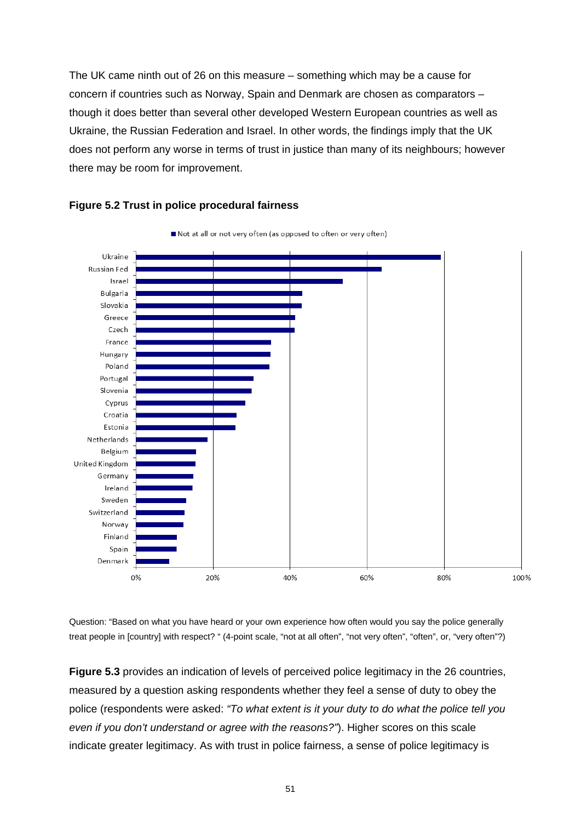The UK came ninth out of 26 on this measure – something which may be a cause for concern if countries such as Norway, Spain and Denmark are chosen as comparators – though it does better than several other developed Western European countries as well as Ukraine, the Russian Federation and Israel. In other words, the findings imply that the UK does not perform any worse in terms of trust in justice than many of its neighbours; however there may be room for improvement.

<span id="page-57-0"></span>



Question: "Based on what you have heard or your own experience how often would you say the police generally treat people in [country] with respect? " (4-point scale, "not at all often", "not very often", "often", or, "very often"?)

**[Figure 5.3](#page-58-0)** provides an indication of levels of perceived police legitimacy in the 26 countries, measured by a question asking respondents whether they feel a sense of duty to obey the police (respondents were asked: *"To what extent is it your duty to do what the police tell you even if you don't understand or agree with the reasons?"*). Higher scores on this scale indicate greater legitimacy. As with trust in police fairness, a sense of police legitimacy is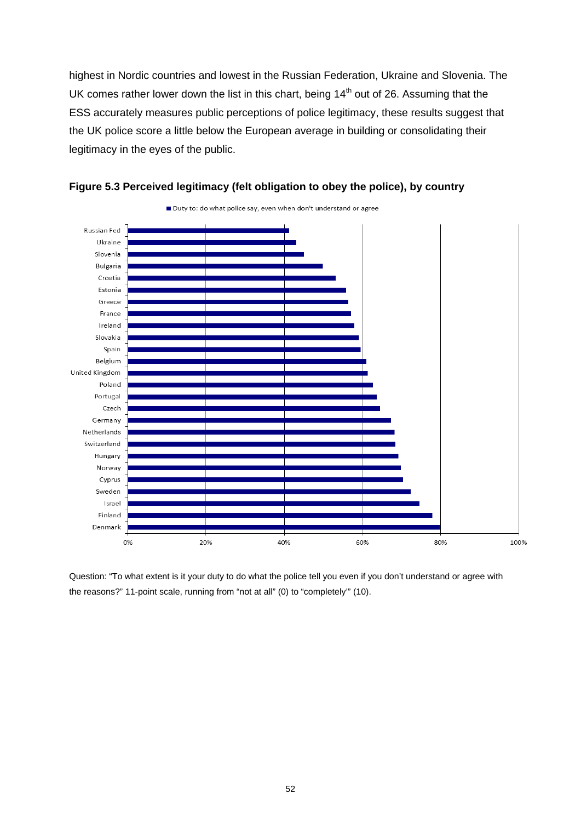highest in Nordic countries and lowest in the Russian Federation, Ukraine and Slovenia. The UK comes rather lower down the list in this chart, being  $14<sup>th</sup>$  out of 26. Assuming that the ESS accurately measures public perceptions of police legitimacy, these results suggest that the UK police score a little below the European average in building or consolidating their legitimacy in the eyes of the public.

<span id="page-58-0"></span>



Question: "To what extent is it your duty to do what the police tell you even if you don't understand or agree with the reasons?" 11-point scale, running from "not at all" (0) to "completely'" (10).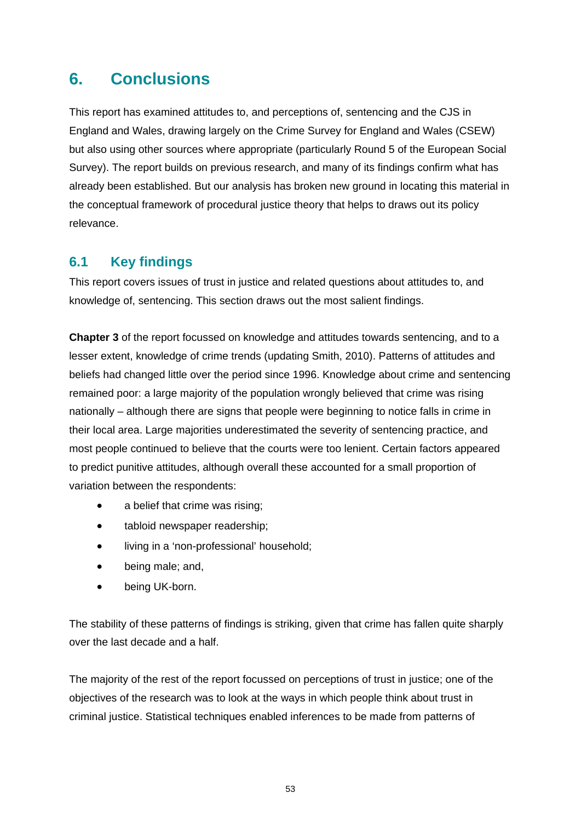# **6. Conclusions**

This report has examined attitudes to, and perceptions of, sentencing and the CJS in England and Wales, drawing largely on the Crime Survey for England and Wales (CSEW) but also using other sources where appropriate (particularly Round 5 of the European Social Survey). The report builds on previous research, and many of its findings confirm what has already been established. But our analysis has broken new ground in locating this material in the conceptual framework of procedural justice theory that helps to draws out its policy relevance.

## **6.1 Key findings**

This report covers issues of trust in justice and related questions about attitudes to, and knowledge of, sentencing. This section draws out the most salient findings.

**[Chapter 3](#page-21-0)** of the report focussed on knowledge and attitudes towards sentencing, and to a lesser extent, knowledge of crime trends (updating Smith, 2010). Patterns of attitudes and beliefs had changed little over the period since 1996. Knowledge about crime and sentencing remained poor: a large majority of the population wrongly believed that crime was rising nationally – although there are signs that people were beginning to notice falls in crime in their local area. Large majorities underestimated the severity of sentencing practice, and most people continued to believe that the courts were too lenient. Certain factors appeared to predict punitive attitudes, although overall these accounted for a small proportion of variation between the respondents:

- a belief that crime was rising;
- tabloid newspaper readership;
- living in a 'non-professional' household;
- being male; and,
- being UK-born.

The stability of these patterns of findings is striking, given that crime has fallen quite sharply over the last decade and a half.

The majority of the rest of the report focussed on perceptions of trust in justice; one of the objectives of the research was to look at the ways in which people think about trust in criminal justice. Statistical techniques enabled inferences to be made from patterns of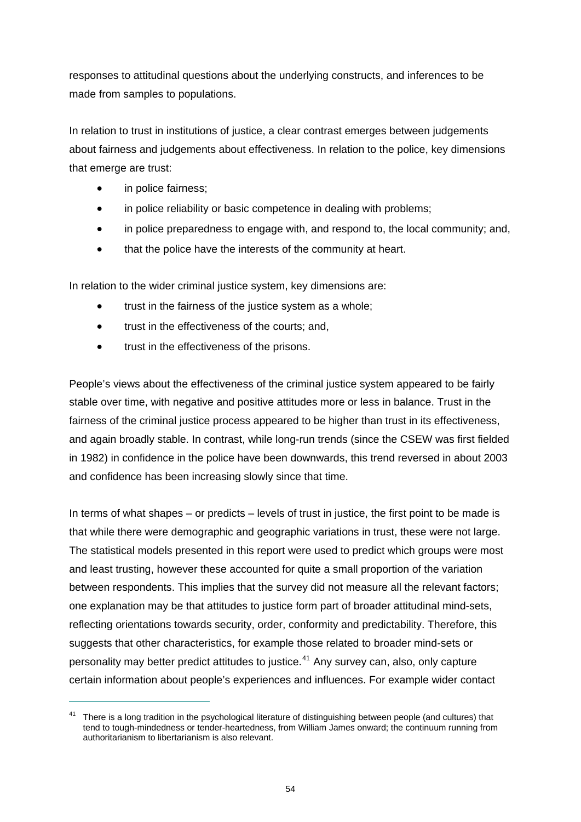responses to attitudinal questions about the underlying constructs, and inferences to be made from samples to populations.

In relation to trust in institutions of justice, a clear contrast emerges between judgements about fairness and judgements about effectiveness. In relation to the police, key dimensions that emerge are trust:

in police fairness;

 $\overline{a}$ 

- in police reliability or basic competence in dealing with problems;
- in police preparedness to engage with, and respond to, the local community; and,
- that the police have the interests of the community at heart.

In relation to the wider criminal justice system, key dimensions are:

- trust in the fairness of the justice system as a whole;
- trust in the effectiveness of the courts; and,
- trust in the effectiveness of the prisons.

People's views about the effectiveness of the criminal justice system appeared to be fairly stable over time, with negative and positive attitudes more or less in balance. Trust in the fairness of the criminal justice process appeared to be higher than trust in its effectiveness, and again broadly stable. In contrast, while long-run trends (since the CSEW was first fielded in 1982) in confidence in the police have been downwards, this trend reversed in about 2003 and confidence has been increasing slowly since that time.

In terms of what shapes – or predicts – levels of trust in justice, the first point to be made is that while there were demographic and geographic variations in trust, these were not large. The statistical models presented in this report were used to predict which groups were most and least trusting, however these accounted for quite a small proportion of the variation between respondents. This implies that the survey did not measure all the relevant factors; one explanation may be that attitudes to justice form part of broader attitudinal mind-sets, reflecting orientations towards security, order, conformity and predictability. Therefore, this suggests that other characteristics, for example those related to broader mind-sets or personality may better predict attitudes to justice.<sup>[41](#page-60-0)</sup> Any survey can, also, only capture certain information about people's experiences and influences. For example wider contact

<span id="page-60-0"></span><sup>41</sup> There is a long tradition in the psychological literature of distinguishing between people (and cultures) that tend to tough-mindedness or tender-heartedness, from William James onward; the continuum running from authoritarianism to libertarianism is also relevant.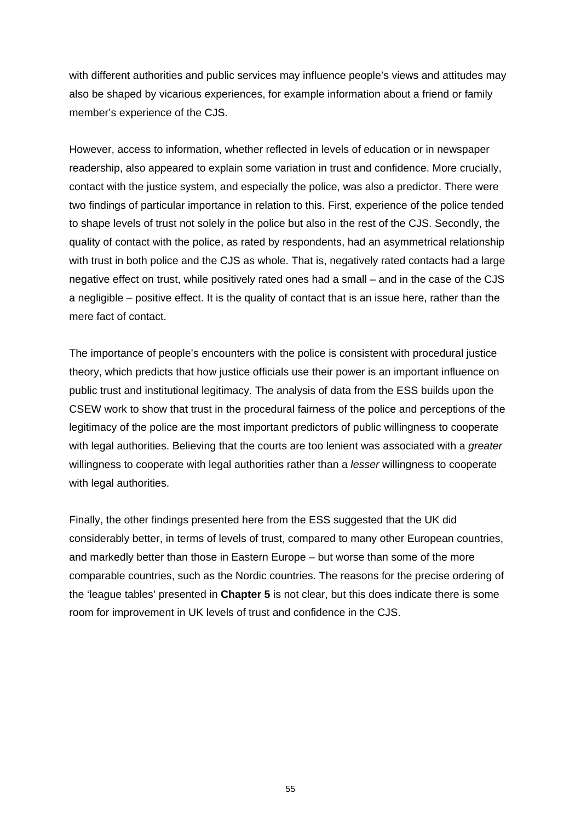with different authorities and public services may influence people's views and attitudes may also be shaped by vicarious experiences, for example information about a friend or family member's experience of the CJS.

However, access to information, whether reflected in levels of education or in newspaper readership, also appeared to explain some variation in trust and confidence. More crucially, contact with the justice system, and especially the police, was also a predictor. There were two findings of particular importance in relation to this. First, experience of the police tended to shape levels of trust not solely in the police but also in the rest of the CJS. Secondly, the quality of contact with the police, as rated by respondents, had an asymmetrical relationship with trust in both police and the CJS as whole. That is, negatively rated contacts had a large negative effect on trust, while positively rated ones had a small – and in the case of the CJS a negligible – positive effect. It is the quality of contact that is an issue here, rather than the mere fact of contact.

The importance of people's encounters with the police is consistent with procedural justice theory, which predicts that how justice officials use their power is an important influence on public trust and institutional legitimacy. The analysis of data from the ESS builds upon the CSEW work to show that trust in the procedural fairness of the police and perceptions of the legitimacy of the police are the most important predictors of public willingness to cooperate with legal authorities. Believing that the courts are too lenient was associated with a *greater*  willingness to cooperate with legal authorities rather than a *lesser* willingness to cooperate with legal authorities.

Finally, the other findings presented here from the ESS suggested that the UK did considerably better, in terms of levels of trust, compared to many other European countries, and markedly better than those in Eastern Europe – but worse than some of the more comparable countries, such as the Nordic countries. The reasons for the precise ordering of the 'league tables' presented in **[Chapter 5](#page-44-0)** is not clear, but this does indicate there is some room for improvement in UK levels of trust and confidence in the CJS.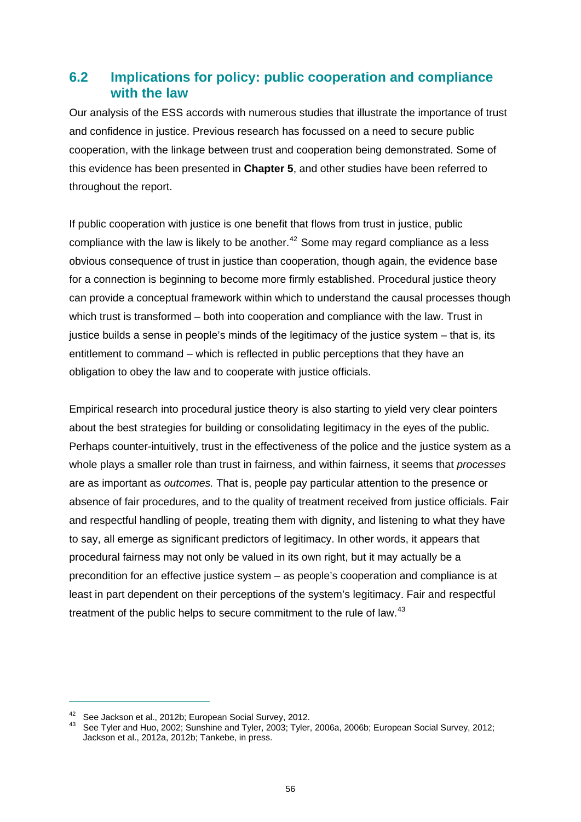### **6.2 Implications for policy: public cooperation and compliance with the law**

Our analysis of the ESS accords with numerous studies that illustrate the importance of trust and confidence in justice. Previous research has focussed on a need to secure public cooperation, with the linkage between trust and cooperation being demonstrated. Some of this evidence has been presented in **[Chapter 5](#page-44-0)**, and other studies have been referred to throughout the report.

If public cooperation with justice is one benefit that flows from trust in justice, public compliance with the law is likely to be another.<sup>[42](#page-62-0)</sup> Some may regard compliance as a less obvious consequence of trust in justice than cooperation, though again, the evidence base for a connection is beginning to become more firmly established. Procedural justice theory can provide a conceptual framework within which to understand the causal processes though which trust is transformed – both into cooperation and compliance with the law. Trust in justice builds a sense in people's minds of the legitimacy of the justice system – that is, its entitlement to command – which is reflected in public perceptions that they have an obligation to obey the law and to cooperate with justice officials.

Empirical research into procedural justice theory is also starting to yield very clear pointers about the best strategies for building or consolidating legitimacy in the eyes of the public. Perhaps counter-intuitively, trust in the effectiveness of the police and the justice system as a whole plays a smaller role than trust in fairness, and within fairness, it seems that *processes*  are as important as *outcomes.* That is, people pay particular attention to the presence or absence of fair procedures, and to the quality of treatment received from justice officials. Fair and respectful handling of people, treating them with dignity, and listening to what they have to say, all emerge as significant predictors of legitimacy. In other words, it appears that procedural fairness may not only be valued in its own right, but it may actually be a precondition for an effective justice system – as people's cooperation and compliance is at least in part dependent on their perceptions of the system's legitimacy. Fair and respectful treatment of the public helps to secure commitment to the rule of law.<sup>[43](#page-62-1)</sup>

<span id="page-62-1"></span>

<span id="page-62-0"></span><sup>&</sup>lt;sup>42</sup> See Jackson et al., 2012b; European Social Survey, 2012.<br><sup>43</sup> See Tyler and Huo, 2002; Sunshine and Tyler, 2003; Tyler, 2006a, 2006b; European Social Survey, 2012; Jackson et al., 2012a, 2012b; Tankebe, in press.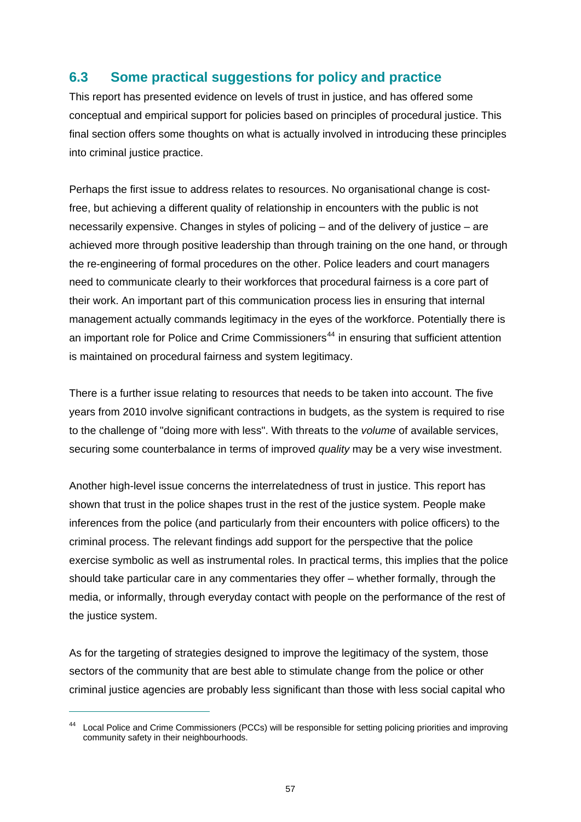## **6.3 Some practical suggestions for policy and practice**

This report has presented evidence on levels of trust in justice, and has offered some conceptual and empirical support for policies based on principles of procedural justice. This final section offers some thoughts on what is actually involved in introducing these principles into criminal justice practice.

Perhaps the first issue to address relates to resources. No organisational change is costfree, but achieving a different quality of relationship in encounters with the public is not necessarily expensive. Changes in styles of policing – and of the delivery of justice – are achieved more through positive leadership than through training on the one hand, or through the re-engineering of formal procedures on the other. Police leaders and court managers need to communicate clearly to their workforces that procedural fairness is a core part of their work. An important part of this communication process lies in ensuring that internal management actually commands legitimacy in the eyes of the workforce. Potentially there is an important role for Police and Crime Commissioners<sup>[44](#page-63-0)</sup> in ensuring that sufficient attention is maintained on procedural fairness and system legitimacy.

There is a further issue relating to resources that needs to be taken into account. The five years from 2010 involve significant contractions in budgets, as the system is required to rise to the challenge of "doing more with less". With threats to the *volume* of available services, securing some counterbalance in terms of improved *quality* may be a very wise investment.

Another high-level issue concerns the interrelatedness of trust in justice. This report has shown that trust in the police shapes trust in the rest of the justice system. People make inferences from the police (and particularly from their encounters with police officers) to the criminal process. The relevant findings add support for the perspective that the police exercise symbolic as well as instrumental roles. In practical terms, this implies that the police should take particular care in any commentaries they offer – whether formally, through the media, or informally, through everyday contact with people on the performance of the rest of the justice system.

As for the targeting of strategies designed to improve the legitimacy of the system, those sectors of the community that are best able to stimulate change from the police or other criminal justice agencies are probably less significant than those with less social capital who

<span id="page-63-0"></span><sup>44</sup> Local Police and Crime Commissioners (PCCs) will be responsible for setting policing priorities and improving community safety in their neighbourhoods.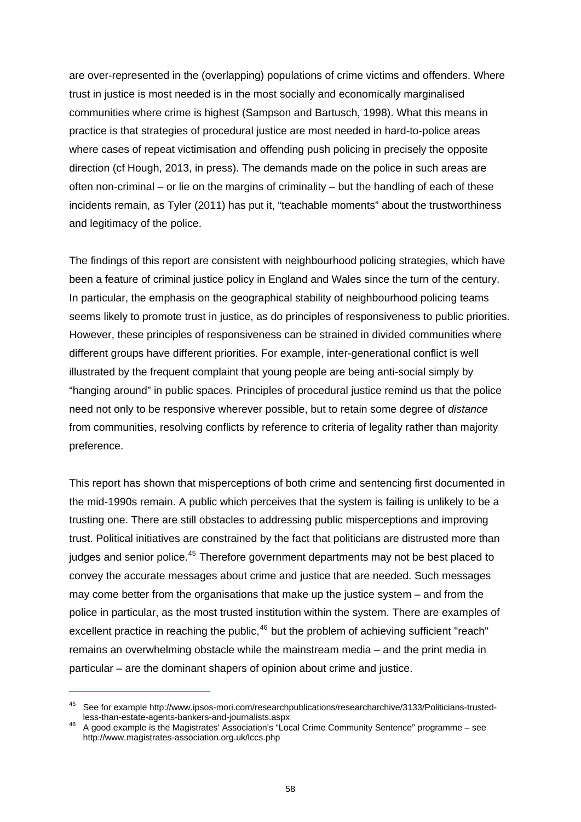are over-represented in the (overlapping) populations of crime victims and offenders. Where trust in justice is most needed is in the most socially and economically marginalised communities where crime is highest (Sampson and Bartusch, 1998). What this means in practice is that strategies of procedural justice are most needed in hard-to-police areas where cases of repeat victimisation and offending push policing in precisely the opposite direction (cf Hough, 2013, in press). The demands made on the police in such areas are often non-criminal – or lie on the margins of criminality – but the handling of each of these incidents remain, as Tyler (2011) has put it, "teachable moments" about the trustworthiness and legitimacy of the police.

The findings of this report are consistent with neighbourhood policing strategies, which have been a feature of criminal justice policy in England and Wales since the turn of the century. In particular, the emphasis on the geographical stability of neighbourhood policing teams seems likely to promote trust in justice, as do principles of responsiveness to public priorities. However, these principles of responsiveness can be strained in divided communities where different groups have different priorities. For example, inter-generational conflict is well illustrated by the frequent complaint that young people are being anti-social simply by "hanging around" in public spaces. Principles of procedural justice remind us that the police need not only to be responsive wherever possible, but to retain some degree of *distance*  from communities, resolving conflicts by reference to criteria of legality rather than majority preference.

This report has shown that misperceptions of both crime and sentencing first documented in the mid-1990s remain. A public which perceives that the system is failing is unlikely to be a trusting one. There are still obstacles to addressing public misperceptions and improving trust. Political initiatives are constrained by the fact that politicians are distrusted more than judges and senior police.<sup>[45](#page-64-0)</sup> Therefore government departments may not be best placed to convey the accurate messages about crime and justice that are needed. Such messages may come better from the organisations that make up the justice system – and from the police in particular, as the most trusted institution within the system. There are examples of excellent practice in reaching the public,  $46$  but the problem of achieving sufficient "reach" remains an overwhelming obstacle while the mainstream media – and the print media in particular – are the dominant shapers of opinion about crime and justice.

<span id="page-64-0"></span><sup>&</sup>lt;sup>45</sup> See for example http://www.ipsos-mori.com/researchpublications/researcharchive/3133/Politicians-trusted-<br>less-than-estate-agents-bankers-and-journalists.aspx

<span id="page-64-1"></span>less-than-estate-agents-bankers-and-journalists.aspx 46 A good example is the Magistrates' Association's "Local Crime Community Sentence" programme – see <http://www.magistrates-association.org.uk/lccs.php>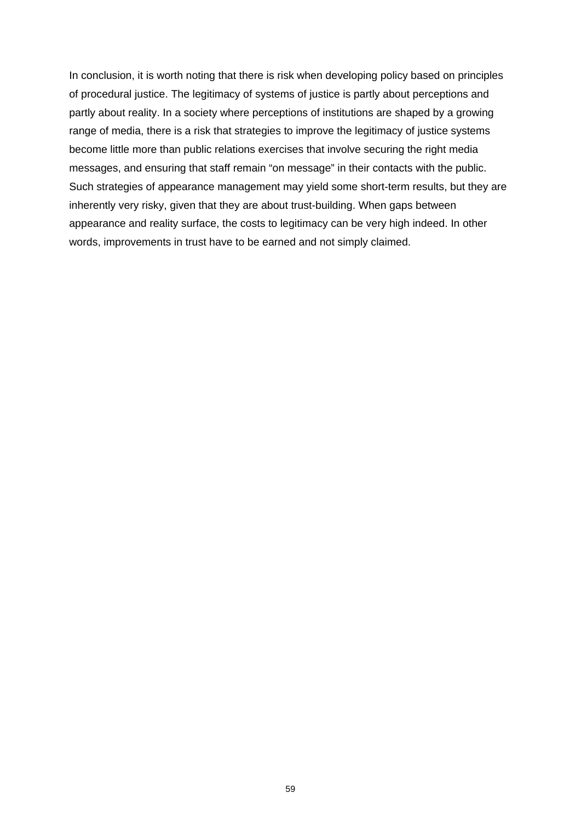In conclusion, it is worth noting that there is risk when developing policy based on principles of procedural justice. The legitimacy of systems of justice is partly about perceptions and partly about reality. In a society where perceptions of institutions are shaped by a growing range of media, there is a risk that strategies to improve the legitimacy of justice systems become little more than public relations exercises that involve securing the right media messages, and ensuring that staff remain "on message" in their contacts with the public. Such strategies of appearance management may yield some short-term results, but they are inherently very risky, given that they are about trust-building. When gaps between appearance and reality surface, the costs to legitimacy can be very high indeed. In other words, improvements in trust have to be earned and not simply claimed.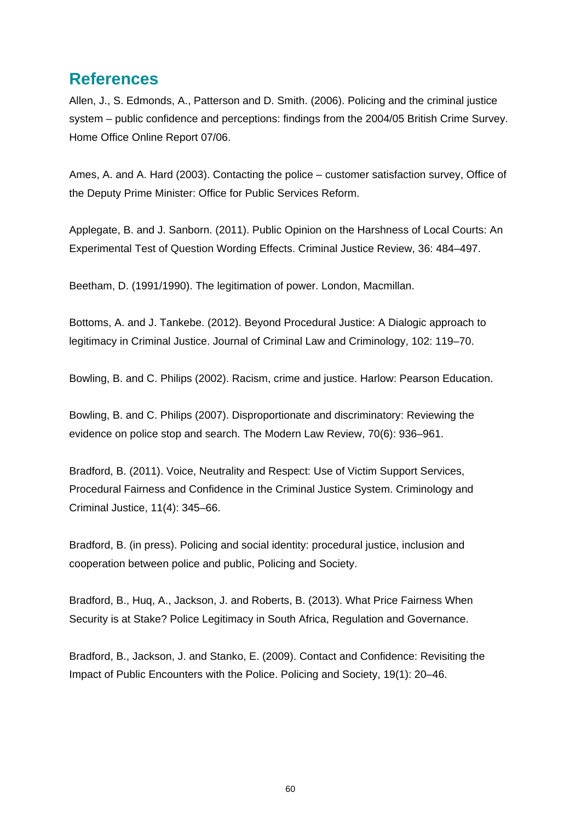## **References**

Allen, J., S. Edmonds, A., Patterson and D. Smith. (2006). Policing and the criminal justice system – public confidence and perceptions: findings from the 2004/05 British Crime Survey. Home Office Online Report 07/06.

Ames, A. and A. Hard (2003). Contacting the police – customer satisfaction survey, Office of the Deputy Prime Minister: Office for Public Services Reform.

Applegate, B. and J. Sanborn. (2011). Public Opinion on the Harshness of Local Courts: An Experimental Test of Question Wording Effects. Criminal Justice Review, 36: 484–497.

Beetham, D. (1991/1990). The legitimation of power. London, Macmillan.

Bottoms, A. and J. Tankebe. (2012). Beyond Procedural Justice: A Dialogic approach to legitimacy in Criminal Justice. Journal of Criminal Law and Criminology, 102: 119–70.

Bowling, B. and C. Philips (2002). Racism, crime and justice. Harlow: Pearson Education.

Bowling, B. and C. Philips (2007). Disproportionate and discriminatory: Reviewing the evidence on police stop and search. The Modern Law Review, 70(6): 936–961.

Bradford, B. (2011). Voice, Neutrality and Respect: Use of Victim Support Services, Procedural Fairness and Confidence in the Criminal Justice System. Criminology and Criminal Justice, 11(4): 345–66.

Bradford, B. (in press). Policing and social identity: procedural justice, inclusion and cooperation between police and public, Policing and Society.

Bradford, B., Huq, A., Jackson, J. and Roberts, B. (2013). What Price Fairness When Security is at Stake? Police Legitimacy in South Africa, Regulation and Governance.

Bradford, B., Jackson, J. and Stanko, E. (2009). Contact and Confidence: Revisiting the Impact of Public Encounters with the Police. Policing and Society, 19(1): 20–46.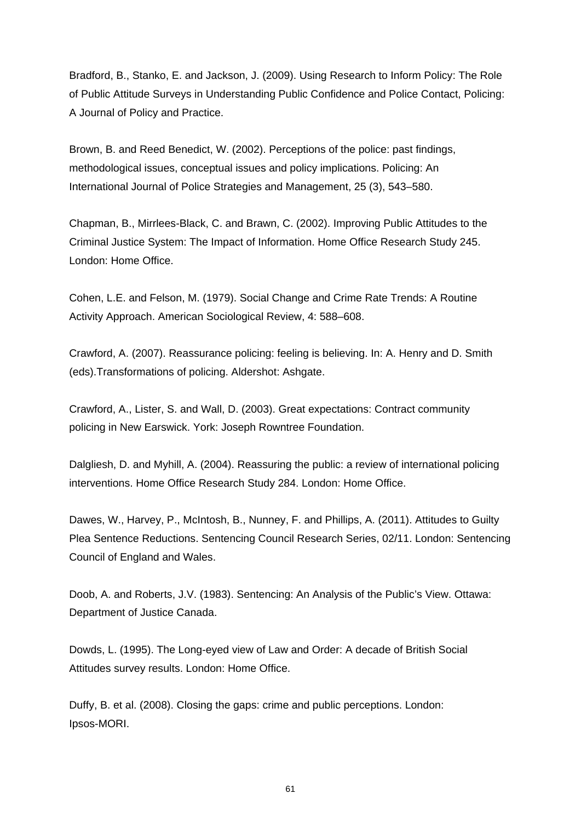Bradford, B., Stanko, E. and Jackson, J. (2009). Using Research to Inform Policy: The Role of Public Attitude Surveys in Understanding Public Confidence and Police Contact, Policing: A Journal of Policy and Practice.

Brown, B. and Reed Benedict, W. (2002). Perceptions of the police: past findings, methodological issues, conceptual issues and policy implications. Policing: An International Journal of Police Strategies and Management, 25 (3), 543–580.

Chapman, B., Mirrlees-Black, C. and Brawn, C. (2002). Improving Public Attitudes to the Criminal Justice System: The Impact of Information. Home Office Research Study 245. London: Home Office.

Cohen, L.E. and Felson, M. (1979). Social Change and Crime Rate Trends: A Routine Activity Approach. American Sociological Review, 4: 588–608.

Crawford, A. (2007). Reassurance policing: feeling is believing. In: A. Henry and D. Smith (eds).Transformations of policing. Aldershot: Ashgate.

Crawford, A., Lister, S. and Wall, D. (2003). Great expectations: Contract community policing in New Earswick. York: Joseph Rowntree Foundation.

Dalgliesh, D. and Myhill, A. (2004). Reassuring the public: a review of international policing interventions. Home Office Research Study 284. London: Home Office.

Dawes, W., Harvey, P., McIntosh, B., Nunney, F. and Phillips, A. (2011). Attitudes to Guilty Plea Sentence Reductions. Sentencing Council Research Series, 02/11. London: Sentencing Council of England and Wales.

Doob, A. and Roberts, J.V. (1983). Sentencing: An Analysis of the Public's View. Ottawa: Department of Justice Canada.

Dowds, L. (1995). The Long-eyed view of Law and Order: A decade of British Social Attitudes survey results. London: Home Office.

Duffy, B. et al. (2008). Closing the gaps: crime and public perceptions. London: Ipsos-MORI.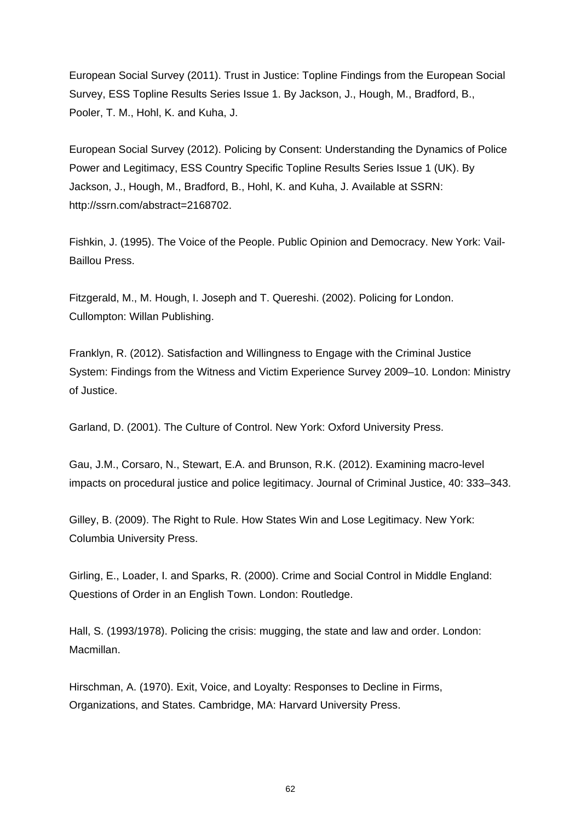European Social Survey (2011). Trust in Justice: Topline Findings from the European Social Survey, ESS Topline Results Series Issue 1. By Jackson, J., Hough, M., Bradford, B., Pooler, T. M., Hohl, K. and Kuha, J.

European Social Survey (2012). Policing by Consent: Understanding the Dynamics of Police Power and Legitimacy, ESS Country Specific Topline Results Series Issue 1 (UK). By Jackson, J., Hough, M., Bradford, B., Hohl, K. and Kuha, J. Available at SSRN: [http://ssrn.com/abstract=2168702.](http://ssrn.com/abstract=2168702)

Fishkin, J. (1995). The Voice of the People. Public Opinion and Democracy. New York: Vail-Baillou Press.

Fitzgerald, M., M. Hough, I. Joseph and T. Quereshi. (2002). Policing for London. Cullompton: Willan Publishing.

Franklyn, R. (2012). Satisfaction and Willingness to Engage with the Criminal Justice System: Findings from the Witness and Victim Experience Survey 2009–10. London: Ministry of Justice.

Garland, D. (2001). The Culture of Control. New York: Oxford University Press.

Gau, J.M., Corsaro, N., Stewart, E.A. and Brunson, R.K. (2012). Examining macro-level impacts on procedural justice and police legitimacy. Journal of Criminal Justice, 40: 333–343.

Gilley, B. (2009). The Right to Rule. How States Win and Lose Legitimacy. New York: Columbia University Press.

Girling, E., Loader, I. and Sparks, R. (2000). Crime and Social Control in Middle England: Questions of Order in an English Town. London: Routledge.

Hall, S. (1993/1978). Policing the crisis: mugging, the state and law and order. London: Macmillan.

Hirschman, A. (1970). Exit, Voice, and Loyalty: Responses to Decline in Firms, Organizations, and States. Cambridge, MA: Harvard University Press.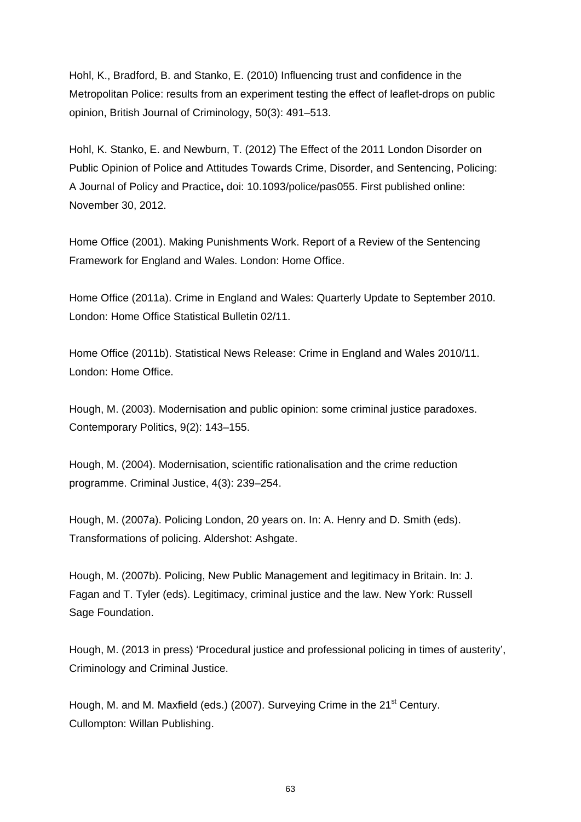Hohl, K., Bradford, B. and Stanko, E. (2010) Influencing trust and confidence in the Metropolitan Police: results from an experiment testing the effect of leaflet-drops on public opinion, British Journal of Criminology, 50(3): 491–513.

Hohl, K. Stanko, E. and Newburn, T. (2012) The Effect of the 2011 London Disorder on Public Opinion of Police and Attitudes Towards Crime, Disorder, and Sentencing, Policing: A Journal of Policy and Practice**,** doi: 10.1093/police/pas055. First published online: November 30, 2012.

Home Office (2001). Making Punishments Work. Report of a Review of the Sentencing Framework for England and Wales. London: Home Office.

Home Office (2011a). Crime in England and Wales: Quarterly Update to September 2010. London: Home Office Statistical Bulletin 02/11.

Home Office (2011b). Statistical News Release: Crime in England and Wales 2010/11. London: Home Office.

Hough, M. (2003). Modernisation and public opinion: some criminal justice paradoxes. Contemporary Politics, 9(2): 143–155.

Hough, M. (2004). Modernisation, scientific rationalisation and the crime reduction programme. Criminal Justice, 4(3): 239–254.

Hough, M. (2007a). Policing London, 20 years on. In: A. Henry and D. Smith (eds). Transformations of policing. Aldershot: Ashgate.

Hough, M. (2007b). Policing, New Public Management and legitimacy in Britain. In: J. Fagan and T. Tyler (eds). Legitimacy, criminal justice and the law. New York: Russell Sage Foundation.

Hough, M. (2013 in press) 'Procedural justice and professional policing in times of austerity', Criminology and Criminal Justice.

Hough, M. and M. Maxfield (eds.) (2007). Surveying Crime in the 21<sup>st</sup> Century. Cullompton: Willan Publishing.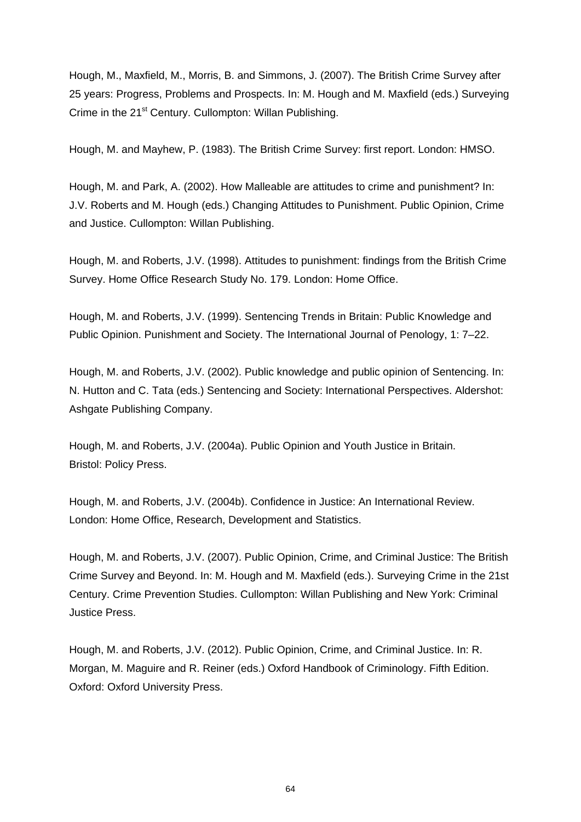Hough, M., Maxfield, M., Morris, B. and Simmons, J. (2007). The British Crime Survey after 25 years: Progress, Problems and Prospects. In: M. Hough and M. Maxfield (eds.) Surveying Crime in the 21<sup>st</sup> Century. Cullompton: Willan Publishing.

Hough, M. and Mayhew, P. (1983). The British Crime Survey: first report. London: HMSO.

Hough, M. and Park, A. (2002). How Malleable are attitudes to crime and punishment? In: J.V. Roberts and M. Hough (eds.) Changing Attitudes to Punishment. Public Opinion, Crime and Justice. Cullompton: Willan Publishing.

Hough, M. and Roberts, J.V. (1998). Attitudes to punishment: findings from the British Crime Survey. Home Office Research Study No. 179. London: Home Office.

Hough, M. and Roberts, J.V. (1999). Sentencing Trends in Britain: Public Knowledge and Public Opinion. Punishment and Society. The International Journal of Penology, 1: 7–22.

Hough, M. and Roberts, J.V. (2002). Public knowledge and public opinion of Sentencing. In: N. Hutton and C. Tata (eds.) Sentencing and Society: International Perspectives. Aldershot: Ashgate Publishing Company.

Hough, M. and Roberts, J.V. (2004a). Public Opinion and Youth Justice in Britain. Bristol: Policy Press.

Hough, M. and Roberts, J.V. (2004b). Confidence in Justice: An International Review. London: Home Office, Research, Development and Statistics.

Hough, M. and Roberts, J.V. (2007). Public Opinion, Crime, and Criminal Justice: The British Crime Survey and Beyond. In: M. Hough and M. Maxfield (eds.). Surveying Crime in the 21st Century. Crime Prevention Studies. Cullompton: Willan Publishing and New York: Criminal Justice Press.

Hough, M. and Roberts, J.V. (2012). Public Opinion, Crime, and Criminal Justice. In: R. Morgan, M. Maguire and R. Reiner (eds.) Oxford Handbook of Criminology. Fifth Edition. Oxford: Oxford University Press.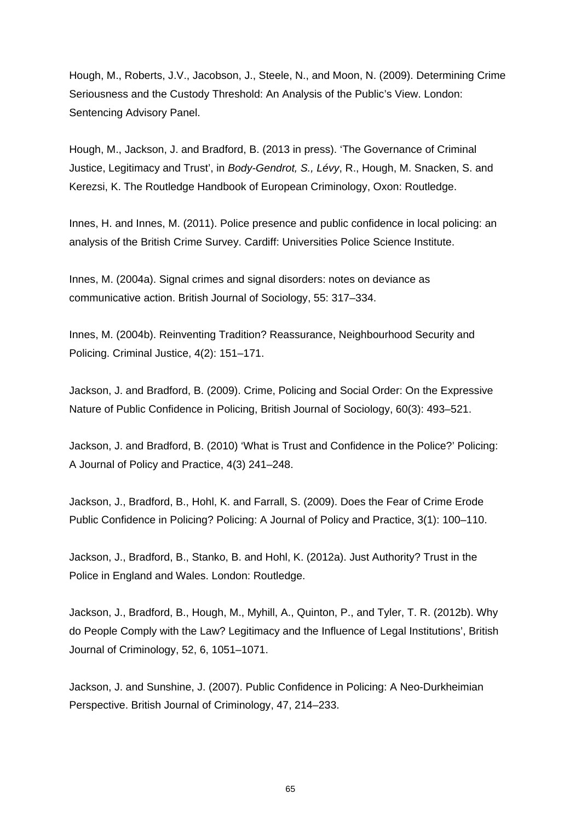Hough, M., Roberts, J.V., Jacobson, J., Steele, N., and Moon, N. (2009). Determining Crime Seriousness and the Custody Threshold: An Analysis of the Public's View. London: Sentencing Advisory Panel.

Hough, M., Jackson, J. and Bradford, B. (2013 in press). 'The Governance of Criminal Justice, Legitimacy and Trust', in *Body-Gendrot, S., Lévy*, R., Hough, M. Snacken, S. and Kerezsi, K. The Routledge Handbook of European Criminology, Oxon: Routledge.

Innes, H. and Innes, M. (2011). Police presence and public confidence in local policing: an analysis of the British Crime Survey. Cardiff: Universities Police Science Institute.

Innes, M. (2004a). Signal crimes and signal disorders: notes on deviance as communicative action. British Journal of Sociology, 55: 317–334.

Innes, M. (2004b). Reinventing Tradition? Reassurance, Neighbourhood Security and Policing. Criminal Justice, 4(2): 151–171.

Jackson, J. and Bradford, B. (2009). Crime, Policing and Social Order: On the Expressive Nature of Public Confidence in Policing, British Journal of Sociology, 60(3): 493–521.

Jackson, J. and Bradford, B. (2010) 'What is Trust and Confidence in the Police?' Policing: A Journal of Policy and Practice, 4(3) 241–248.

Jackson, J., Bradford, B., Hohl, K. and Farrall, S. (2009). Does the Fear of Crime Erode Public Confidence in Policing? Policing: A Journal of Policy and Practice, 3(1): 100–110.

Jackson, J., Bradford, B., Stanko, B. and Hohl, K. (2012a). Just Authority? Trust in the Police in England and Wales. London: Routledge.

Jackson, J., Bradford, B., Hough, M., Myhill, A., Quinton, P., and Tyler, T. R. (2012b). Why do People Comply with the Law? Legitimacy and the Influence of Legal Institutions', British Journal of Criminology, 52, 6, 1051–1071.

Jackson, J. and Sunshine, J. (2007). Public Confidence in Policing: A Neo-Durkheimian Perspective. British Journal of Criminology, 47, 214–233.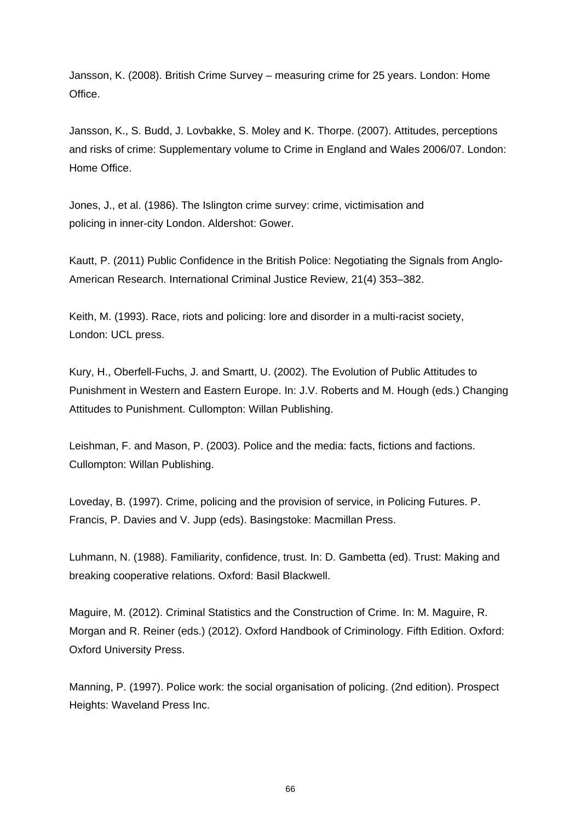Jansson, K. (2008). British Crime Survey – measuring crime for 25 years. London: Home Office.

Jansson, K., S. Budd, J. Lovbakke, S. Moley and K. Thorpe. (2007). Attitudes, perceptions and risks of crime: Supplementary volume to Crime in England and Wales 2006/07. London: Home Office.

Jones, J., et al. (1986). The Islington crime survey: crime, victimisation and policing in inner-city London. Aldershot: Gower.

Kautt, P. (2011) Public Confidence in the British Police: Negotiating the Signals from Anglo-American Research. International Criminal Justice Review, 21(4) 353–382.

Keith, M. (1993). Race, riots and policing: lore and disorder in a multi-racist society, London: UCL press.

Kury, H., Oberfell-Fuchs, J. and Smartt, U. (2002). The Evolution of Public Attitudes to Punishment in Western and Eastern Europe. In: J.V. Roberts and M. Hough (eds.) Changing Attitudes to Punishment. Cullompton: Willan Publishing.

Leishman, F. and Mason, P. (2003). Police and the media: facts, fictions and factions. Cullompton: Willan Publishing.

Loveday, B. (1997). Crime, policing and the provision of service, in Policing Futures. P. Francis, P. Davies and V. Jupp (eds). Basingstoke: Macmillan Press.

Luhmann, N. (1988). Familiarity, confidence, trust. In: D. Gambetta (ed). Trust: Making and breaking cooperative relations. Oxford: Basil Blackwell.

Maguire, M. (2012). Criminal Statistics and the Construction of Crime. In: M. Maguire, R. Morgan and R. Reiner (eds.) (2012). Oxford Handbook of Criminology. Fifth Edition. Oxford: Oxford University Press.

Manning, P. (1997). Police work: the social organisation of policing. (2nd edition). Prospect Heights: Waveland Press Inc.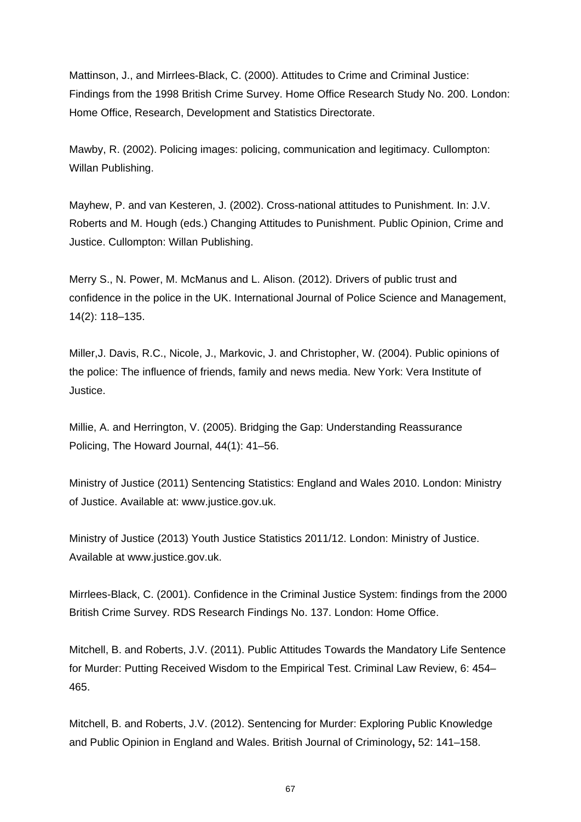Mattinson, J., and Mirrlees-Black, C. (2000). Attitudes to Crime and Criminal Justice: Findings from the 1998 British Crime Survey. Home Office Research Study No. 200. London: Home Office, Research, Development and Statistics Directorate.

Mawby, R. (2002). Policing images: policing, communication and legitimacy. Cullompton: Willan Publishing.

Mayhew, P. and van Kesteren, J. (2002). Cross-national attitudes to Punishment. In: J.V. Roberts and M. Hough (eds.) Changing Attitudes to Punishment. Public Opinion, Crime and Justice. Cullompton: Willan Publishing.

Merry S., N. Power, M. McManus and L. Alison. (2012). Drivers of public trust and confidence in the police in the UK. International Journal of Police Science and Management, 14(2): 118–135.

Miller,J. Davis, R.C., Nicole, J., Markovic, J. and Christopher, W. (2004). Public opinions of the police: The influence of friends, family and news media. New York: Vera Institute of Justice.

Millie, A. and Herrington, V. (2005). Bridging the Gap: Understanding Reassurance Policing, The Howard Journal, 44(1): 41–56.

Ministry of Justice (2011) Sentencing Statistics: England and Wales 2010. London: Ministry of Justice. Available at: [www.justice.gov.uk](http://www.justice.gov.uk/).

Ministry of Justice (2013) Youth Justice Statistics 2011/12. London: Ministry of Justice. Available at www.justice.gov.uk.

Mirrlees-Black, C. (2001). Confidence in the Criminal Justice System: findings from the 2000 British Crime Survey. RDS Research Findings No. 137. London: Home Office.

Mitchell, B. and Roberts, J.V. (2011). Public Attitudes Towards the Mandatory Life Sentence for Murder: Putting Received Wisdom to the Empirical Test. Criminal Law Review, 6: 454– 465.

Mitchell, B. and Roberts, J.V. (2012). Sentencing for Murder: Exploring Public Knowledge and Public Opinion in England and Wales. British Journal of Criminology**,** 52: 141–158.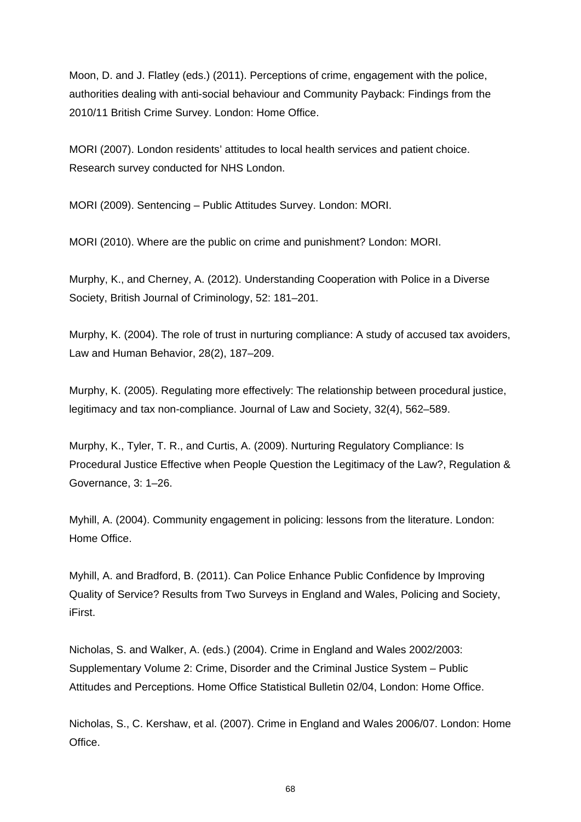Moon, D. and J. Flatley (eds.) (2011). Perceptions of crime, engagement with the police, authorities dealing with anti-social behaviour and Community Payback: Findings from the 2010/11 British Crime Survey. London: Home Office.

MORI (2007). London residents' attitudes to local health services and patient choice. Research survey conducted for NHS London.

MORI (2009). Sentencing – Public Attitudes Survey. London: MORI.

MORI (2010). Where are the public on crime and punishment? London: MORI.

Murphy, K., and Cherney, A. (2012). Understanding Cooperation with Police in a Diverse Society, British Journal of Criminology, 52: 181–201.

Murphy, K. (2004). The role of trust in nurturing compliance: A study of accused tax avoiders, Law and Human Behavior, 28(2), 187–209.

Murphy, K. (2005). Regulating more effectively: The relationship between procedural justice, legitimacy and tax non-compliance. Journal of Law and Society, 32(4), 562–589.

Murphy, K., Tyler, T. R., and Curtis, A. (2009). Nurturing Regulatory Compliance: Is Procedural Justice Effective when People Question the Legitimacy of the Law?, Regulation & Governance, 3: 1–26.

Myhill, A. (2004). Community engagement in policing: lessons from the literature. London: Home Office.

Myhill, A. and Bradford, B. (2011). Can Police Enhance Public Confidence by Improving Quality of Service? Results from Two Surveys in England and Wales, Policing and Society, iFirst.

Nicholas, S. and Walker, A. (eds.) (2004). Crime in England and Wales 2002/2003: Supplementary Volume 2: Crime, Disorder and the Criminal Justice System – Public Attitudes and Perceptions. Home Office Statistical Bulletin 02/04, London: Home Office.

Nicholas, S., C. Kershaw, et al. (2007). Crime in England and Wales 2006/07. London: Home Office.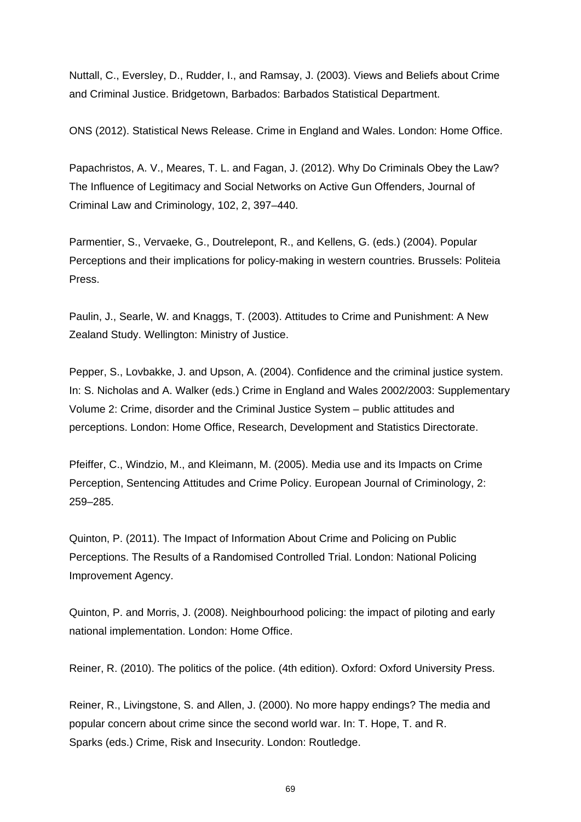Nuttall, C., Eversley, D., Rudder, I., and Ramsay, J. (2003). Views and Beliefs about Crime and Criminal Justice. Bridgetown, Barbados: Barbados Statistical Department.

ONS (2012). Statistical News Release. Crime in England and Wales. London: Home Office.

Papachristos, A. V., Meares, T. L. and Fagan, J. (2012). Why Do Criminals Obey the Law? The Influence of Legitimacy and Social Networks on Active Gun Offenders, Journal of Criminal Law and Criminology, 102, 2, 397–440.

Parmentier, S., Vervaeke, G., Doutrelepont, R., and Kellens, G. (eds.) (2004). Popular Perceptions and their implications for policy-making in western countries. Brussels: Politeia Press.

Paulin, J., Searle, W. and Knaggs, T. (2003). Attitudes to Crime and Punishment: A New Zealand Study. Wellington: Ministry of Justice.

Pepper, S., Lovbakke, J. and Upson, A. (2004). Confidence and the criminal justice system. In: S. Nicholas and A. Walker (eds.) Crime in England and Wales 2002/2003: Supplementary Volume 2: Crime, disorder and the Criminal Justice System – public attitudes and perceptions. London: Home Office, Research, Development and Statistics Directorate.

Pfeiffer, C., Windzio, M., and Kleimann, M. (2005). Media use and its Impacts on Crime Perception, Sentencing Attitudes and Crime Policy. European Journal of Criminology, 2: 259–285.

Quinton, P. (2011). The Impact of Information About Crime and Policing on Public Perceptions. The Results of a Randomised Controlled Trial. London: National Policing Improvement Agency.

Quinton, P. and Morris, J. (2008). Neighbourhood policing: the impact of piloting and early national implementation. London: Home Office.

Reiner, R. (2010). The politics of the police. (4th edition). Oxford: Oxford University Press.

Reiner, R., Livingstone, S. and Allen, J. (2000). No more happy endings? The media and popular concern about crime since the second world war. In: T. Hope, T. and R. Sparks (eds.) Crime, Risk and Insecurity. London: Routledge.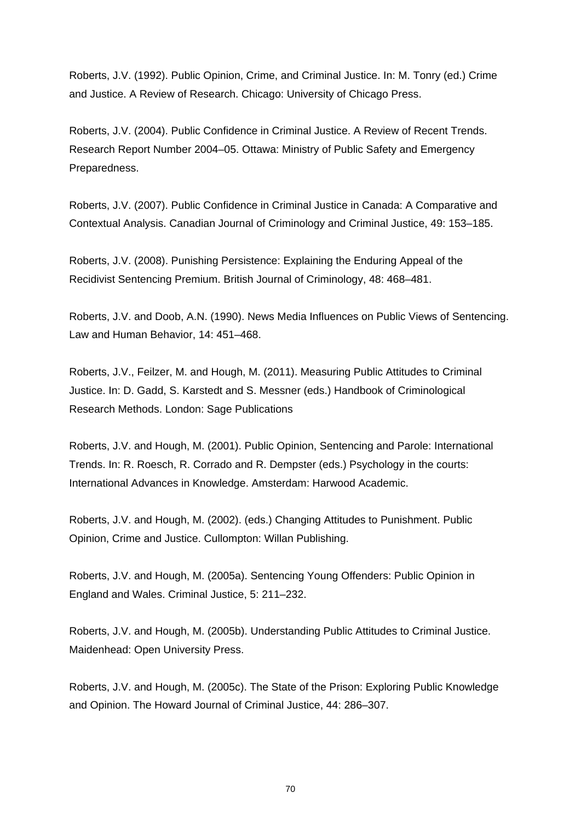Roberts, J.V. (1992). Public Opinion, Crime, and Criminal Justice. In: M. Tonry (ed.) Crime and Justice. A Review of Research. Chicago: University of Chicago Press.

Roberts, J.V. (2004). Public Confidence in Criminal Justice. A Review of Recent Trends. Research Report Number 2004–05. Ottawa: Ministry of Public Safety and Emergency Preparedness.

Roberts, J.V. (2007). Public Confidence in Criminal Justice in Canada: A Comparative and Contextual Analysis. Canadian Journal of Criminology and Criminal Justice, 49: 153–185.

Roberts, J.V. (2008). Punishing Persistence: Explaining the Enduring Appeal of the Recidivist Sentencing Premium. British Journal of Criminology, 48: 468–481.

Roberts, J.V. and Doob, A.N. (1990). News Media Influences on Public Views of Sentencing. Law and Human Behavior, 14: 451–468.

Roberts, J.V., Feilzer, M. and Hough, M. (2011). Measuring Public Attitudes to Criminal Justice. In: D. Gadd, S. Karstedt and S. Messner (eds.) Handbook of Criminological Research Methods. London: Sage Publications

Roberts, J.V. and Hough, M. (2001). Public Opinion, Sentencing and Parole: International Trends. In: R. Roesch, R. Corrado and R. Dempster (eds.) Psychology in the courts: International Advances in Knowledge. Amsterdam: Harwood Academic.

Roberts, J.V. and Hough, M. (2002). (eds.) Changing Attitudes to Punishment. Public Opinion, Crime and Justice. Cullompton: Willan Publishing.

Roberts, J.V. and Hough, M. (2005a). Sentencing Young Offenders: Public Opinion in England and Wales. Criminal Justice, 5: 211–232.

Roberts, J.V. and Hough, M. (2005b). Understanding Public Attitudes to Criminal Justice. Maidenhead: Open University Press.

Roberts, J.V. and Hough, M. (2005c). The State of the Prison: Exploring Public Knowledge and Opinion. The Howard Journal of Criminal Justice, 44: 286–307.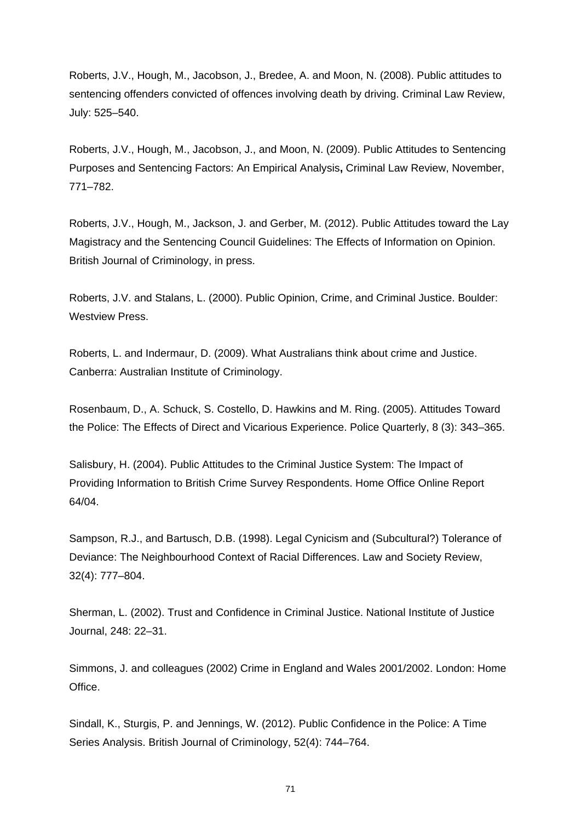Roberts, J.V., Hough, M., Jacobson, J., Bredee, A. and Moon, N. (2008). Public attitudes to sentencing offenders convicted of offences involving death by driving. Criminal Law Review, July: 525–540.

Roberts, J.V., Hough, M., Jacobson, J., and Moon, N. (2009). Public Attitudes to Sentencing Purposes and Sentencing Factors: An Empirical Analysis**,** Criminal Law Review, November, 771–782.

Roberts, J.V., Hough, M., Jackson, J. and Gerber, M. (2012). Public Attitudes toward the Lay Magistracy and the Sentencing Council Guidelines: The Effects of Information on Opinion. British Journal of Criminology, in press.

Roberts, J.V. and Stalans, L. (2000). Public Opinion, Crime, and Criminal Justice. Boulder: Westview Press.

Roberts, L. and Indermaur, D. (2009). What Australians think about crime and Justice. Canberra: Australian Institute of Criminology.

Rosenbaum, D., A. Schuck, S. Costello, D. Hawkins and M. Ring. (2005). Attitudes Toward the Police: The Effects of Direct and Vicarious Experience. Police Quarterly, 8 (3): 343–365.

Salisbury, H. (2004). Public Attitudes to the Criminal Justice System: The Impact of Providing Information to British Crime Survey Respondents. Home Office Online Report 64/04.

Sampson, R.J., and Bartusch, D.B. (1998). Legal Cynicism and (Subcultural?) Tolerance of Deviance: The Neighbourhood Context of Racial Differences. Law and Society Review, 32(4): 777–804.

Sherman, L. (2002). Trust and Confidence in Criminal Justice. National Institute of Justice Journal, 248: 22–31.

Simmons, J. and colleagues (2002) Crime in England and Wales 2001/2002. London: Home Office.

Sindall, K., Sturgis, P. and Jennings, W. (2012). Public Confidence in the Police: A Time Series Analysis. British Journal of Criminology, 52(4): 744–764.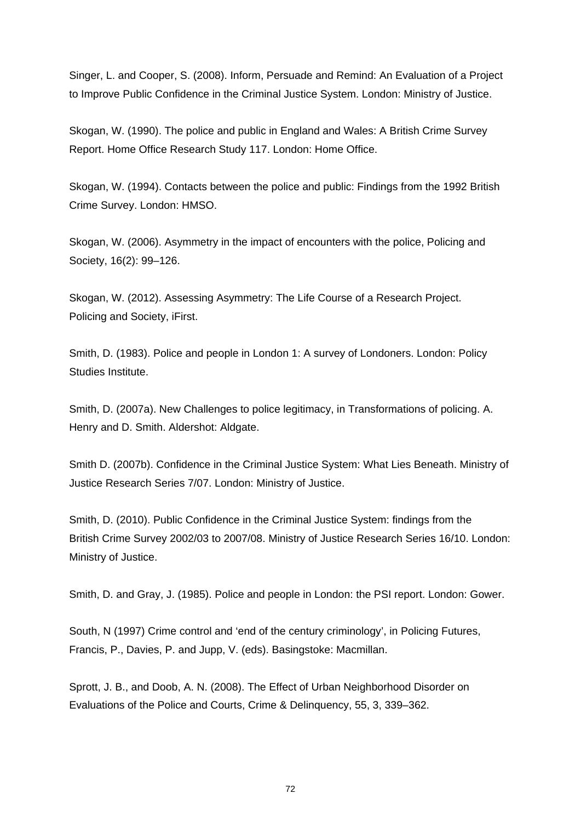Singer, L. and Cooper, S. (2008). Inform, Persuade and Remind: An Evaluation of a Project to Improve Public Confidence in the Criminal Justice System. London: Ministry of Justice.

Skogan, W. (1990). The police and public in England and Wales: A British Crime Survey Report. Home Office Research Study 117. London: Home Office.

Skogan, W. (1994). Contacts between the police and public: Findings from the 1992 British Crime Survey. London: HMSO.

Skogan, W. (2006). Asymmetry in the impact of encounters with the police, Policing and Society, 16(2): 99–126.

Skogan, W. (2012). Assessing Asymmetry: The Life Course of a Research Project. Policing and Society, iFirst.

Smith, D. (1983). Police and people in London 1: A survey of Londoners. London: Policy Studies Institute.

Smith, D. (2007a). New Challenges to police legitimacy, in Transformations of policing. A. Henry and D. Smith. Aldershot: Aldgate.

Smith D. (2007b). Confidence in the Criminal Justice System: What Lies Beneath. Ministry of Justice Research Series 7/07. London: Ministry of Justice.

Smith, D. (2010). Public Confidence in the Criminal Justice System: findings from the British Crime Survey 2002/03 to 2007/08. Ministry of Justice Research Series 16/10. London: Ministry of Justice.

Smith, D. and Gray, J. (1985). Police and people in London: the PSI report. London: Gower.

South, N (1997) Crime control and 'end of the century criminology', in Policing Futures, Francis, P., Davies, P. and Jupp, V. (eds). Basingstoke: Macmillan.

Sprott, J. B., and Doob, A. N. (2008). The Effect of Urban Neighborhood Disorder on Evaluations of the Police and Courts, Crime & Delinquency, 55, 3, 339–362.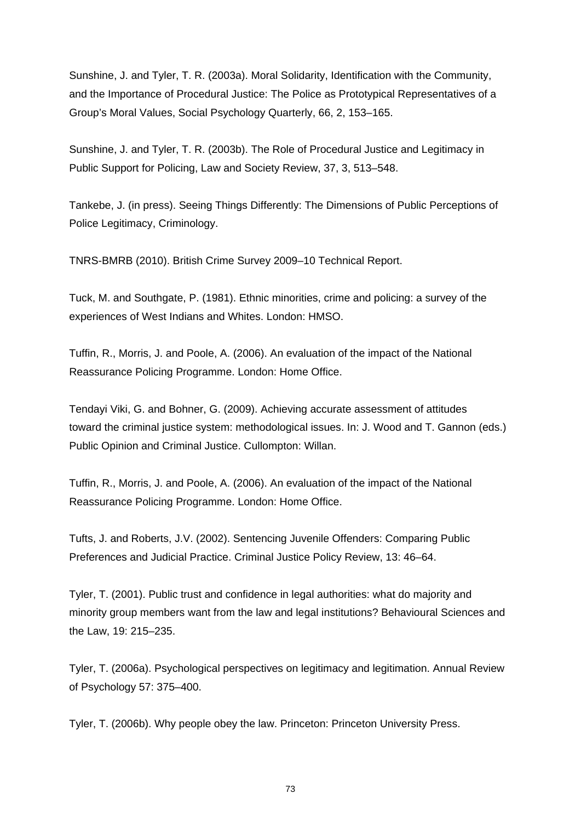Sunshine, J. and Tyler, T. R. (2003a). Moral Solidarity, Identification with the Community, and the Importance of Procedural Justice: The Police as Prototypical Representatives of a Group's Moral Values, Social Psychology Quarterly, 66, 2, 153–165.

Sunshine, J. and Tyler, T. R. (2003b). The Role of Procedural Justice and Legitimacy in Public Support for Policing, Law and Society Review, 37, 3, 513–548.

Tankebe, J. (in press). Seeing Things Differently: The Dimensions of Public Perceptions of Police Legitimacy, Criminology.

TNRS-BMRB (2010). British Crime Survey 2009–10 Technical Report.

Tuck, M. and Southgate, P. (1981). Ethnic minorities, crime and policing: a survey of the experiences of West Indians and Whites. London: HMSO.

Tuffin, R., Morris, J. and Poole, A. (2006). An evaluation of the impact of the National Reassurance Policing Programme. London: Home Office.

Tendayi Viki, G. and Bohner, G. (2009). Achieving accurate assessment of attitudes toward the criminal justice system: methodological issues. In: J. Wood and T. Gannon (eds.) Public Opinion and Criminal Justice. Cullompton: Willan.

Tuffin, R., Morris, J. and Poole, A. (2006). An evaluation of the impact of the National Reassurance Policing Programme. London: Home Office.

Tufts, J. and Roberts, J.V. (2002). Sentencing Juvenile Offenders: Comparing Public Preferences and Judicial Practice. Criminal Justice Policy Review, 13: 46–64.

Tyler, T. (2001). Public trust and confidence in legal authorities: what do majority and minority group members want from the law and legal institutions? Behavioural Sciences and the Law, 19: 215–235.

Tyler, T. (2006a). Psychological perspectives on legitimacy and legitimation. Annual Review of Psychology 57: 375–400.

Tyler, T. (2006b). Why people obey the law. Princeton: Princeton University Press.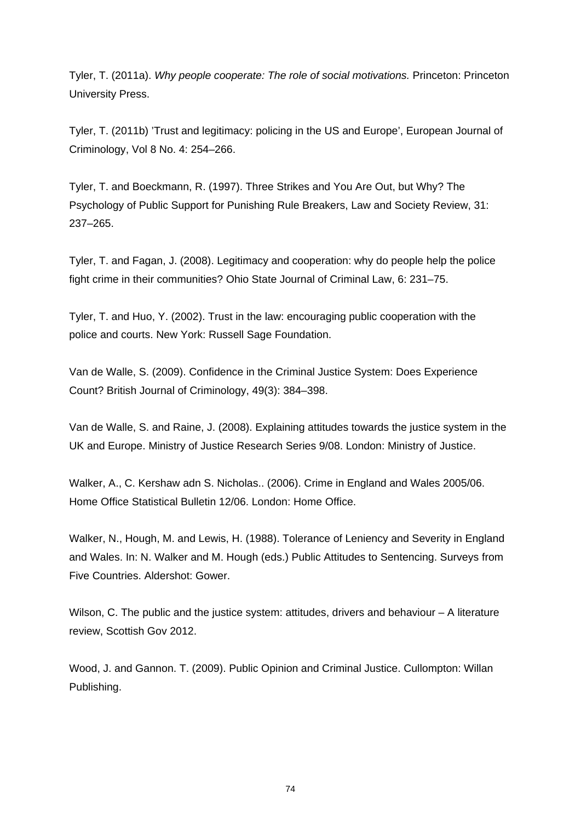Tyler, T. (2011a). *Why people cooperate: The role of social motivations.* Princeton: Princeton University Press.

Tyler, T. (2011b) 'Trust and legitimacy: policing in the US and Europe', European Journal of Criminology, Vol 8 No. 4: 254–266.

Tyler, T. and Boeckmann, R. (1997). Three Strikes and You Are Out, but Why? The Psychology of Public Support for Punishing Rule Breakers, Law and Society Review, 31: 237–265.

Tyler, T. and Fagan, J. (2008). Legitimacy and cooperation: why do people help the police fight crime in their communities? Ohio State Journal of Criminal Law, 6: 231–75.

Tyler, T. and Huo, Y. (2002). Trust in the law: encouraging public cooperation with the police and courts. New York: Russell Sage Foundation.

Van de Walle, S. (2009). Confidence in the Criminal Justice System: Does Experience Count? British Journal of Criminology, 49(3): 384–398.

Van de Walle, S. and Raine, J. (2008). Explaining attitudes towards the justice system in the UK and Europe. Ministry of Justice Research Series 9/08. London: Ministry of Justice.

Walker, A., C. Kershaw adn S. Nicholas.. (2006). Crime in England and Wales 2005/06. Home Office Statistical Bulletin 12/06. London: Home Office.

Walker, N., Hough, M. and Lewis, H. (1988). Tolerance of Leniency and Severity in England and Wales. In: N. Walker and M. Hough (eds.) Public Attitudes to Sentencing. Surveys from Five Countries. Aldershot: Gower.

Wilson, C. The public and the justice system: attitudes, drivers and behaviour – A literature review, Scottish Gov 2012.

Wood, J. and Gannon. T. (2009). Public Opinion and Criminal Justice. Cullompton: Willan Publishing.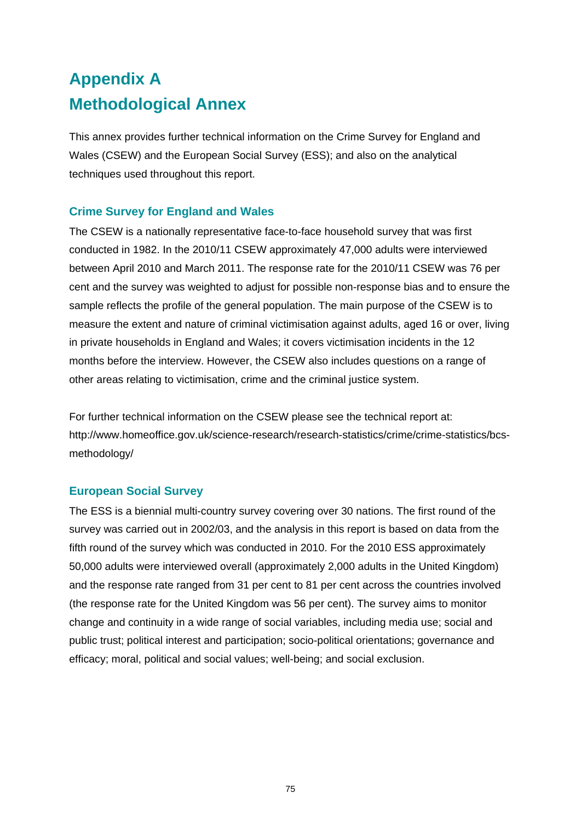# **Appendix A Methodological Annex**

This annex provides further technical information on the Crime Survey for England and Wales (CSEW) and the European Social Survey (ESS); and also on the analytical techniques used throughout this report.

# **Crime Survey for England and Wales**

The CSEW is a nationally representative face-to-face household survey that was first conducted in 1982. In the 2010/11 CSEW approximately 47,000 adults were interviewed between April 2010 and March 2011. The response rate for the 2010/11 CSEW was 76 per cent and the survey was weighted to adjust for possible non-response bias and to ensure the sample reflects the profile of the general population. The main purpose of the CSEW is to measure the extent and nature of criminal victimisation against adults, aged 16 or over, living in private households in England and Wales; it covers victimisation incidents in the 12 months before the interview. However, the CSEW also includes questions on a range of other areas relating to victimisation, crime and the criminal justice system.

For further technical information on the CSEW please see the technical report at: [http://www.homeoffice.gov.uk/science-research/research-statistics/crime/crime-statistics/bcs](http://www.homeoffice.gov.uk/science-research/research-statistics/crime/crime-statistics/bcs-methodology/)[methodology/](http://www.homeoffice.gov.uk/science-research/research-statistics/crime/crime-statistics/bcs-methodology/) 

# **European Social Survey**

The ESS is a biennial multi-country survey covering over 30 nations. The first round of the survey was carried out in 2002/03, and the analysis in this report is based on data from the fifth round of the survey which was conducted in 2010. For the 2010 ESS approximately 50,000 adults were interviewed overall (approximately 2,000 adults in the United Kingdom) and the response rate ranged from 31 per cent to 81 per cent across the countries involved (the response rate for the United Kingdom was 56 per cent). The survey aims to monitor change and continuity in a wide range of social variables, including media use; social and public trust; political interest and participation; socio-political orientations; governance and efficacy; moral, political and social values; well-being; and social exclusion.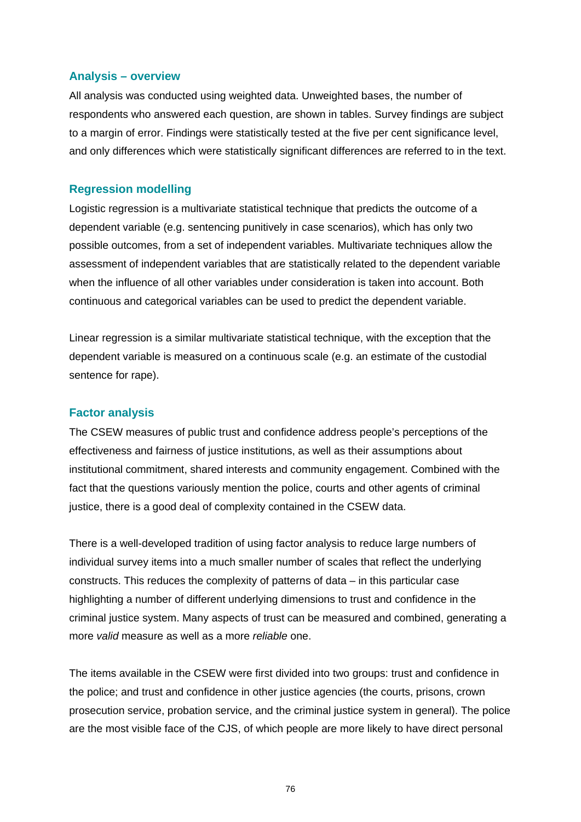## **Analysis – overview**

All analysis was conducted using weighted data. Unweighted bases, the number of respondents who answered each question, are shown in tables. Survey findings are subject to a margin of error. Findings were statistically tested at the five per cent significance level, and only differences which were statistically significant differences are referred to in the text.

## **Regression modelling**

Logistic regression is a multivariate statistical technique that predicts the outcome of a dependent variable (e.g. sentencing punitively in case scenarios), which has only two possible outcomes, from a set of independent variables. Multivariate techniques allow the assessment of independent variables that are statistically related to the dependent variable when the influence of all other variables under consideration is taken into account. Both continuous and categorical variables can be used to predict the dependent variable.

Linear regression is a similar multivariate statistical technique, with the exception that the dependent variable is measured on a continuous scale (e.g. an estimate of the custodial sentence for rape).

### **Factor analysis**

The CSEW measures of public trust and confidence address people's perceptions of the effectiveness and fairness of justice institutions, as well as their assumptions about institutional commitment, shared interests and community engagement. Combined with the fact that the questions variously mention the police, courts and other agents of criminal justice, there is a good deal of complexity contained in the CSEW data.

There is a well-developed tradition of using factor analysis to reduce large numbers of individual survey items into a much smaller number of scales that reflect the underlying constructs. This reduces the complexity of patterns of data – in this particular case highlighting a number of different underlying dimensions to trust and confidence in the criminal justice system. Many aspects of trust can be measured and combined, generating a more *valid* measure as well as a more *reliable* one.

The items available in the CSEW were first divided into two groups: trust and confidence in the police; and trust and confidence in other justice agencies (the courts, prisons, crown prosecution service, probation service, and the criminal justice system in general). The police are the most visible face of the CJS, of which people are more likely to have direct personal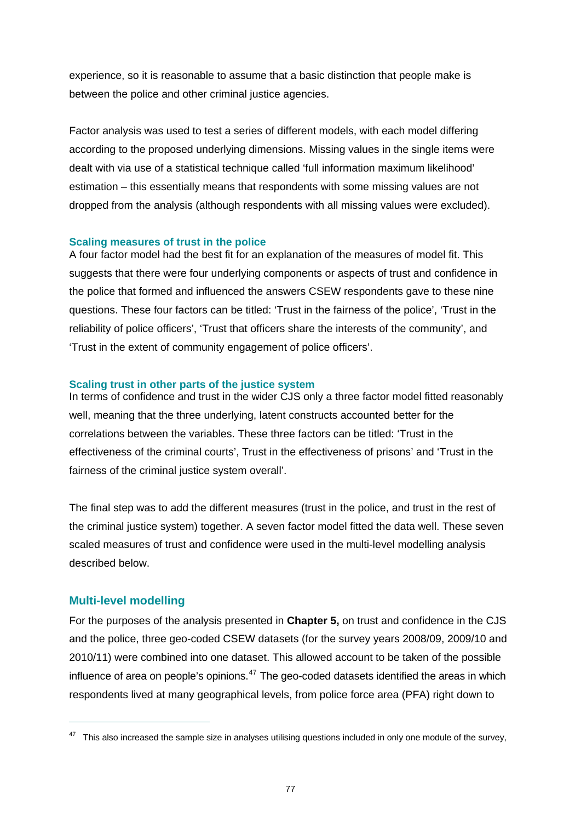experience, so it is reasonable to assume that a basic distinction that people make is between the police and other criminal justice agencies.

Factor analysis was used to test a series of different models, with each model differing according to the proposed underlying dimensions. Missing values in the single items were dealt with via use of a statistical technique called 'full information maximum likelihood' estimation – this essentially means that respondents with some missing values are not dropped from the analysis (although respondents with all missing values were excluded).

## **Scaling measures of trust in the police**

A four factor model had the best fit for an explanation of the measures of model fit. This suggests that there were four underlying components or aspects of trust and confidence in the police that formed and influenced the answers CSEW respondents gave to these nine questions. These four factors can be titled: 'Trust in the fairness of the police', 'Trust in the reliability of police officers', 'Trust that officers share the interests of the community', and 'Trust in the extent of community engagement of police officers'.

## **Scaling trust in other parts of the justice system**

In terms of confidence and trust in the wider CJS only a three factor model fitted reasonably well, meaning that the three underlying, latent constructs accounted better for the correlations between the variables. These three factors can be titled: 'Trust in the effectiveness of the criminal courts', Trust in the effectiveness of prisons' and 'Trust in the fairness of the criminal justice system overall'.

The final step was to add the different measures (trust in the police, and trust in the rest of the criminal justice system) together. A seven factor model fitted the data well. These seven scaled measures of trust and confidence were used in the multi-level modelling analysis described below.

## **Multi-level modelling**

 $\overline{a}$ 

For the purposes of the analysis presented in **Chapter 5,** on trust and confidence in the CJS and the police, three geo-coded CSEW datasets (for the survey years 2008/09, 2009/10 and 2010/11) were combined into one dataset. This allowed account to be taken of the possible influence of area on people's opinions.<sup>[47](#page-83-0)</sup> The geo-coded datasets identified the areas in which respondents lived at many geographical levels, from police force area (PFA) right down to

<span id="page-83-0"></span> $47$  This also increased the sample size in analyses utilising questions included in only one module of the survey,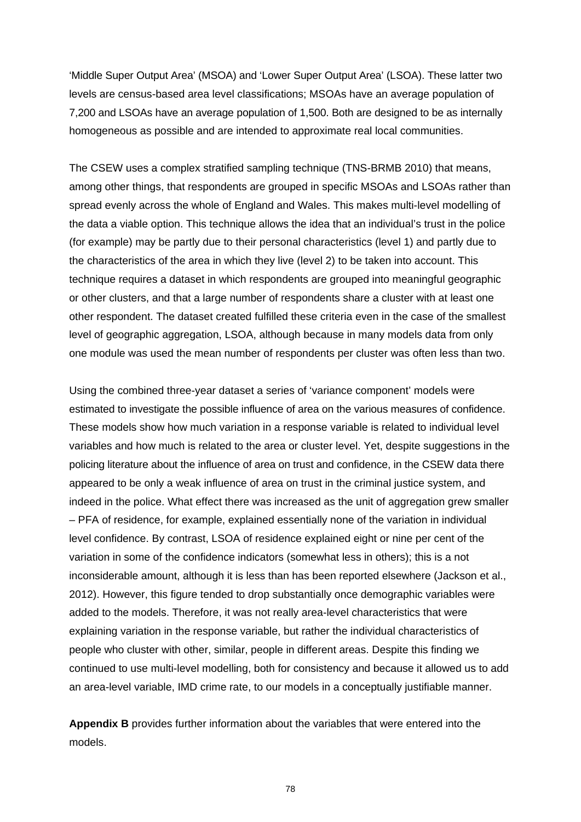'Middle Super Output Area' (MSOA) and 'Lower Super Output Area' (LSOA). These latter two levels are census-based area level classifications; MSOAs have an average population of 7,200 and LSOAs have an average population of 1,500. Both are designed to be as internally homogeneous as possible and are intended to approximate real local communities.

The CSEW uses a complex stratified sampling technique (TNS-BRMB 2010) that means, among other things, that respondents are grouped in specific MSOAs and LSOAs rather than spread evenly across the whole of England and Wales. This makes multi-level modelling of the data a viable option. This technique allows the idea that an individual's trust in the police (for example) may be partly due to their personal characteristics (level 1) and partly due to the characteristics of the area in which they live (level 2) to be taken into account. This technique requires a dataset in which respondents are grouped into meaningful geographic or other clusters, and that a large number of respondents share a cluster with at least one other respondent. The dataset created fulfilled these criteria even in the case of the smallest level of geographic aggregation, LSOA, although because in many models data from only one module was used the mean number of respondents per cluster was often less than two.

Using the combined three-year dataset a series of 'variance component' models were estimated to investigate the possible influence of area on the various measures of confidence. These models show how much variation in a response variable is related to individual level variables and how much is related to the area or cluster level. Yet, despite suggestions in the policing literature about the influence of area on trust and confidence, in the CSEW data there appeared to be only a weak influence of area on trust in the criminal justice system, and indeed in the police. What effect there was increased as the unit of aggregation grew smaller – PFA of residence, for example, explained essentially none of the variation in individual level confidence. By contrast, LSOA of residence explained eight or nine per cent of the variation in some of the confidence indicators (somewhat less in others); this is a not inconsiderable amount, although it is less than has been reported elsewhere (Jackson et al., 2012). However, this figure tended to drop substantially once demographic variables were added to the models. Therefore, it was not really area-level characteristics that were explaining variation in the response variable, but rather the individual characteristics of people who cluster with other, similar, people in different areas. Despite this finding we continued to use multi-level modelling, both for consistency and because it allowed us to add an area-level variable, IMD crime rate, to our models in a conceptually justifiable manner.

**[Appendix B](#page-85-0)** provides further information about the variables that were entered into the models.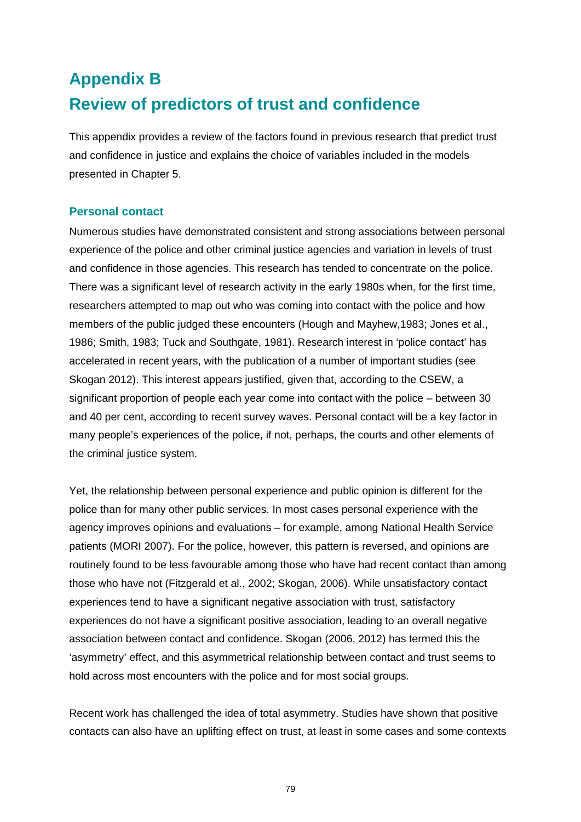# <span id="page-85-0"></span>**Appendix B Review of predictors of trust and confidence**

This appendix provides a review of the factors found in previous research that predict trust and confidence in justice and explains the choice of variables included in the models presented in Chapter 5.

# **Personal contact**

Numerous studies have demonstrated consistent and strong associations between personal experience of the police and other criminal justice agencies and variation in levels of trust and confidence in those agencies. This research has tended to concentrate on the police. There was a significant level of research activity in the early 1980s when, for the first time, researchers attempted to map out who was coming into contact with the police and how members of the public judged these encounters (Hough and Mayhew,1983; Jones et al., 1986; Smith, 1983; Tuck and Southgate, 1981). Research interest in 'police contact' has accelerated in recent years, with the publication of a number of important studies (see Skogan 2012). This interest appears justified, given that, according to the CSEW, a significant proportion of people each year come into contact with the police – between 30 and 40 per cent, according to recent survey waves. Personal contact will be a key factor in many people's experiences of the police, if not, perhaps, the courts and other elements of the criminal justice system.

Yet, the relationship between personal experience and public opinion is different for the police than for many other public services. In most cases personal experience with the agency improves opinions and evaluations – for example, among National Health Service patients (MORI 2007). For the police, however, this pattern is reversed, and opinions are routinely found to be less favourable among those who have had recent contact than among those who have not (Fitzgerald et al., 2002; Skogan, 2006). While unsatisfactory contact experiences tend to have a significant negative association with trust, satisfactory experiences do not have a significant positive association, leading to an overall negative association between contact and confidence. Skogan (2006, 2012) has termed this the 'asymmetry' effect, and this asymmetrical relationship between contact and trust seems to hold across most encounters with the police and for most social groups.

Recent work has challenged the idea of total asymmetry. Studies have shown that positive contacts can also have an uplifting effect on trust, at least in some cases and some contexts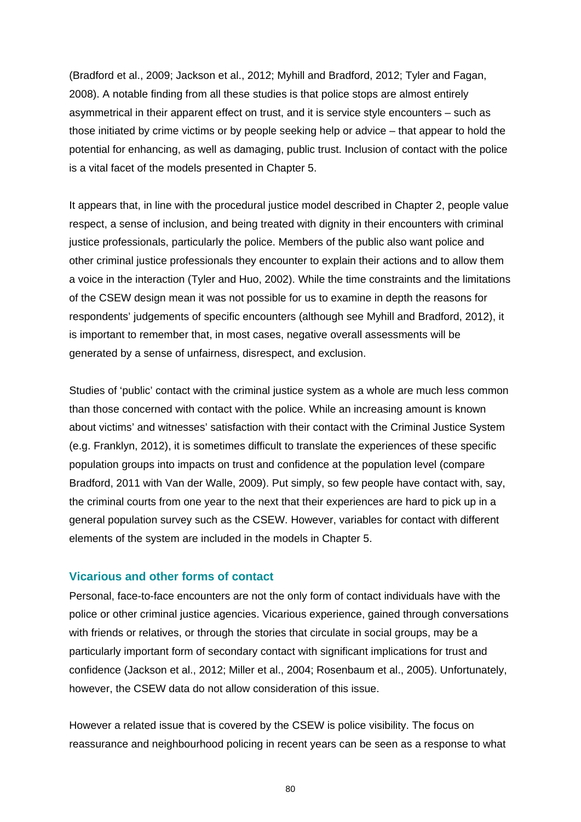(Bradford et al., 2009; Jackson et al., 2012; Myhill and Bradford, 2012; Tyler and Fagan, 2008). A notable finding from all these studies is that police stops are almost entirely asymmetrical in their apparent effect on trust, and it is service style encounters – such as those initiated by crime victims or by people seeking help or advice – that appear to hold the potential for enhancing, as well as damaging, public trust. Inclusion of contact with the police is a vital facet of the models presented in Chapter 5.

It appears that, in line with the procedural justice model described in Chapter 2, people value respect, a sense of inclusion, and being treated with dignity in their encounters with criminal justice professionals, particularly the police. Members of the public also want police and other criminal justice professionals they encounter to explain their actions and to allow them a voice in the interaction (Tyler and Huo, 2002). While the time constraints and the limitations of the CSEW design mean it was not possible for us to examine in depth the reasons for respondents' judgements of specific encounters (although see Myhill and Bradford, 2012), it is important to remember that, in most cases, negative overall assessments will be generated by a sense of unfairness, disrespect, and exclusion.

Studies of 'public' contact with the criminal justice system as a whole are much less common than those concerned with contact with the police. While an increasing amount is known about victims' and witnesses' satisfaction with their contact with the Criminal Justice System (e.g. Franklyn, 2012), it is sometimes difficult to translate the experiences of these specific population groups into impacts on trust and confidence at the population level (compare Bradford, 2011 with Van der Walle, 2009). Put simply, so few people have contact with, say, the criminal courts from one year to the next that their experiences are hard to pick up in a general population survey such as the CSEW. However, variables for contact with different elements of the system are included in the models in Chapter 5.

### **Vicarious and other forms of contact**

Personal, face-to-face encounters are not the only form of contact individuals have with the police or other criminal justice agencies. Vicarious experience, gained through conversations with friends or relatives, or through the stories that circulate in social groups, may be a particularly important form of secondary contact with significant implications for trust and confidence (Jackson et al., 2012; Miller et al., 2004; Rosenbaum et al., 2005). Unfortunately, however, the CSEW data do not allow consideration of this issue.

However a related issue that is covered by the CSEW is police visibility. The focus on reassurance and neighbourhood policing in recent years can be seen as a response to what

80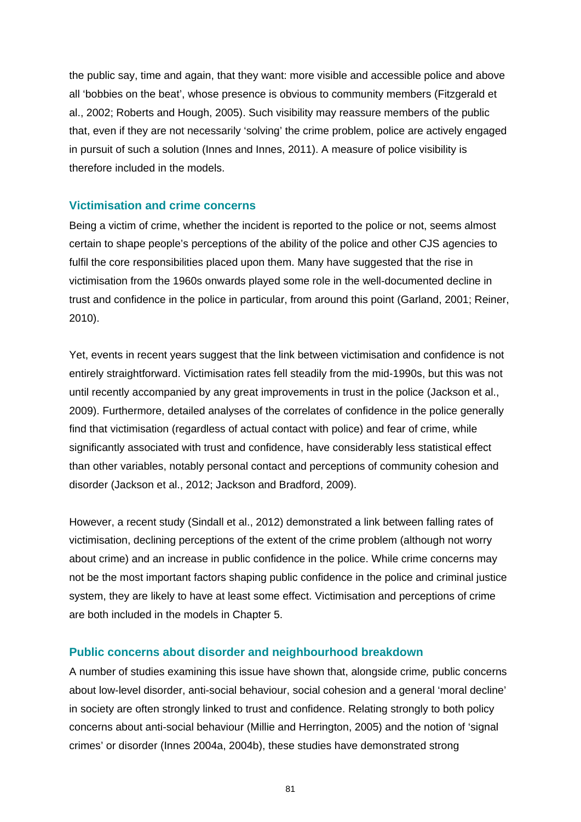the public say, time and again, that they want: more visible and accessible police and above all 'bobbies on the beat', whose presence is obvious to community members (Fitzgerald et al., 2002; Roberts and Hough, 2005). Such visibility may reassure members of the public that, even if they are not necessarily 'solving' the crime problem, police are actively engaged in pursuit of such a solution (Innes and Innes, 2011). A measure of police visibility is therefore included in the models.

## **Victimisation and crime concerns**

Being a victim of crime, whether the incident is reported to the police or not, seems almost certain to shape people's perceptions of the ability of the police and other CJS agencies to fulfil the core responsibilities placed upon them. Many have suggested that the rise in victimisation from the 1960s onwards played some role in the well-documented decline in trust and confidence in the police in particular, from around this point (Garland, 2001; Reiner, 2010).

Yet, events in recent years suggest that the link between victimisation and confidence is not entirely straightforward. Victimisation rates fell steadily from the mid-1990s, but this was not until recently accompanied by any great improvements in trust in the police (Jackson et al., 2009). Furthermore, detailed analyses of the correlates of confidence in the police generally find that victimisation (regardless of actual contact with police) and fear of crime, while significantly associated with trust and confidence, have considerably less statistical effect than other variables, notably personal contact and perceptions of community cohesion and disorder (Jackson et al., 2012; Jackson and Bradford, 2009).

However, a recent study (Sindall et al., 2012) demonstrated a link between falling rates of victimisation, declining perceptions of the extent of the crime problem (although not worry about crime) and an increase in public confidence in the police. While crime concerns may not be the most important factors shaping public confidence in the police and criminal justice system, they are likely to have at least some effect. Victimisation and perceptions of crime are both included in the models in Chapter 5.

#### **Public concerns about disorder and neighbourhood breakdown**

A number of studies examining this issue have shown that, alongside crim*e,* public concerns about low-level disorder, anti-social behaviour, social cohesion and a general 'moral decline' in society are often strongly linked to trust and confidence. Relating strongly to both policy concerns about anti-social behaviour (Millie and Herrington, 2005) and the notion of 'signal crimes' or disorder (Innes 2004a, 2004b), these studies have demonstrated strong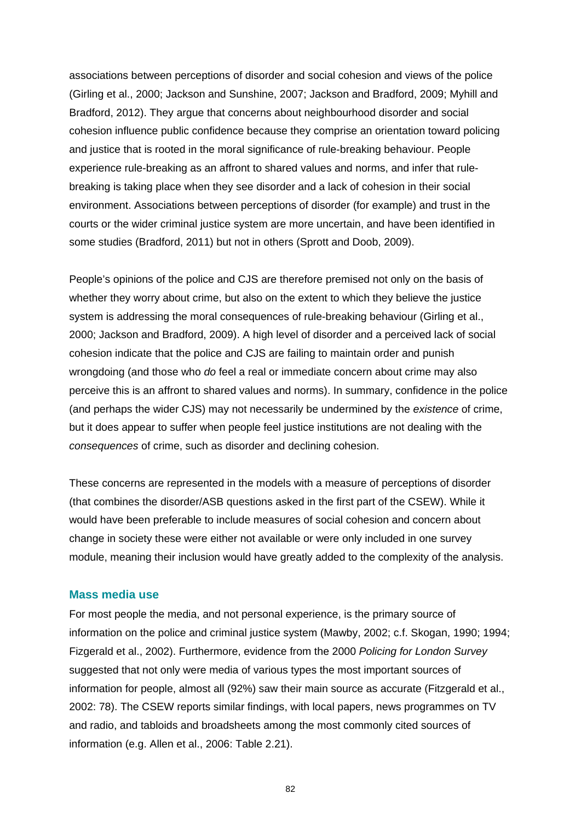associations between perceptions of disorder and social cohesion and views of the police (Girling et al., 2000; Jackson and Sunshine, 2007; Jackson and Bradford, 2009; Myhill and Bradford, 2012). They argue that concerns about neighbourhood disorder and social cohesion influence public confidence because they comprise an orientation toward policing and justice that is rooted in the moral significance of rule-breaking behaviour. People experience rule-breaking as an affront to shared values and norms, and infer that rulebreaking is taking place when they see disorder and a lack of cohesion in their social environment. Associations between perceptions of disorder (for example) and trust in the courts or the wider criminal justice system are more uncertain, and have been identified in some studies (Bradford, 2011) but not in others (Sprott and Doob, 2009).

People's opinions of the police and CJS are therefore premised not only on the basis of whether they worry about crime, but also on the extent to which they believe the justice system is addressing the moral consequences of rule-breaking behaviour (Girling et al., 2000; Jackson and Bradford, 2009). A high level of disorder and a perceived lack of social cohesion indicate that the police and CJS are failing to maintain order and punish wrongdoing (and those who *do* feel a real or immediate concern about crime may also perceive this is an affront to shared values and norms). In summary, confidence in the police (and perhaps the wider CJS) may not necessarily be undermined by the *existence* of crime, but it does appear to suffer when people feel justice institutions are not dealing with the *consequences* of crime, such as disorder and declining cohesion.

These concerns are represented in the models with a measure of perceptions of disorder (that combines the disorder/ASB questions asked in the first part of the CSEW). While it would have been preferable to include measures of social cohesion and concern about change in society these were either not available or were only included in one survey module, meaning their inclusion would have greatly added to the complexity of the analysis.

#### **Mass media use**

For most people the media, and not personal experience, is the primary source of information on the police and criminal justice system (Mawby, 2002; c.f. Skogan, 1990; 1994; Fizgerald et al., 2002). Furthermore, evidence from the 2000 *Policing for London Survey* suggested that not only were media of various types the most important sources of information for people, almost all (92%) saw their main source as accurate (Fitzgerald et al., 2002: 78). The CSEW reports similar findings, with local papers, news programmes on TV and radio, and tabloids and broadsheets among the most commonly cited sources of information (e.g. Allen et al., 2006: Table 2.21).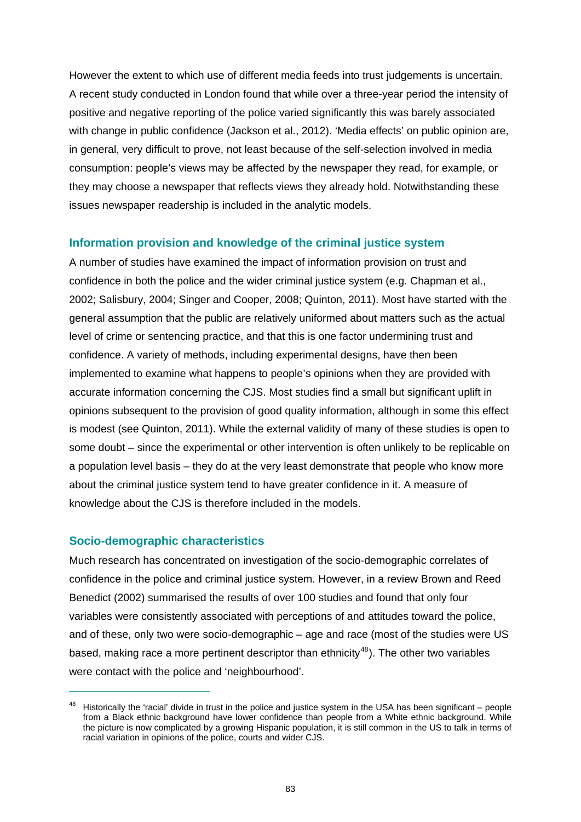However the extent to which use of different media feeds into trust judgements is uncertain. A recent study conducted in London found that while over a three-year period the intensity of positive and negative reporting of the police varied significantly this was barely associated with change in public confidence (Jackson et al., 2012). 'Media effects' on public opinion are, in general, very difficult to prove, not least because of the self-selection involved in media consumption: people's views may be affected by the newspaper they read, for example, or they may choose a newspaper that reflects views they already hold. Notwithstanding these issues newspaper readership is included in the analytic models.

## **Information provision and knowledge of the criminal justice system**

A number of studies have examined the impact of information provision on trust and confidence in both the police and the wider criminal justice system (e.g. Chapman et al., 2002; Salisbury, 2004; Singer and Cooper, 2008; Quinton, 2011). Most have started with the general assumption that the public are relatively uniformed about matters such as the actual level of crime or sentencing practice, and that this is one factor undermining trust and confidence. A variety of methods, including experimental designs, have then been implemented to examine what happens to people's opinions when they are provided with accurate information concerning the CJS. Most studies find a small but significant uplift in opinions subsequent to the provision of good quality information, although in some this effect is modest (see Quinton, 2011). While the external validity of many of these studies is open to some doubt – since the experimental or other intervention is often unlikely to be replicable on a population level basis – they do at the very least demonstrate that people who know more about the criminal justice system tend to have greater confidence in it. A measure of knowledge about the CJS is therefore included in the models.

## **Socio-demographic characteristics**

 $\overline{a}$ 

Much research has concentrated on investigation of the socio-demographic correlates of confidence in the police and criminal justice system. However, in a review Brown and Reed Benedict (2002) summarised the results of over 100 studies and found that only four variables were consistently associated with perceptions of and attitudes toward the police, and of these, only two were socio-demographic – age and race (most of the studies were US based, making race a more pertinent descriptor than ethnicity<sup>[48](#page-89-0)</sup>). The other two variables were contact with the police and 'neighbourhood'.

<span id="page-89-0"></span> $48$  Historically the 'racial' divide in trust in the police and justice system in the USA has been significant – people from a Black ethnic background have lower confidence than people from a White ethnic background. While the picture is now complicated by a growing Hispanic population, it is still common in the US to talk in terms of racial variation in opinions of the police, courts and wider CJS.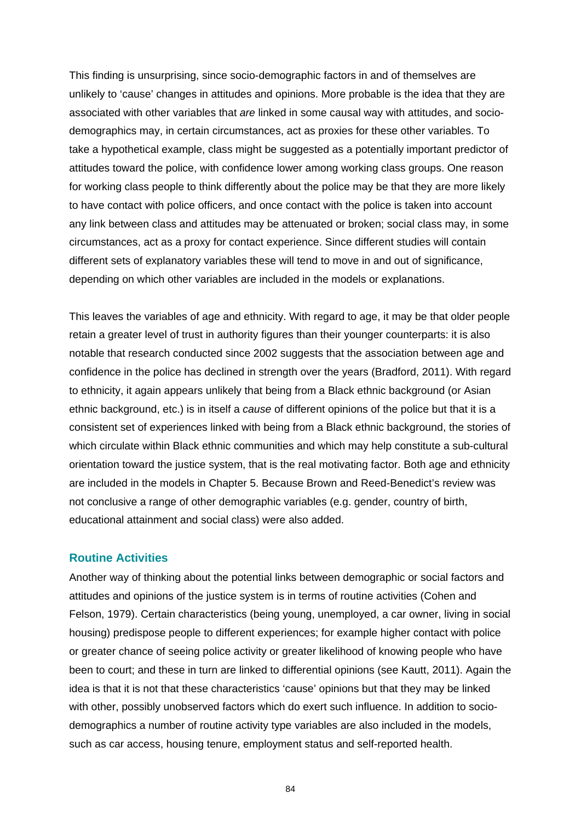This finding is unsurprising, since socio-demographic factors in and of themselves are unlikely to 'cause' changes in attitudes and opinions. More probable is the idea that they are associated with other variables that *are* linked in some causal way with attitudes, and sociodemographics may, in certain circumstances, act as proxies for these other variables. To take a hypothetical example, class might be suggested as a potentially important predictor of attitudes toward the police, with confidence lower among working class groups. One reason for working class people to think differently about the police may be that they are more likely to have contact with police officers, and once contact with the police is taken into account any link between class and attitudes may be attenuated or broken; social class may, in some circumstances, act as a proxy for contact experience. Since different studies will contain different sets of explanatory variables these will tend to move in and out of significance, depending on which other variables are included in the models or explanations.

This leaves the variables of age and ethnicity. With regard to age, it may be that older people retain a greater level of trust in authority figures than their younger counterparts: it is also notable that research conducted since 2002 suggests that the association between age and confidence in the police has declined in strength over the years (Bradford, 2011). With regard to ethnicity, it again appears unlikely that being from a Black ethnic background (or Asian ethnic background, etc.) is in itself a *cause* of different opinions of the police but that it is a consistent set of experiences linked with being from a Black ethnic background, the stories of which circulate within Black ethnic communities and which may help constitute a sub-cultural orientation toward the justice system, that is the real motivating factor. Both age and ethnicity are included in the models in Chapter 5. Because Brown and Reed-Benedict's review was not conclusive a range of other demographic variables (e.g. gender, country of birth, educational attainment and social class) were also added.

#### **Routine Activities**

Another way of thinking about the potential links between demographic or social factors and attitudes and opinions of the justice system is in terms of routine activities (Cohen and Felson, 1979). Certain characteristics (being young, unemployed, a car owner, living in social housing) predispose people to different experiences; for example higher contact with police or greater chance of seeing police activity or greater likelihood of knowing people who have been to court; and these in turn are linked to differential opinions (see Kautt, 2011). Again the idea is that it is not that these characteristics 'cause' opinions but that they may be linked with other, possibly unobserved factors which do exert such influence. In addition to sociodemographics a number of routine activity type variables are also included in the models, such as car access, housing tenure, employment status and self-reported health.